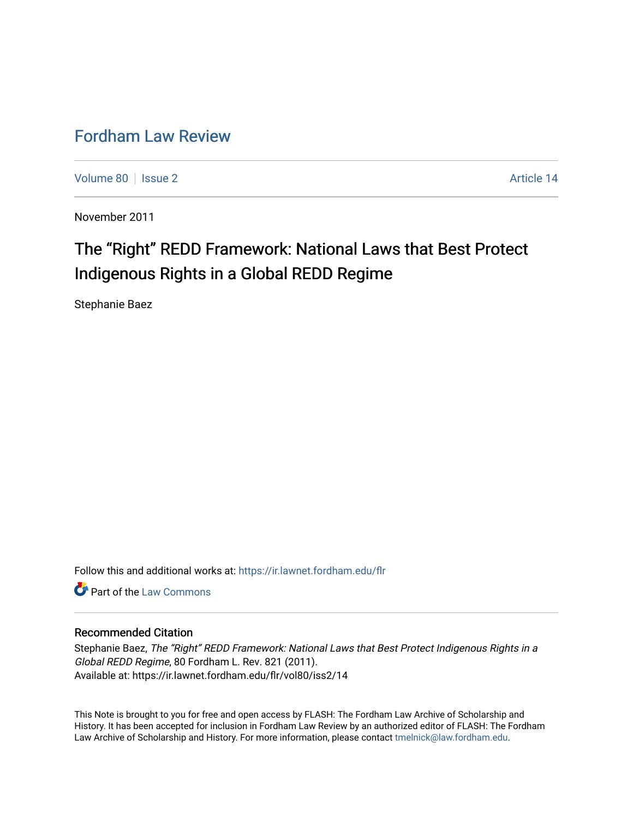# [Fordham Law Review](https://ir.lawnet.fordham.edu/flr)

[Volume 80](https://ir.lawnet.fordham.edu/flr/vol80) | [Issue 2](https://ir.lawnet.fordham.edu/flr/vol80/iss2) Article 14

November 2011

# The "Right" REDD Framework: National Laws that Best Protect Indigenous Rights in a Global REDD Regime

Stephanie Baez

Follow this and additional works at: [https://ir.lawnet.fordham.edu/flr](https://ir.lawnet.fordham.edu/flr?utm_source=ir.lawnet.fordham.edu%2Fflr%2Fvol80%2Fiss2%2F14&utm_medium=PDF&utm_campaign=PDFCoverPages)

**C** Part of the [Law Commons](http://network.bepress.com/hgg/discipline/578?utm_source=ir.lawnet.fordham.edu%2Fflr%2Fvol80%2Fiss2%2F14&utm_medium=PDF&utm_campaign=PDFCoverPages)

# Recommended Citation

Stephanie Baez, The "Right" REDD Framework: National Laws that Best Protect Indigenous Rights in a Global REDD Regime, 80 Fordham L. Rev. 821 (2011). Available at: https://ir.lawnet.fordham.edu/flr/vol80/iss2/14

This Note is brought to you for free and open access by FLASH: The Fordham Law Archive of Scholarship and History. It has been accepted for inclusion in Fordham Law Review by an authorized editor of FLASH: The Fordham Law Archive of Scholarship and History. For more information, please contact [tmelnick@law.fordham.edu](mailto:tmelnick@law.fordham.edu).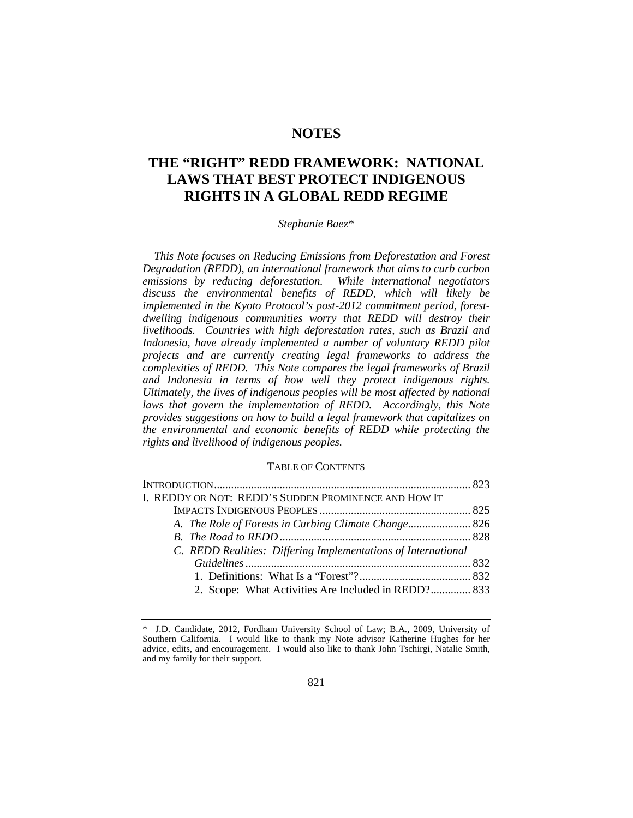# **NOTES**

# **THE "RIGHT" REDD FRAMEWORK: NATIONAL LAWS THAT BEST PROTECT INDIGENOUS RIGHTS IN A GLOBAL REDD REGIME**

# *Stephanie Baez*[\\*](#page-1-0)

*This Note focuses on Reducing Emissions from Deforestation and Forest Degradation (REDD), an international framework that aims to curb carbon emissions by reducing deforestation. While international negotiators discuss the environmental benefits of REDD, which will likely be implemented in the Kyoto Protocol's post-2012 commitment period, forestdwelling indigenous communities worry that REDD will destroy their livelihoods. Countries with high deforestation rates, such as Brazil and Indonesia, have already implemented a number of voluntary REDD pilot projects and are currently creating legal frameworks to address the complexities of REDD. This Note compares the legal frameworks of Brazil and Indonesia in terms of how well they protect indigenous rights. Ultimately, the lives of indigenous peoples will be most affected by national laws that govern the implementation of REDD. Accordingly, this Note provides suggestions on how to build a legal framework that capitalizes on the environmental and economic benefits of REDD while protecting the rights and livelihood of indigenous peoples.*

#### TABLE OF CONTENTS

| I. REDDY OR NOT: REDD'S SUDDEN PROMINENCE AND HOW IT          |  |
|---------------------------------------------------------------|--|
|                                                               |  |
|                                                               |  |
|                                                               |  |
| C. REDD Realities: Differing Implementations of International |  |
|                                                               |  |
|                                                               |  |
| 2. Scope: What Activities Are Included in REDD? 833           |  |
|                                                               |  |

<span id="page-1-0"></span><sup>\*</sup> J.D. Candidate, 2012, Fordham University School of Law; B.A., 2009, University of Southern California. I would like to thank my Note advisor Katherine Hughes for her advice, edits, and encouragement. I would also like to thank John Tschirgi, Natalie Smith, and my family for their support.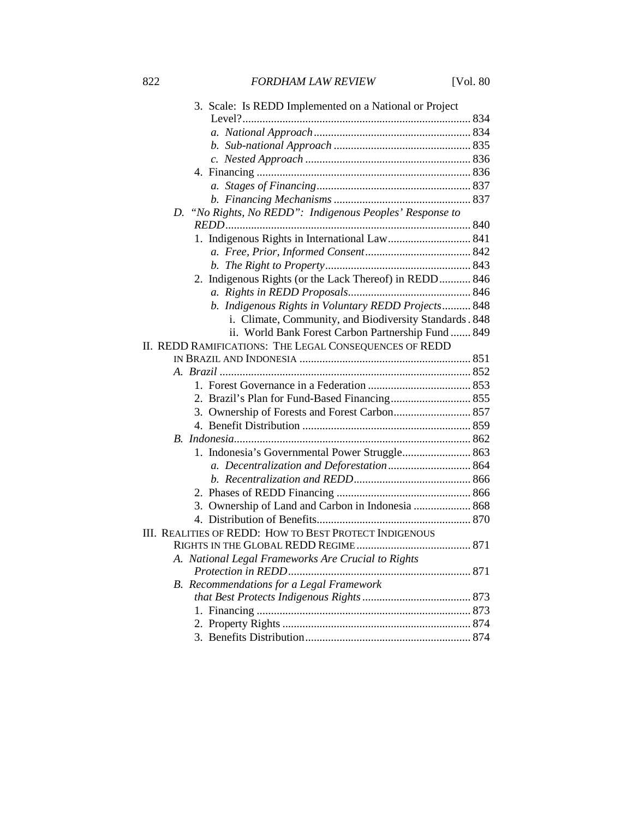| 3. Scale: Is REDD Implemented on a National or Project   |  |
|----------------------------------------------------------|--|
|                                                          |  |
|                                                          |  |
|                                                          |  |
|                                                          |  |
|                                                          |  |
|                                                          |  |
|                                                          |  |
| D. "No Rights, No REDD": Indigenous Peoples' Response to |  |
|                                                          |  |
| 1. Indigenous Rights in International Law 841            |  |
|                                                          |  |
|                                                          |  |
| 2. Indigenous Rights (or the Lack Thereof) in REDD 846   |  |
|                                                          |  |
| b. Indigenous Rights in Voluntary REDD Projects 848      |  |
| i. Climate, Community, and Biodiversity Standards. 848   |  |
| ii. World Bank Forest Carbon Partnership Fund  849       |  |
| II. REDD RAMIFICATIONS: THE LEGAL CONSEQUENCES OF REDD   |  |
|                                                          |  |
|                                                          |  |
|                                                          |  |
|                                                          |  |
|                                                          |  |
|                                                          |  |
|                                                          |  |
| 1. Indonesia's Governmental Power Struggle 863           |  |
| a. Decentralization and Deforestation 864                |  |
|                                                          |  |
| 3. Ownership of Land and Carbon in Indonesia  868        |  |
|                                                          |  |
| III. REALITIES OF REDD: HOW TO BEST PROTECT INDIGENOUS   |  |
|                                                          |  |
| A. National Legal Frameworks Are Crucial to Rights       |  |
|                                                          |  |
| B. Recommendations for a Legal Framework                 |  |
|                                                          |  |
|                                                          |  |
|                                                          |  |
|                                                          |  |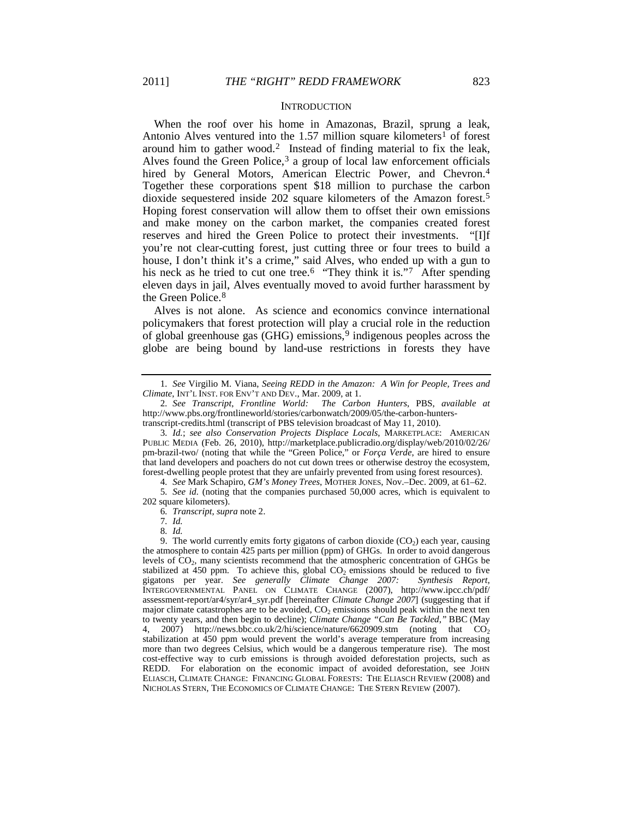#### <span id="page-3-10"></span><span id="page-3-0"></span>**INTRODUCTION**

When the roof over his home in Amazonas, Brazil, sprung a leak, Antonio Alves ventured into the [1](#page-3-1).57 million square kilometers<sup>1</sup> of forest around him to gather wood.[2](#page-3-2) Instead of finding material to fix the leak, Alves found the Green Police,  $3$  a group of local law enforcement officials hired by General Motors, American Electric Power, and Chevron.<sup>[4](#page-3-4)</sup> Together these corporations spent \$18 million to purchase the carbon dioxide sequestered inside 202 square kilometers of the Amazon forest.[5](#page-3-5) Hoping forest conservation will allow them to offset their own emissions and make money on the carbon market, the companies created forest reserves and hired the Green Police to protect their investments. "[I]f you're not clear-cutting forest, just cutting three or four trees to build a house, I don't think it's a crime," said Alves, who ended up with a gun to his neck as he tried to cut one tree.<sup>[6](#page-3-6)</sup> "They think it is."<sup>7</sup> After spending eleven days in jail, Alves eventually moved to avoid further harassment by the Green Police.[8](#page-3-8)

<span id="page-3-11"></span>Alves is not alone. As science and economics convince international policymakers that forest protection will play a crucial role in the reduction of global greenhouse gas (GHG) emissions,<sup>[9](#page-3-9)</sup> indigenous peoples across the globe are being bound by land-use restrictions in forests they have

4*. See* Mark Schapiro, *GM's Money Trees*, MOTHER JONES, Nov.–Dec. 2009, at 61–62.

<span id="page-3-6"></span><span id="page-3-5"></span><span id="page-3-4"></span>5*. See id.* (noting that the companies purchased 50,000 acres, which is equivalent to 202 square kilometers).

6*. Transcript*, *supra* note [2.](#page-3-0)

<span id="page-3-1"></span><sup>1</sup>*. See* Virgilio M. Viana, *Seeing REDD in the Amazon: A Win for People, Trees and Climate*, INT'L INST. FOR ENV'T AND DEV., Mar. 2009, at 1.

<span id="page-3-2"></span><sup>2</sup>*. See Transcript*, *Frontline World: The Carbon Hunters*, PBS, *available at*  http://www.pbs.org/frontlineworld/stories/carbonwatch/2009/05/the-carbon-hunterstranscript-credits.html (transcript of PBS television broadcast of May 11, 2010).

<span id="page-3-3"></span><sup>3</sup>*. Id.*; *see also Conservation Projects Displace Locals*, MARKETPLACE: AMERICAN PUBLIC MEDIA (Feb. 26, 2010), http://marketplace.publicradio.org/display/web/2010/02/26/ pm-brazil-two/ (noting that while the "Green Police," or *Força Verde*, are hired to ensure that land developers and poachers do not cut down trees or otherwise destroy the ecosystem, forest-dwelling people protest that they are unfairly prevented from using forest resources).

<sup>7</sup>*. Id.*

<sup>8</sup>*. Id.*

<span id="page-3-9"></span><span id="page-3-8"></span><span id="page-3-7"></span><sup>9.</sup> The world currently emits forty gigatons of carbon dioxide  $(CO<sub>2</sub>)$  each year, causing the atmosphere to contain 425 parts per million (ppm) of GHGs. In order to avoid dangerous levels of CO2, many scientists recommend that the atmospheric concentration of GHGs be stabilized at 450 ppm. To achieve this, global  $CO<sub>2</sub>$  emissions should be reduced to five gigatons per year. See generally Climate Change 2007: Synthesis Report, gigatons per year. See generally Climate Change 2007: INTERGOVERNMENTAL PANEL ON CLIMATE CHANGE (2007), http://www.ipcc.ch/pdf/ assessment-report/ar4/syr/ar4\_syr.pdf [hereinafter *Climate Change 2007*] (suggesting that if major climate catastrophes are to be avoided,  $CO<sub>2</sub>$  emissions should peak within the next ten to twenty years, and then begin to decline); *Climate Change "Can Be Tackled*,*"* BBC (May 4, 2007) http://news.bbc.co.uk/2/hi/science/nature/6620909.stm (noting that  $CO<sub>2</sub>$ stabilization at 450 ppm would prevent the world's average temperature from increasing more than two degrees Celsius, which would be a dangerous temperature rise). The most cost-effective way to curb emissions is through avoided deforestation projects, such as REDD. For elaboration on the economic impact of avoided deforestation, see JOHN ELIASCH, CLIMATE CHANGE: FINANCING GLOBAL FORESTS: THE ELIASCH REVIEW (2008) and NICHOLAS STERN, THE ECONOMICS OF CLIMATE CHANGE: THE STERN REVIEW (2007).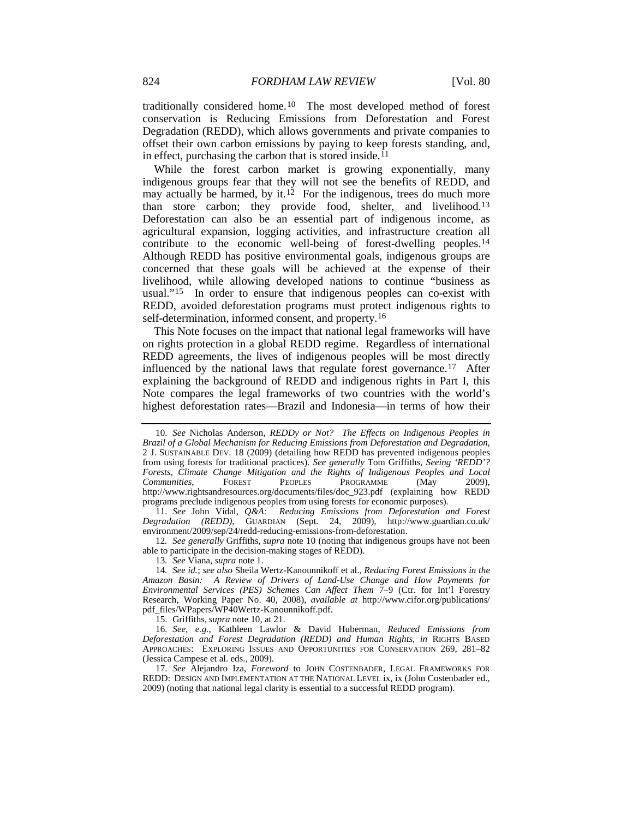<span id="page-4-8"></span>traditionally considered home.[10](#page-4-0) The most developed method of forest conservation is Reducing Emissions from Deforestation and Forest Degradation (REDD), which allows governments and private companies to offset their own carbon emissions by paying to keep forests standing, and, in effect, purchasing the carbon that is stored inside.<sup>[11](#page-4-1)</sup>

While the forest carbon market is growing exponentially, many indigenous groups fear that they will not see the benefits of REDD, and may actually be harmed, by it.<sup>[12](#page-4-2)</sup> For the indigenous, trees do much more than store carbon; they provide food, shelter, and livelihood.[13](#page-4-3) Deforestation can also be an essential part of indigenous income, as agricultural expansion, logging activities, and infrastructure creation all contribute to the economic well-being of forest-dwelling peoples.[14](#page-4-4) Although REDD has positive environmental goals, indigenous groups are concerned that these goals will be achieved at the expense of their livelihood, while allowing developed nations to continue "business as usual."[15](#page-4-5) In order to ensure that indigenous peoples can co-exist with REDD, avoided deforestation programs must protect indigenous rights to self-determination, informed consent, and property.[16](#page-4-6)

<span id="page-4-10"></span><span id="page-4-9"></span>This Note focuses on the impact that national legal frameworks will have on rights protection in a global REDD regime. Regardless of international REDD agreements, the lives of indigenous peoples will be most directly influenced by the national laws that regulate forest governance.<sup>[17](#page-4-7)</sup> After explaining the background of REDD and indigenous rights in Part I, this Note compares the legal frameworks of two countries with the world's highest deforestation rates—Brazil and Indonesia—in terms of how their

<span id="page-4-2"></span>12*. See generally* Griffiths, *supra* note 10 (noting that indigenous groups have not been able to participate in the decision-making stages of REDD).

13*. See* Viana, *supra* not[e 1.](#page-3-10)

<span id="page-4-4"></span><span id="page-4-3"></span>14*. See id.*; *see also* Sheila Wertz-Kanounnikoff et al., *Reducing Forest Emissions in the Amazon Basin: A Review of Drivers of Land-Use Change and How Payments for Environmental Services (PES) Schemes Can Affect Them* 7–9 (Ctr. for Int'l Forestry Research, Working Paper No. 40, 2008), *available at* http://www.cifor.org/publications/ pdf\_files/WPapers/WP40Wertz-Kanounnikoff.pdf.

15. Griffiths, *supra* note 10, at 21.

<span id="page-4-6"></span><span id="page-4-5"></span>16*. See, e.g.*, Kathleen Lawlor & David Huberman, *Reduced Emissions from Deforestation and Forest Degradation (REDD) and Human Rights*, *in* RIGHTS BASED APPROACHES: EXPLORING ISSUES AND OPPORTUNITIES FOR CONSERVATION 269, 281–82 (Jessica Campese et al. eds., 2009).

<span id="page-4-7"></span>17*. See* Alejandro Iza, *Foreword* to JOHN COSTENBADER, LEGAL FRAMEWORKS FOR REDD: DESIGN AND IMPLEMENTATION AT THE NATIONAL LEVEL ix, ix (John Costenbader ed., 2009) (noting that national legal clarity is essential to a successful REDD program).

<span id="page-4-0"></span><sup>10</sup>*. See* Nicholas Anderson, *REDDy or Not? The Effects on Indigenous Peoples in Brazil of a Global Mechanism for Reducing Emissions from Deforestation and Degradation*, 2 J. SUSTAINABLE DEV. 18 (2009) (detailing how REDD has prevented indigenous peoples from using forests for traditional practices). *See generally* Tom Griffiths, *Seeing 'REDD'? Forests, Climate Change Mitigation and the Rights of Indigenous Peoples and Local Communities,* FOREST PEOPLES PROGRAMME (May 2009), *Communities,* http://www.rightsandresources.org/documents/files/doc\_923.pdf (explaining how REDD programs preclude indigenous peoples from using forests for economic purposes).

<span id="page-4-1"></span><sup>11</sup>*. See* John Vidal, *Q&A: Reducing Emissions from Deforestation and Forest Degradation (REDD)*, GUARDIAN (Sept. 24, 2009), http://www.guardian.co.uk/ environment/2009/sep/24/redd-reducing-emissions-from-deforestation.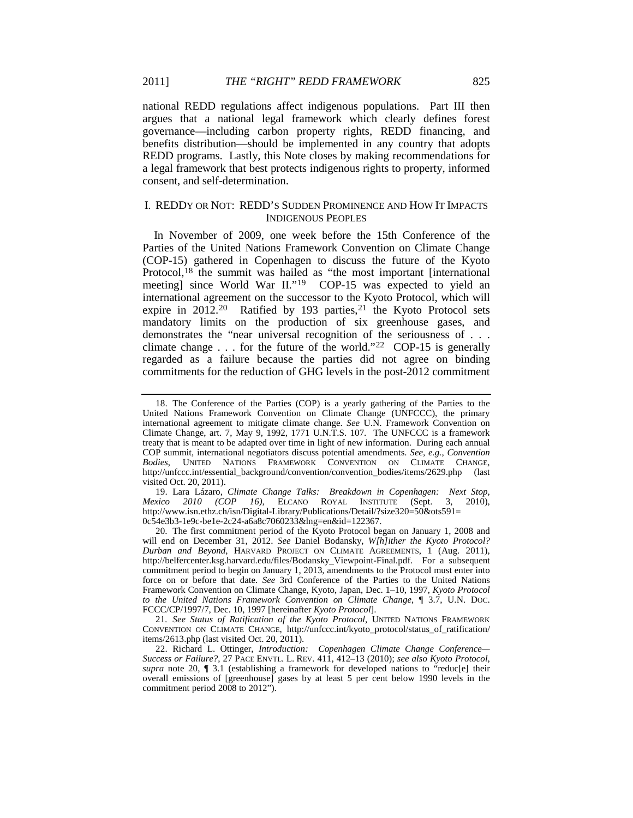national REDD regulations affect indigenous populations. Part III then argues that a national legal framework which clearly defines forest governance—including carbon property rights, REDD financing, and benefits distribution—should be implemented in any country that adopts REDD programs. Lastly, this Note closes by making recommendations for a legal framework that best protects indigenous rights to property, informed consent, and self-determination.

# I. REDDY OR NOT: REDD'S SUDDEN PROMINENCE AND HOW IT IMPACTS INDIGENOUS PEOPLES

<span id="page-5-0"></span>In November of 2009, one week before the 15th Conference of the Parties of the United Nations Framework Convention on Climate Change (COP-15) gathered in Copenhagen to discuss the future of the Kyoto Protocol,<sup>[18](#page-5-1)</sup> the summit was hailed as "the most important [international meeting] since World War II."<sup>[19](#page-5-2)</sup> COP-15 was expected to yield an international agreement on the successor to the Kyoto Protocol, which will expire in 2012.<sup>20</sup> Ratified by 193 parties,<sup>[21](#page-5-4)</sup> the Kyoto Protocol sets mandatory limits on the production of six greenhouse gases, and demonstrates the "near universal recognition of the seriousness of . . . climate change  $\dots$  for the future of the world."<sup>[22](#page-5-5)</sup> COP-15 is generally regarded as a failure because the parties did not agree on binding commitments for the reduction of GHG levels in the post-2012 commitment

<span id="page-5-4"></span>21*. See Status of Ratification of the Kyoto Protocol*, UNITED NATIONS FRAMEWORK CONVENTION ON CLIMATE CHANGE, http://unfccc.int/kyoto\_protocol/status\_of\_ratification/ items/2613.php (last visited Oct. 20, 2011).

<span id="page-5-6"></span><span id="page-5-1"></span><sup>18.</sup> The Conference of the Parties (COP) is a yearly gathering of the Parties to the United Nations Framework Convention on Climate Change (UNFCCC), the primary international agreement to mitigate climate change. *See* U.N. Framework Convention on Climate Change, art. 7, May 9, 1992, 1771 U.N.T.S. 107. The UNFCCC is a framework treaty that is meant to be adapted over time in light of new information. During each annual COP summit, international negotiators discuss potential amendments. *See, e.g.*, *Convention Bodies*, UNITED NATIONS FRAMEWORK CONVENTION ON CLIMATE CHANGE, http://unfccc.int/essential\_background/convention/convention\_bodies/items/2629.php (last visited Oct. 20, 2011).

<span id="page-5-2"></span><sup>19.</sup> Lara Lázaro, *Climate Change Talks: Breakdown in Copenhagen: Next Stop, Mexico 2010 (COP 16)*, ELCANO ROYAL INSTITUTE (Sept. 3, 2010), http://www.isn.ethz.ch/isn/Digital-Library/Publications/Detail/?size320=50&ots591= 0c54e3b3-1e9c-be1e-2c24-a6a8c7060233&lng=en&id=122367.

<span id="page-5-3"></span><sup>20.</sup> The first commitment period of the Kyoto Protocol began on January 1, 2008 and will end on December 31, 2012. *See* Daniel Bodansky, *W[h]ither the Kyoto Protocol? Durban and Beyond*, HARVARD PROJECT ON CLIMATE AGREEMENTS, 1 (Aug. 2011), http://belfercenter.ksg.harvard.edu/files/Bodansky\_Viewpoint-Final.pdf. For a subsequent commitment period to begin on January 1, 2013, amendments to the Protocol must enter into force on or before that date. *See* 3rd Conference of the Parties to the United Nations Framework Convention on Climate Change, Kyoto, Japan, Dec. 1–10, 1997, *Kyoto Protocol to the United Nations Framework Convention on Climate Change*, ¶ 3.7, U.N. DOC. FCCC/CP/1997/7, Dec. 10, 1997 [hereinafter *Kyoto Protocol*].

<span id="page-5-5"></span><sup>22.</sup> Richard L. Ottinger, *Introduction: Copenhagen Climate Change Conference— Success or Failure?*, 27 PACE ENVTL. L. REV. 411, 412–13 (2010); *see also Kyoto Protocol*, *supra* note [20,](#page-5-0) ¶ 3.1 (establishing a framework for developed nations to "reduc[e] their overall emissions of [greenhouse] gases by at least 5 per cent below 1990 levels in the commitment period 2008 to 2012").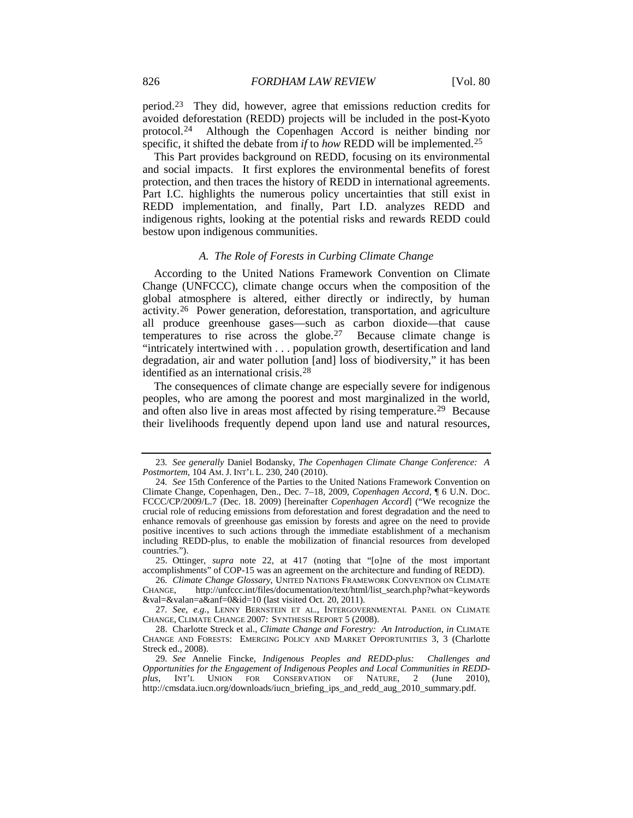<span id="page-6-10"></span><span id="page-6-8"></span>period.[23](#page-6-0) They did, however, agree that emissions reduction credits for avoided deforestation (REDD) projects will be included in the post-Kyoto protocol.[24](#page-6-1) Although the Copenhagen Accord is neither binding nor specific, it shifted the debate from *if* to *how* REDD will be implemented.[25](#page-6-2)

This Part provides background on REDD, focusing on its environmental and social impacts. It first explores the environmental benefits of forest protection, and then traces the history of REDD in international agreements. Part I.C. highlights the numerous policy uncertainties that still exist in REDD implementation, and finally, Part I.D. analyzes REDD and indigenous rights, looking at the potential risks and rewards REDD could bestow upon indigenous communities.

# <span id="page-6-11"></span><span id="page-6-9"></span><span id="page-6-7"></span>*A. The Role of Forests in Curbing Climate Change*

According to the United Nations Framework Convention on Climate Change (UNFCCC), climate change occurs when the composition of the global atmosphere is altered, either directly or indirectly, by human activity.[26](#page-6-3) Power generation, deforestation, transportation, and agriculture all produce greenhouse gases—such as carbon dioxide—that cause temperatures to rise across the globe.<sup>[27](#page-6-4)</sup> Because climate change is "intricately intertwined with . . . population growth, desertification and land degradation, air and water pollution [and] loss of biodiversity," it has been identified as an international crisis.[28](#page-6-5)

The consequences of climate change are especially severe for indigenous peoples, who are among the poorest and most marginalized in the world, and often also live in areas most affected by rising temperature.<sup>[29](#page-6-6)</sup> Because their livelihoods frequently depend upon land use and natural resources,

<span id="page-6-0"></span><sup>23</sup>*. See generally* Daniel Bodansky, *The Copenhagen Climate Change Conference: A Postmortem*, 104 AM. J. INT'L L. 230, 240 (2010).

<span id="page-6-1"></span><sup>24</sup>*. See* 15th Conference of the Parties to the United Nations Framework Convention on Climate Change, Copenhagen, Den., Dec. 7–18, 2009, *Copenhagen Accord*, ¶ 6 U.N. DOC. FCCC/CP/2009/L.7 (Dec. 18. 2009) [hereinafter *Copenhagen Accord*] ("We recognize the crucial role of reducing emissions from deforestation and forest degradation and the need to enhance removals of greenhouse gas emission by forests and agree on the need to provide positive incentives to such actions through the immediate establishment of a mechanism including REDD-plus, to enable the mobilization of financial resources from developed countries.").

<span id="page-6-2"></span><sup>25.</sup> Ottinger, *supra* note [22,](#page-5-6) at 417 (noting that "[o]ne of the most important accomplishments" of COP-15 was an agreement on the architecture and funding of REDD).

<span id="page-6-3"></span><sup>26</sup>*. Climate Change Glossary*, UNITED NATIONS FRAMEWORK CONVENTION ON CLIMATE CHANGE, http://unfccc.int/files/documentation/text/html/list\_search.php?what=keywords &val=&valan=a&anf=0&id=10 (last visited Oct. 20, 2011).

<span id="page-6-4"></span><sup>27</sup>*. See, e.g.*, LENNY BERNSTEIN ET AL., INTERGOVERNMENTAL PANEL ON CLIMATE CHANGE, CLIMATE CHANGE 2007: SYNTHESIS REPORT 5 (2008).

<span id="page-6-5"></span><sup>28.</sup> Charlotte Streck et al., *Climate Change and Forestry: An Introduction*, *in* CLIMATE CHANGE AND FORESTS: EMERGING POLICY AND MARKET OPPORTUNITIES 3, 3 (Charlotte Streck ed., 2008).

<span id="page-6-6"></span><sup>29</sup>*. See* Annelie Fincke, *Indigenous Peoples and REDD-plus: Challenges and Opportunities for the Engagement of Indigenous Peoples and Local Communities in REDDplus*, INT'L UNION FOR CONSERVATION OF NATURE, 2 (June 2010), http://cmsdata.iucn.org/downloads/iucn\_briefing\_ips\_and\_redd\_aug\_2010\_summary.pdf.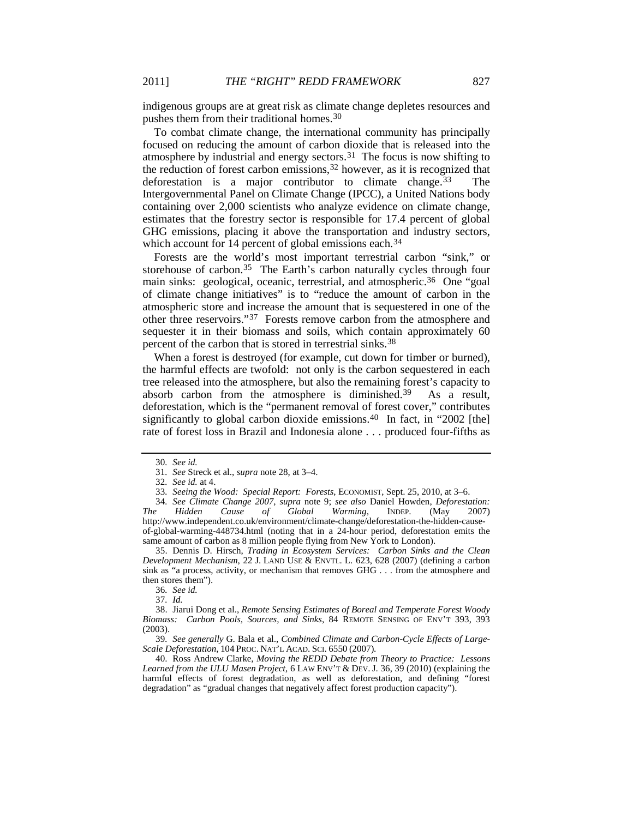indigenous groups are at great risk as climate change depletes resources and pushes them from their traditional homes[.30](#page-7-0)

To combat climate change, the international community has principally focused on reducing the amount of carbon dioxide that is released into the atmosphere by industrial and energy sectors.<sup>[31](#page-7-1)</sup> The focus is now shifting to the reduction of forest carbon emissions[,32](#page-7-2) however, as it is recognized that deforestation is a major contributor to climate change.  $33$  The Intergovernmental Panel on Climate Change (IPCC), a United Nations body containing over 2,000 scientists who analyze evidence on climate change, estimates that the forestry sector is responsible for 17.4 percent of global GHG emissions, placing it above the transportation and industry sectors, which account for 14 percent of global emissions each.<sup>[34](#page-7-4)</sup>

Forests are the world's most important terrestrial carbon "sink," or storehouse of carbon.<sup>35</sup> The Earth's carbon naturally cycles through four main sinks: geological, oceanic, terrestrial, and atmospheric.<sup>[36](#page-7-6)</sup> One "goal of climate change initiatives" is to "reduce the amount of carbon in the atmospheric store and increase the amount that is sequestered in one of the other three reservoirs."[37](#page-7-7) Forests remove carbon from the atmosphere and sequester it in their biomass and soils, which contain approximately 60 percent of the carbon that is stored in terrestrial sinks.[38](#page-7-8)

When a forest is destroyed (for example, cut down for timber or burned), the harmful effects are twofold: not only is the carbon sequestered in each tree released into the atmosphere, but also the remaining forest's capacity to absorb carbon from the atmosphere is diminished.<sup>[39](#page-7-9)</sup> As a result, deforestation, which is the "permanent removal of forest cover," contributes significantly to global carbon dioxide emissions.<sup>[40](#page-7-10)</sup> In fact, in "2002 [the] rate of forest loss in Brazil and Indonesia alone . . . produced four-fifths as

<span id="page-7-5"></span>35. Dennis D. Hirsch, *Trading in Ecosystem Services: Carbon Sinks and the Clean Development Mechanism*, 22 J. LAND USE & ENVTL. L. 623, 628 (2007) (defining a carbon sink as "a process, activity, or mechanism that removes GHG . . . from the atmosphere and then stores them").

36*. See id.*

37*. Id.*

<span id="page-7-9"></span>39*. See generally* G. Bala et al., *Combined Climate and Carbon-Cycle Effects of Large-Scale Deforestation*, 104 PROC. NAT'L ACAD. SCI. 6550 (2007).

<span id="page-7-10"></span>40. Ross Andrew Clarke, *Moving the REDD Debate from Theory to Practice: Lessons Learned from the ULU Masen Project*, 6 LAW ENV'T & DEV. J. 36, 39 (2010) (explaining the harmful effects of forest degradation, as well as deforestation, and defining "forest degradation" as "gradual changes that negatively affect forest production capacity").

<span id="page-7-11"></span><sup>30</sup>*. See id.*

<sup>31</sup>*. See* Streck et al., *supra* not[e 28,](#page-6-7) at 3–4.

<sup>32</sup>*. See id.* at 4.

<sup>33</sup>*. Seeing the Wood: Special Report: Forests*, ECONOMIST, Sept. 25, 2010, at 3–6.

<span id="page-7-4"></span><span id="page-7-3"></span><span id="page-7-2"></span><span id="page-7-1"></span><span id="page-7-0"></span><sup>34</sup>*. See Climate Change 2007*, *supra* note [9;](#page-3-11) *see also* Daniel Howden, *Deforestation: The Hidden Cause of Global Warming*, INDEP. (May 2007) http://www.independent.co.uk/environment/climate-change/deforestation-the-hidden-causeof-global-warming-448734.html (noting that in a 24-hour period, deforestation emits the same amount of carbon as 8 million people flying from New York to London).

<span id="page-7-8"></span><span id="page-7-7"></span><span id="page-7-6"></span><sup>38.</sup> Jiarui Dong et al., *Remote Sensing Estimates of Boreal and Temperate Forest Woody Biomass: Carbon Pools, Sources, and Sinks*, 84 REMOTE SENSING OF ENV'T 393, 393 (2003).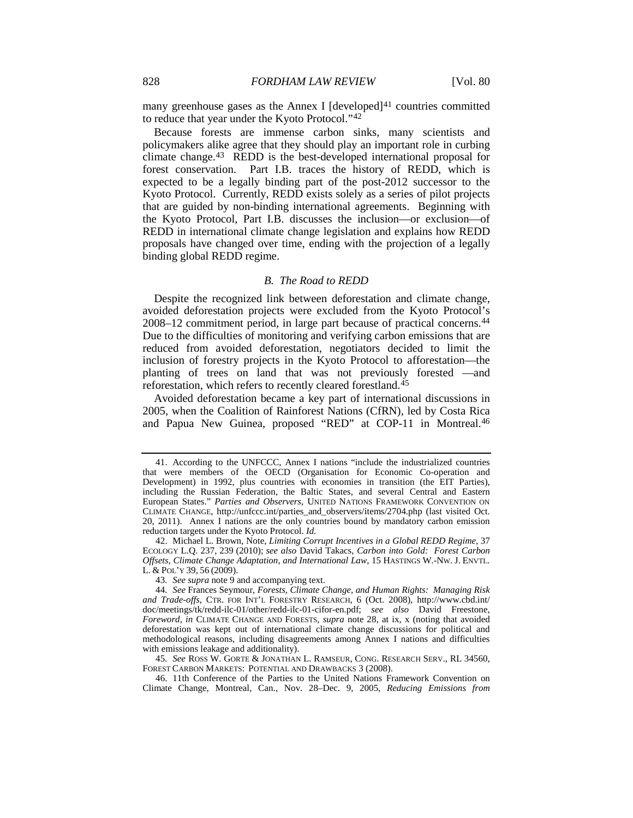many greenhouse gases as the Annex I  $\lbrack$  developed $\rbrack$ <sup>[41](#page-8-0)</sup> countries committed to reduce that year under the Kyoto Protocol."[42](#page-8-1)

Because forests are immense carbon sinks, many scientists and policymakers alike agree that they should play an important role in curbing climate change.[43](#page-8-2) REDD is the best-developed international proposal for forest conservation. Part I.B. traces the history of REDD, which is expected to be a legally binding part of the post-2012 successor to the Kyoto Protocol. Currently, REDD exists solely as a series of pilot projects that are guided by non-binding international agreements. Beginning with the Kyoto Protocol, Part I.B. discusses the inclusion—or exclusion—of REDD in international climate change legislation and explains how REDD proposals have changed over time, ending with the projection of a legally binding global REDD regime.

#### <span id="page-8-7"></span><span id="page-8-6"></span>*B. The Road to REDD*

Despite the recognized link between deforestation and climate change, avoided deforestation projects were excluded from the Kyoto Protocol's 2008–12 commitment period, in large part because of practical concerns.[44](#page-8-3) Due to the difficulties of monitoring and verifying carbon emissions that are reduced from avoided deforestation, negotiators decided to limit the inclusion of forestry projects in the Kyoto Protocol to afforestation—the planting of trees on land that was not previously forested —and reforestation, which refers to recently cleared forestland.[45](#page-8-4)

Avoided deforestation became a key part of international discussions in 2005, when the Coalition of Rainforest Nations (CfRN), led by Costa Rica and Papua New Guinea, proposed "RED" at COP-11 in Montreal.<sup>[46](#page-8-5)</sup>

<span id="page-8-4"></span>45*. See* ROSS W. GORTE & JONATHAN L. RAMSEUR, CONG. RESEARCH SERV., RL 34560, FOREST CARBON MARKETS: POTENTIAL AND DRAWBACKS 3 (2008).

<span id="page-8-5"></span>46. 11th Conference of the Parties to the United Nations Framework Convention on Climate Change, Montreal, Can., Nov. 28–Dec. 9, 2005, *Reducing Emissions from* 

<span id="page-8-0"></span><sup>41.</sup> According to the UNFCCC, Annex I nations "include the industrialized countries that were members of the OECD (Organisation for Economic Co-operation and Development) in 1992, plus countries with economies in transition (the EIT Parties), including the Russian Federation, the Baltic States, and several Central and Eastern European States." *Parties and Observers*, UNITED NATIONS FRAMEWORK CONVENTION ON CLIMATE CHANGE, http://unfccc.int/parties\_and\_observers/items/2704.php (last visited Oct. 20, 2011). Annex I nations are the only countries bound by mandatory carbon emission reduction targets under the Kyoto Protocol. *Id.*

<span id="page-8-1"></span><sup>42.</sup> Michael L. Brown, Note, *Limiting Corrupt Incentives in a Global REDD Regime*, 37 ECOLOGY L.Q. 237, 239 (2010); *see also* David Takacs, *Carbon into Gold: Forest Carbon Offsets, Climate Change Adaptation, and International Law*, 15 HASTINGS W.-NW. J. ENVTL. L. & POL'Y 39, 56 (2009).

<sup>43</sup>*. See supra* not[e 9](#page-3-11) and accompanying text.

<span id="page-8-3"></span><span id="page-8-2"></span><sup>44</sup>*. See* Frances Seymour, *Forests, Climate Change, and Human Rights: Managing Risk and Trade-offs*, CTR. FOR INT'L FORESTRY RESEARCH, 6 (Oct. 2008), http://www.cbd.int/ doc/meetings/tk/redd-ilc-01/other/redd-ilc-01-cifor-en.pdf; *see also* David Freestone, *Foreword*, *in* CLIMATE CHANGE AND FORESTS, *supra* note [28,](#page-6-7) at ix, x (noting that avoided deforestation was kept out of international climate change discussions for political and methodological reasons, including disagreements among Annex I nations and difficulties with emissions leakage and additionality).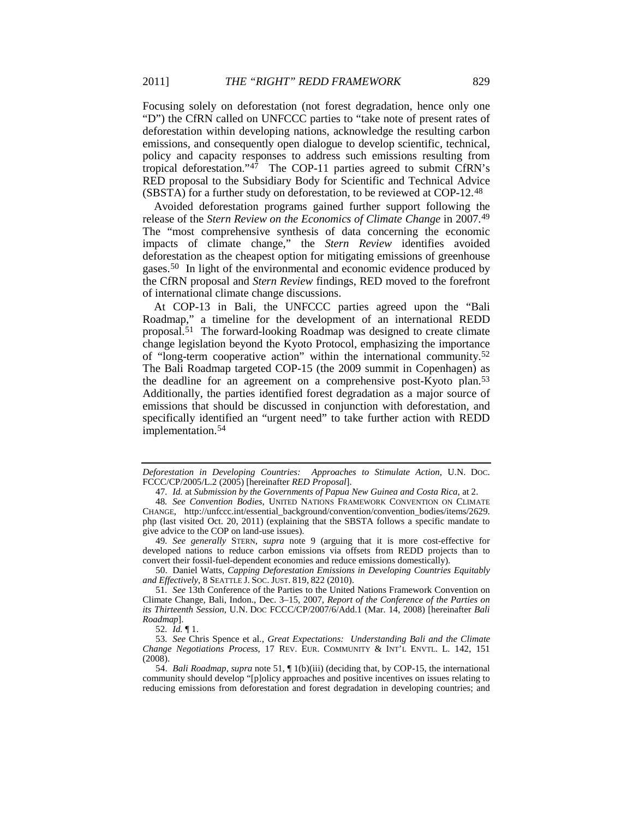Focusing solely on deforestation (not forest degradation, hence only one "D") the CfRN called on UNFCCC parties to "take note of present rates of deforestation within developing nations, acknowledge the resulting carbon emissions, and consequently open dialogue to develop scientific, technical, policy and capacity responses to address such emissions resulting from tropical deforestation." $4\overline{7}$  The COP-11 parties agreed to submit CfRN's RED proposal to the Subsidiary Body for Scientific and Technical Advice (SBSTA) for a further study on deforestation, to be reviewed at COP-12.[48](#page-9-2)

Avoided deforestation programs gained further support following the release of the *Stern Review on the Economics of Climate Change* in 2007.[49](#page-9-3) The "most comprehensive synthesis of data concerning the economic impacts of climate change," the *Stern Review* identifies avoided deforestation as the cheapest option for mitigating emissions of greenhouse gases.[50](#page-9-4) In light of the environmental and economic evidence produced by the CfRN proposal and *Stern Review* findings, RED moved to the forefront of international climate change discussions.

<span id="page-9-0"></span>At COP-13 in Bali, the UNFCCC parties agreed upon the "Bali Roadmap," a timeline for the development of an international REDD proposal. [51](#page-9-5) The forward-looking Roadmap was designed to create climate change legislation beyond the Kyoto Protocol, emphasizing the importance of "long-term cooperative action" within the international community.[52](#page-9-6) The Bali Roadmap targeted COP-15 (the 2009 summit in Copenhagen) as the deadline for an agreement on a comprehensive post-Kyoto plan.[53](#page-9-7) Additionally, the parties identified forest degradation as a major source of emissions that should be discussed in conjunction with deforestation, and specifically identified an "urgent need" to take further action with REDD implementation.[54](#page-9-8)

<span id="page-9-4"></span>50. Daniel Watts, *Capping Deforestation Emissions in Developing Countries Equitably and Effectively*, 8 SEATTLE J. SOC. JUST. 819, 822 (2010).

<span id="page-9-9"></span>*Deforestation in Developing Countries: Approaches to Stimulate Action*, U.N. DOC. FCCC/CP/2005/L.2 (2005) [hereinafter *RED Proposal*].

<sup>47</sup>*. Id.* at *Submission by the Governments of Papua New Guinea and Costa Rica*, at 2.

<span id="page-9-2"></span><span id="page-9-1"></span><sup>48</sup>*. See Convention Bodies*, UNITED NATIONS FRAMEWORK CONVENTION ON CLIMATE CHANGE, http://unfccc.int/essential\_background/convention/convention\_bodies/items/2629. php (last visited Oct. 20, 2011) (explaining that the SBSTA follows a specific mandate to give advice to the COP on land-use issues).

<span id="page-9-3"></span><sup>49</sup>*. See generally* STERN, *supra* note [9](#page-3-11) (arguing that it is more cost-effective for developed nations to reduce carbon emissions via offsets from REDD projects than to convert their fossil-fuel-dependent economies and reduce emissions domestically).

<span id="page-9-5"></span><sup>51</sup>*. See* 13th Conference of the Parties to the United Nations Framework Convention on Climate Change, Bali, Indon., Dec. 3–15, 2007, *Report of the Conference of the Parties on its Thirteenth Session*, U.N. DOC FCCC/CP/2007/6/Add.1 (Mar. 14, 2008) [hereinafter *Bali Roadmap*].

<sup>52</sup>*. Id.* ¶ 1.

<span id="page-9-7"></span><span id="page-9-6"></span><sup>53</sup>*. See* Chris Spence et al., *Great Expectations: Understanding Bali and the Climate Change Negotiations Process*, 17 REV. EUR. COMMUNITY & INT'L ENVTL. L. 142, 151 (2008).

<span id="page-9-8"></span><sup>54.</sup> *Bali Roadmap*, *supra* not[e 51,](#page-9-0) ¶ 1(b)(iii) (deciding that, by COP-15, the international community should develop "[p]olicy approaches and positive incentives on issues relating to reducing emissions from deforestation and forest degradation in developing countries; and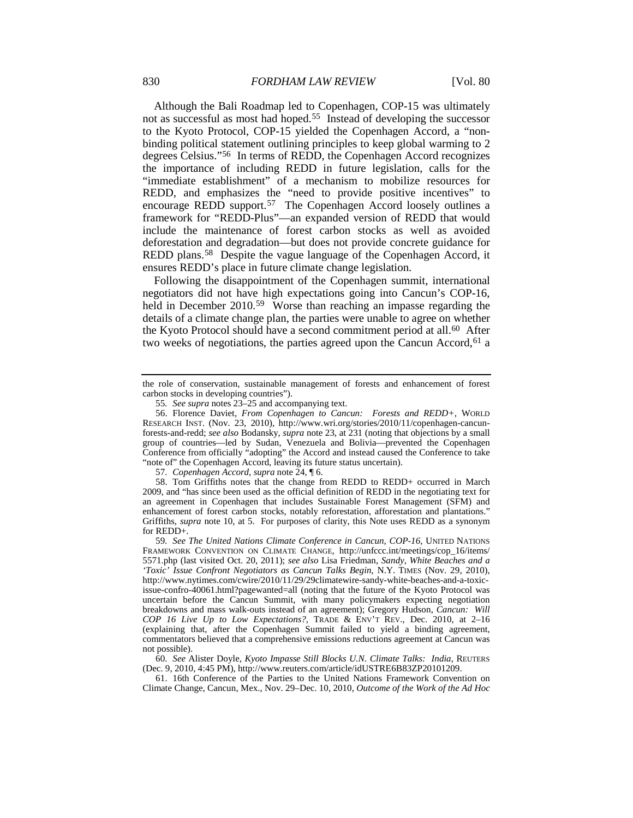<span id="page-10-8"></span>Although the Bali Roadmap led to Copenhagen, COP-15 was ultimately not as successful as most had hoped.[55](#page-10-0) Instead of developing the successor to the Kyoto Protocol, COP-15 yielded the Copenhagen Accord, a "nonbinding political statement outlining principles to keep global warming to 2 degrees Celsius."[56](#page-10-1) In terms of REDD, the Copenhagen Accord recognizes the importance of including REDD in future legislation, calls for the "immediate establishment" of a mechanism to mobilize resources for REDD, and emphasizes the "need to provide positive incentives" to encourage REDD support.[57](#page-10-2) The Copenhagen Accord loosely outlines a framework for "REDD-Plus"—an expanded version of REDD that would include the maintenance of forest carbon stocks as well as avoided deforestation and degradation—but does not provide concrete guidance for REDD plans.<sup>[58](#page-10-3)</sup> Despite the vague language of the Copenhagen Accord, it ensures REDD's place in future climate change legislation.

Following the disappointment of the Copenhagen summit, international negotiators did not have high expectations going into Cancun's COP-16, held in December 2010.<sup>59</sup> Worse than reaching an impasse regarding the details of a climate change plan, the parties were unable to agree on whether the Kyoto Protocol should have a second commitment period at all.<sup>[60](#page-10-5)</sup> After two weeks of negotiations, the parties agreed upon the Cancun Accord, <sup>[61](#page-10-6)</sup> a

57*. Copenhagen Accord*, *supra* not[e 24,](#page-6-10) ¶ 6.

<span id="page-10-3"></span><span id="page-10-2"></span>58. Tom Griffiths notes that the change from REDD to REDD+ occurred in March 2009, and "has since been used as the official definition of REDD in the negotiating text for an agreement in Copenhagen that includes Sustainable Forest Management (SFM) and enhancement of forest carbon stocks, notably reforestation, afforestation and plantations." Griffiths, *supra* note [10,](#page-4-8) at 5. For purposes of clarity, this Note uses REDD as a synonym for REDD+.

the role of conservation, sustainable management of forests and enhancement of forest carbon stocks in developing countries").

<span id="page-10-7"></span><sup>55</sup>*. See supra* note[s 23](#page-6-8)[–25](#page-6-9) and accompanying text.

<span id="page-10-1"></span><span id="page-10-0"></span><sup>56.</sup> Florence Daviet, *From Copenhagen to Cancun: Forests and REDD+*, WORLD RESEARCH INST. (Nov. 23, 2010), http://www.wri.org/stories/2010/11/copenhagen-cancunforests-and-redd; *see also* Bodansky, *supra* not[e 23,](#page-6-8) at 231 (noting that objections by a small group of countries—led by Sudan, Venezuela and Bolivia—prevented the Copenhagen Conference from officially "adopting" the Accord and instead caused the Conference to take "note of" the Copenhagen Accord, leaving its future status uncertain).

<span id="page-10-4"></span><sup>59</sup>*. See The United Nations Climate Conference in Cancun, COP-16*, UNITED NATIONS FRAMEWORK CONVENTION ON CLIMATE CHANGE, http://unfccc.int/meetings/cop\_16/items/ 5571.php (last visited Oct. 20, 2011); *see also* Lisa Friedman, *Sandy, White Beaches and a 'Toxic' Issue Confront Negotiators as Cancun Talks Begin*, N.Y. TIMES (Nov. 29, 2010), http://www.nytimes.com/cwire/2010/11/29/29climatewire-sandy-white-beaches-and-a-toxicissue-confro-40061.html?pagewanted=all (noting that the future of the Kyoto Protocol was uncertain before the Cancun Summit, with many policymakers expecting negotiation breakdowns and mass walk-outs instead of an agreement); Gregory Hudson, *Cancun: Will COP 16 Live Up to Low Expectations?*, TRADE & ENV'T REV., Dec. 2010, at 2–16 (explaining that, after the Copenhagen Summit failed to yield a binding agreement, commentators believed that a comprehensive emissions reductions agreement at Cancun was not possible).

<span id="page-10-5"></span><sup>60</sup>*. See* Alister Doyle, *Kyoto Impasse Still Blocks U.N. Climate Talks: India*, REUTERS (Dec. 9, 2010, 4:45 PM), http://www.reuters.com/article/idUSTRE6B83ZP20101209.

<span id="page-10-6"></span><sup>61.</sup> 16th Conference of the Parties to the United Nations Framework Convention on Climate Change, Cancun, Mex., Nov. 29–Dec. 10, 2010, *Outcome of the Work of the Ad Hoc*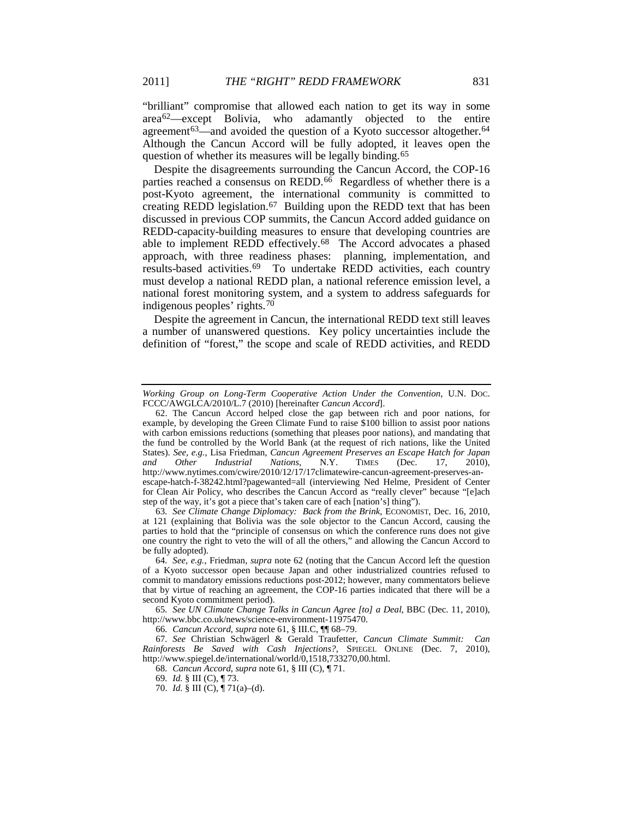<span id="page-11-10"></span><span id="page-11-0"></span>"brilliant" compromise that allowed each nation to get its way in some area[62](#page-11-1)—except Bolivia, who adamantly objected to the entire agreement<sup>[63](#page-11-2)</sup>—and avoided the question of a Kyoto successor altogether.<sup>[64](#page-11-3)</sup> Although the Cancun Accord will be fully adopted, it leaves open the question of whether its measures will be legally binding.[65](#page-11-4)

Despite the disagreements surrounding the Cancun Accord, the COP-16 parties reached a consensus on REDD. $66$  Regardless of whether there is a post-Kyoto agreement, the international community is committed to creating REDD legislation.<sup>[67](#page-11-6)</sup> Building upon the REDD text that has been discussed in previous COP summits, the Cancun Accord added guidance on REDD-capacity-building measures to ensure that developing countries are able to implement REDD effectively.[68](#page-11-7) The Accord advocates a phased approach, with three readiness phases: planning, implementation, and results-based activities.[69](#page-11-8) To undertake REDD activities, each country must develop a national REDD plan, a national reference emission level, a national forest monitoring system, and a system to address safeguards for indigenous peoples' rights.[70](#page-11-9)

<span id="page-11-11"></span>Despite the agreement in Cancun, the international REDD text still leaves a number of unanswered questions. Key policy uncertainties include the definition of "forest," the scope and scale of REDD activities, and REDD

<span id="page-11-2"></span>63*. See Climate Change Diplomacy: Back from the Brink*, ECONOMIST, Dec. 16, 2010, at 121 (explaining that Bolivia was the sole objector to the Cancun Accord, causing the parties to hold that the "principle of consensus on which the conference runs does not give one country the right to veto the will of all the others," and allowing the Cancun Accord to be fully adopted).

<span id="page-11-4"></span>65*. See UN Climate Change Talks in Cancun Agree [to] a Deal*, BBC (Dec. 11, 2010), http://www.bbc.co.uk/news/science-environment-11975470.

66*. Cancun Accord*, *supra* not[e 61,](#page-10-7) § III.C, ¶¶ 68–79.

*Working Group on Long-Term Cooperative Action Under the Convention*, U.N. DOC. FCCC/AWGLCA/2010/L.7 (2010) [hereinafter *Cancun Accord*].

<span id="page-11-1"></span><sup>62.</sup> The Cancun Accord helped close the gap between rich and poor nations, for example, by developing the Green Climate Fund to raise \$100 billion to assist poor nations with carbon emissions reductions (something that pleases poor nations), and mandating that the fund be controlled by the World Bank (at the request of rich nations, like the United States). *See, e.g.*, Lisa Friedman, *Cancun Agreement Preserves an Escape Hatch for Japan and Other Industrial Nations*, N.Y. TIMES (Dec. 17, 2010), *and Other Industrial Nations*, N.Y. TIMES (Dec. 17, 2010), http://www.nytimes.com/cwire/2010/12/17/17climatewire-cancun-agreement-preserves-anescape-hatch-f-38242.html?pagewanted=all (interviewing Ned Helme, President of Center for Clean Air Policy, who describes the Cancun Accord as "really clever" because "[e]ach step of the way, it's got a piece that's taken care of each [nation's] thing").

<span id="page-11-3"></span><sup>64</sup>*. See, e.g.*, Friedman, *supra* note [62](#page-11-0) (noting that the Cancun Accord left the question of a Kyoto successor open because Japan and other industrialized countries refused to commit to mandatory emissions reductions post-2012; however, many commentators believe that by virtue of reaching an agreement, the COP-16 parties indicated that there will be a second Kyoto commitment period).

<span id="page-11-9"></span><span id="page-11-8"></span><span id="page-11-7"></span><span id="page-11-6"></span><span id="page-11-5"></span><sup>67</sup>*. See* Christian Schwägerl & Gerald Traufetter, *Cancun Climate Summit: Can Rainforests Be Saved with Cash Injections?*, SPIEGEL ONLINE (Dec. 7, 2010), http://www.spiegel.de/international/world/0,1518,733270,00.html.

<sup>68</sup>*. Cancun Accord*, *supra* not[e 61,](#page-10-7) § III (C), ¶ 71.

<sup>69</sup>*. Id.* § III (C), ¶ 73.

<sup>70.</sup> *Id.* § III (C), ¶ 71(a)–(d).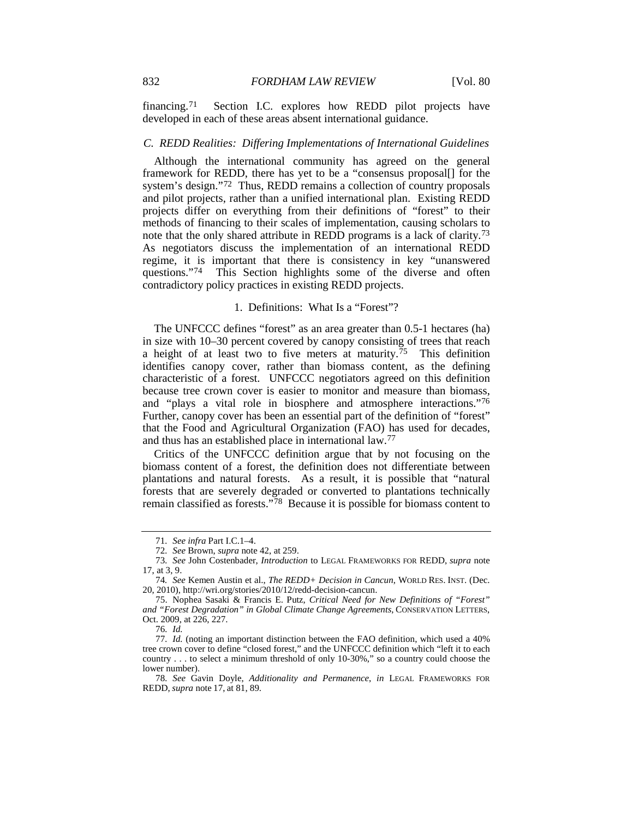financing.[71](#page-12-0) Section I.C. explores how REDD pilot projects have developed in each of these areas absent international guidance.

#### *C. REDD Realities: Differing Implementations of International Guidelines*

Although the international community has agreed on the general framework for REDD, there has yet to be a "consensus proposal[] for the system's design."[72](#page-12-1) Thus, REDD remains a collection of country proposals and pilot projects, rather than a unified international plan. Existing REDD projects differ on everything from their definitions of "forest" to their methods of financing to their scales of implementation, causing scholars to note that the only shared attribute in REDD programs is a lack of clarity.[73](#page-12-2) As negotiators discuss the implementation of an international REDD regime, it is important that there is consistency in key "unanswered questions."[74](#page-12-3) This Section highlights some of the diverse and often contradictory policy practices in existing REDD projects.

#### <span id="page-12-9"></span><span id="page-12-8"></span>1. Definitions: What Is a "Forest"?

The UNFCCC defines "forest" as an area greater than 0.5-1 hectares (ha) in size with 10–30 percent covered by canopy consisting of trees that reach a height of at least two to five meters at maturity.<sup>[75](#page-12-4)</sup> This definition identifies canopy cover, rather than biomass content, as the defining characteristic of a forest. UNFCCC negotiators agreed on this definition because tree crown cover is easier to monitor and measure than biomass, and "plays a vital role in biosphere and atmosphere interactions."[76](#page-12-5) Further, canopy cover has been an essential part of the definition of "forest" that the Food and Agricultural Organization (FAO) has used for decades, and thus has an established place in international law.[77](#page-12-6)

Critics of the UNFCCC definition argue that by not focusing on the biomass content of a forest, the definition does not differentiate between plantations and natural forests. As a result, it is possible that "natural forests that are severely degraded or converted to plantations technically remain classified as forests."[78](#page-12-7) Because it is possible for biomass content to

<sup>71</sup>*. See infra* Part I.C.1–4.

<sup>72</sup>*. See* Brown, *supra* not[e 42,](#page-8-6) at 259.

<span id="page-12-2"></span><span id="page-12-1"></span><span id="page-12-0"></span><sup>73</sup>*. See* John Costenbader, *Introduction* to LEGAL FRAMEWORKS FOR REDD, *supra* note [17,](#page-4-9) at 3, 9.

<span id="page-12-3"></span><sup>74</sup>*. See* Kemen Austin et al., *The REDD+ Decision in Cancun*, WORLD RES. INST. (Dec. 20, 2010), http://wri.org/stories/2010/12/redd-decision-cancun.

<span id="page-12-4"></span><sup>75.</sup> Nophea Sasaki & Francis E. Putz, *Critical Need for New Definitions of "Forest" and "Forest Degradation" in Global Climate Change Agreements*, CONSERVATION LETTERS, Oct. 2009, at 226, 227.

<sup>76</sup>*. Id.*

<span id="page-12-6"></span><span id="page-12-5"></span><sup>77</sup>*. Id.* (noting an important distinction between the FAO definition, which used a 40% tree crown cover to define "closed forest," and the UNFCCC definition which "left it to each country . . . to select a minimum threshold of only 10-30%," so a country could choose the lower number).

<span id="page-12-7"></span><sup>78</sup>*. See* Gavin Doyle, *Additionality and Permanence*, *in* LEGAL FRAMEWORKS FOR REDD, *supra* note [17,](#page-4-9) at 81, 89.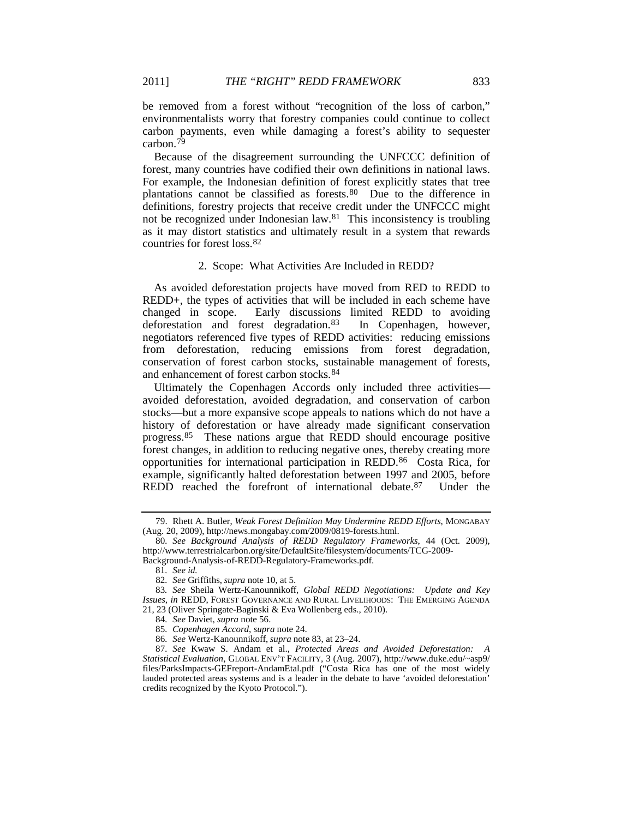be removed from a forest without "recognition of the loss of carbon," environmentalists worry that forestry companies could continue to collect carbon payments, even while damaging a forest's ability to sequester carbon.<sup>[79](#page-13-1)</sup>

Because of the disagreement surrounding the UNFCCC definition of forest, many countries have codified their own definitions in national laws. For example, the Indonesian definition of forest explicitly states that tree plantations cannot be classified as forests.[80](#page-13-2) Due to the difference in definitions, forestry projects that receive credit under the UNFCCC might not be recognized under Indonesian law.[81](#page-13-3) This inconsistency is troubling as it may distort statistics and ultimately result in a system that rewards countries for forest loss.[82](#page-13-4)

#### <span id="page-13-10"></span><span id="page-13-0"></span>2. Scope: What Activities Are Included in REDD?

As avoided deforestation projects have moved from RED to REDD to REDD+, the types of activities that will be included in each scheme have changed in scope. Early discussions limited REDD to avoiding deforestation and forest degradation.[83](#page-13-5) In Copenhagen, however, negotiators referenced five types of REDD activities: reducing emissions from deforestation, reducing emissions from forest degradation, conservation of forest carbon stocks, sustainable management of forests, and enhancement of forest carbon stocks.[84](#page-13-6)

Ultimately the Copenhagen Accords only included three activities avoided deforestation, avoided degradation, and conservation of carbon stocks—but a more expansive scope appeals to nations which do not have a history of deforestation or have already made significant conservation progress.[85](#page-13-7) These nations argue that REDD should encourage positive forest changes, in addition to reducing negative ones, thereby creating more opportunities for international participation in REDD.[86](#page-13-8) Costa Rica, for example, significantly halted deforestation between 1997 and 2005, before REDD reached the forefront of international debate.[87](#page-13-9) Under the

<span id="page-13-1"></span><sup>79.</sup> Rhett A. Butler, *Weak Forest Definition May Undermine REDD Efforts*, MONGABAY (Aug. 20, 2009), http://news.mongabay.com/2009/0819-forests.html.

<span id="page-13-2"></span><sup>80</sup>*. See Background Analysis of REDD Regulatory Frameworks*, 44 (Oct. 2009), http://www.terrestrialcarbon.org/site/DefaultSite/filesystem/documents/TCG-2009-

<span id="page-13-3"></span>Background-Analysis-of-REDD-Regulatory-Frameworks.pdf.

<sup>81</sup>*. See id.*

<sup>82</sup>*. See* Griffiths, *supra* not[e 10,](#page-4-8) at 5.

<span id="page-13-5"></span><span id="page-13-4"></span><sup>83</sup>*. See* Sheila Wertz-Kanounnikoff, *Global REDD Negotiations: Update and Key Issues*, *in* REDD, FOREST GOVERNANCE AND RURAL LIVELIHOODS: THE EMERGING AGENDA 21, 23 (Oliver Springate-Baginski & Eva Wollenberg eds., 2010).

<sup>84</sup>*. See* Daviet, *supra* not[e 56.](#page-10-8)

<sup>85</sup>*. Copenhagen Accord*, *supra* not[e 24.](#page-6-10)

<sup>86</sup>*. See* Wertz-Kanounnikoff, *supra* not[e 83,](#page-13-0) at 23–24.

<span id="page-13-9"></span><span id="page-13-8"></span><span id="page-13-7"></span><span id="page-13-6"></span><sup>87</sup>*. See* Kwaw S. Andam et al., *Protected Areas and Avoided Deforestation: A Statistical Evaluation*, GLOBAL ENV'T FACILITY, 3 (Aug. 2007), http://www.duke.edu/~asp9/ files/ParksImpacts-GEFreport-AndamEtal.pdf ("Costa Rica has one of the most widely lauded protected areas systems and is a leader in the debate to have 'avoided deforestation' credits recognized by the Kyoto Protocol.").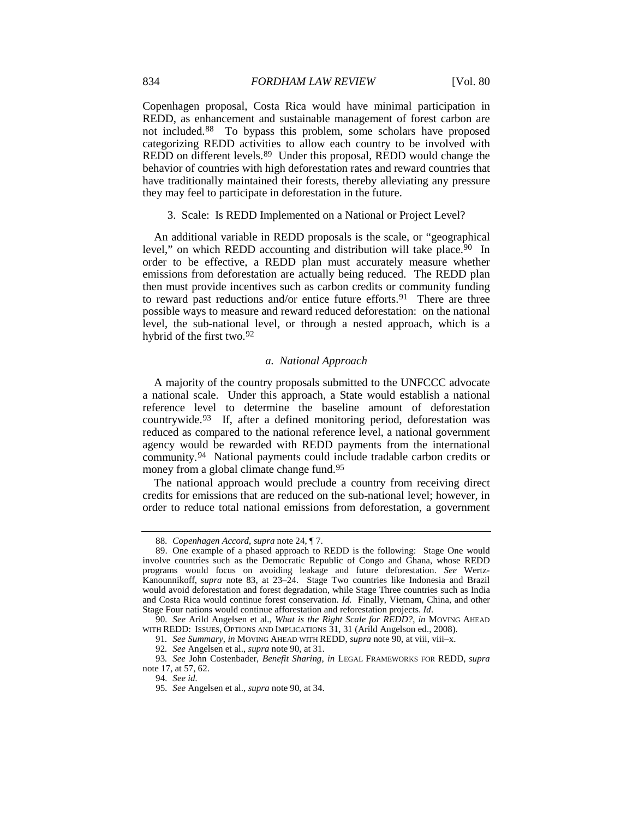Copenhagen proposal, Costa Rica would have minimal participation in REDD, as enhancement and sustainable management of forest carbon are not included.[88](#page-14-1) To bypass this problem, some scholars have proposed categorizing REDD activities to allow each country to be involved with REDD on different levels.<sup>[89](#page-14-2)</sup> Under this proposal, REDD would change the behavior of countries with high deforestation rates and reward countries that have traditionally maintained their forests, thereby alleviating any pressure they may feel to participate in deforestation in the future.

3. Scale: Is REDD Implemented on a National or Project Level?

An additional variable in REDD proposals is the scale, or "geographical level," on which REDD accounting and distribution will take place.<sup>90</sup> In order to be effective, a REDD plan must accurately measure whether emissions from deforestation are actually being reduced. The REDD plan then must provide incentives such as carbon credits or community funding to reward past reductions and/or entice future efforts.<sup>[91](#page-14-4)</sup> There are three possible ways to measure and reward reduced deforestation: on the national level, the sub-national level, or through a nested approach, which is a hybrid of the first two.[92](#page-14-5)

#### <span id="page-14-0"></span>*a. National Approach*

<span id="page-14-9"></span>A majority of the country proposals submitted to the UNFCCC advocate a national scale. Under this approach, a State would establish a national reference level to determine the baseline amount of deforestation countrywide.[93](#page-14-6) If, after a defined monitoring period, deforestation was reduced as compared to the national reference level, a national government agency would be rewarded with REDD payments from the international community.[94](#page-14-7) National payments could include tradable carbon credits or money from a global climate change fund.<sup>[95](#page-14-8)</sup>

The national approach would preclude a country from receiving direct credits for emissions that are reduced on the sub-national level; however, in order to reduce total national emissions from deforestation, a government

<sup>88</sup>*. Copenhagen Accord*, *supra* not[e 24,](#page-6-10) ¶ 7.

<span id="page-14-2"></span><span id="page-14-1"></span><sup>89.</sup> One example of a phased approach to REDD is the following: Stage One would involve countries such as the Democratic Republic of Congo and Ghana, whose REDD programs would focus on avoiding leakage and future deforestation. *See* Wertz-Kanounnikoff, *supra* note [83,](#page-13-0) at 23–24. Stage Two countries like Indonesia and Brazil would avoid deforestation and forest degradation, while Stage Three countries such as India and Costa Rica would continue forest conservation. *Id.* Finally, Vietnam, China, and other Stage Four nations would continue afforestation and reforestation projects. *Id*.

<span id="page-14-3"></span><sup>90</sup>*. See* Arild Angelsen et al., *What is the Right Scale for REDD?*, *in* MOVING AHEAD WITH REDD: ISSUES, OPTIONS AND IMPLICATIONS 31, 31 (Arild Angelson ed., 2008).

<sup>91</sup>*. See Summary*, *in* MOVING AHEAD WITH REDD, *supra* note [90,](#page-14-0) at viii, viii–x.

<sup>92</sup>*. See* Angelsen et al., *supra* not[e 90,](#page-14-0) at 31.

<span id="page-14-8"></span><span id="page-14-7"></span><span id="page-14-6"></span><span id="page-14-5"></span><span id="page-14-4"></span><sup>93</sup>*. See* John Costenbader, *Benefit Sharing*, *in* LEGAL FRAMEWORKS FOR REDD, *supra* not[e 17,](#page-4-9) at 57, 62.

<sup>94</sup>*. See id.*

<sup>95</sup>*. See* Angelsen et al., *supra* not[e 90,](#page-14-0) at 34.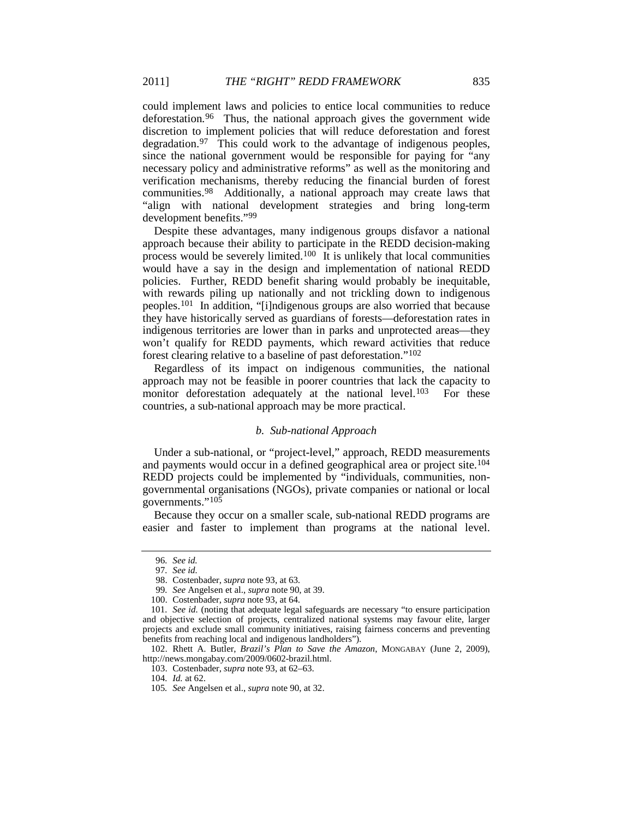could implement laws and policies to entice local communities to reduce deforestation.<sup>96</sup> Thus, the national approach gives the government wide discretion to implement policies that will reduce deforestation and forest degradation.[97](#page-15-1) This could work to the advantage of indigenous peoples, since the national government would be responsible for paying for "any necessary policy and administrative reforms" as well as the monitoring and verification mechanisms, thereby reducing the financial burden of forest communities.[98](#page-15-2) Additionally, a national approach may create laws that "align with national development strategies and bring long-term development benefits.["99](#page-15-3)

Despite these advantages, many indigenous groups disfavor a national approach because their ability to participate in the REDD decision-making process would be severely limited.[100](#page-15-4) It is unlikely that local communities would have a say in the design and implementation of national REDD policies. Further, REDD benefit sharing would probably be inequitable, with rewards piling up nationally and not trickling down to indigenous peoples.[101](#page-15-5) In addition, "[i]ndigenous groups are also worried that because they have historically served as guardians of forests—deforestation rates in indigenous territories are lower than in parks and unprotected areas—they won't qualify for REDD payments, which reward activities that reduce forest clearing relative to a baseline of past deforestation."[102](#page-15-6)

Regardless of its impact on indigenous communities, the national approach may not be feasible in poorer countries that lack the capacity to monitor deforestation adequately at the national level.<sup>[103](#page-15-7)</sup> For these countries, a sub-national approach may be more practical.

#### <span id="page-15-10"></span>*b. Sub-national Approach*

Under a sub-national, or "project-level," approach, REDD measurements and payments would occur in a defined geographical area or project site.[104](#page-15-8) REDD projects could be implemented by "individuals, communities, nongovernmental organisations (NGOs), private companies or national or local governments."[105](#page-15-9)

<span id="page-15-0"></span>Because they occur on a smaller scale, sub-national REDD programs are easier and faster to implement than programs at the national level.

<sup>96</sup>*. See id.*

<sup>97</sup>*. See id.*

<sup>98.</sup> Costenbader, *supra* note [93,](#page-14-9) at 63.

<sup>99</sup>*. See* Angelsen et al., *supra* not[e 90,](#page-14-0) at 39.

<sup>100.</sup> Costenbader, *supra* note [93,](#page-14-9) at 64.

<span id="page-15-5"></span><span id="page-15-4"></span><span id="page-15-3"></span><span id="page-15-2"></span><span id="page-15-1"></span><sup>101</sup>*. See id.* (noting that adequate legal safeguards are necessary "to ensure participation and objective selection of projects, centralized national systems may favour elite, larger projects and exclude small community initiatives, raising fairness concerns and preventing benefits from reaching local and indigenous landholders").

<span id="page-15-9"></span><span id="page-15-8"></span><span id="page-15-7"></span><span id="page-15-6"></span><sup>102.</sup> Rhett A. Butler, *Brazil's Plan to Save the Amazon*, MONGABAY (June 2, 2009), http://news.mongabay.com/2009/0602-brazil.html.

<sup>103.</sup> Costenbader, *supra* note [93,](#page-14-9) at 62–63.

<sup>104</sup>*. Id.* at 62.

<sup>105</sup>*. See* Angelsen et al., *supra* not[e 90,](#page-14-0) at 32.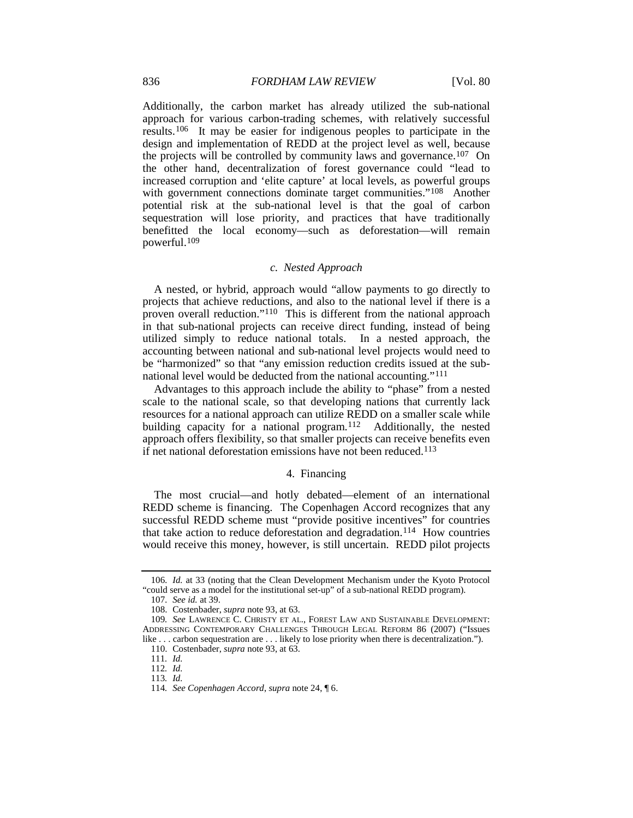Additionally, the carbon market has already utilized the sub-national approach for various carbon-trading schemes, with relatively successful results.[106](#page-16-0) It may be easier for indigenous peoples to participate in the design and implementation of REDD at the project level as well, because the projects will be controlled by community laws and governance[.107](#page-16-1) On the other hand, decentralization of forest governance could "lead to increased corruption and 'elite capture' at local levels, as powerful groups with government connections dominate target communities."<sup>108</sup> Another potential risk at the sub-national level is that the goal of carbon sequestration will lose priority, and practices that have traditionally benefitted the local economy—such as deforestation—will remain powerful.[109](#page-16-3)

# *c. Nested Approach*

A nested, or hybrid, approach would "allow payments to go directly to projects that achieve reductions, and also to the national level if there is a proven overall reduction."[110](#page-16-4) This is different from the national approach in that sub-national projects can receive direct funding, instead of being utilized simply to reduce national totals. In a nested approach, the accounting between national and sub-national level projects would need to be "harmonized" so that "any emission reduction credits issued at the subnational level would be deducted from the national accounting."[111](#page-16-5)

Advantages to this approach include the ability to "phase" from a nested scale to the national scale, so that developing nations that currently lack resources for a national approach can utilize REDD on a smaller scale while building capacity for a national program.<sup>112</sup> Additionally, the nested approach offers flexibility, so that smaller projects can receive benefits even if net national deforestation emissions have not been reduced.<sup>[113](#page-16-7)</sup>

#### 4. Financing

The most crucial—and hotly debated—element of an international REDD scheme is financing. The Copenhagen Accord recognizes that any successful REDD scheme must "provide positive incentives" for countries that take action to reduce deforestation and degradation.<sup>[114](#page-16-8)</sup> How countries would receive this money, however, is still uncertain. REDD pilot projects

<span id="page-16-0"></span><sup>106</sup>*. Id.* at 33 (noting that the Clean Development Mechanism under the Kyoto Protocol "could serve as a model for the institutional set-up" of a sub-national REDD program).

<sup>107</sup>*. See id.* at 39.

<sup>108.</sup> Costenbader, *supra* note [93,](#page-14-9) at 63.

<span id="page-16-6"></span><span id="page-16-5"></span><span id="page-16-4"></span><span id="page-16-3"></span><span id="page-16-2"></span><span id="page-16-1"></span><sup>109</sup>*. See* LAWRENCE C. CHRISTY ET AL., FOREST LAW AND SUSTAINABLE DEVELOPMENT: ADDRESSING CONTEMPORARY CHALLENGES THROUGH LEGAL REFORM 86 (2007) ("Issues like . . . carbon sequestration are . . . likely to lose priority when there is decentralization.").

<sup>110.</sup> Costenbader, *supra* note [93,](#page-14-9) at 63.

<sup>111</sup>*. Id.*

<sup>112</sup>*. Id.*

<sup>113</sup>*. Id.* 

<span id="page-16-8"></span><span id="page-16-7"></span><sup>114</sup>*. See Copenhagen Accord*, *supra* not[e 24,](#page-6-10) ¶ 6.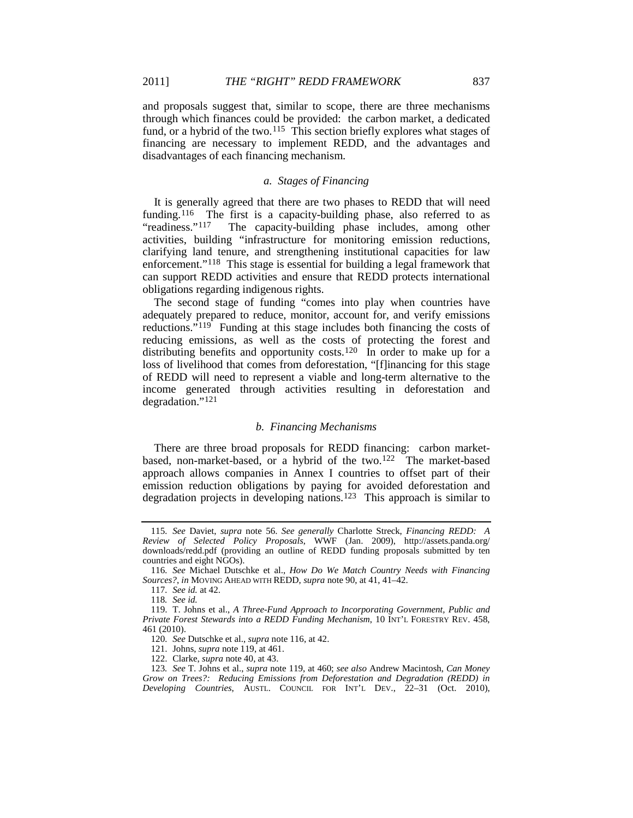and proposals suggest that, similar to scope, there are three mechanisms through which finances could be provided: the carbon market, a dedicated fund, or a hybrid of the two.<sup>[115](#page-17-2)</sup> This section briefly explores what stages of financing are necessary to implement REDD, and the advantages and disadvantages of each financing mechanism.

# <span id="page-17-12"></span>*a. Stages of Financing*

<span id="page-17-0"></span>It is generally agreed that there are two phases to REDD that will need funding.<sup>116</sup> The first is a capacity-building phase, also referred to as "readiness."<sup>117</sup> The capacity-building phase includes, among other The capacity-building phase includes, among other activities, building "infrastructure for monitoring emission reductions, clarifying land tenure, and strengthening institutional capacities for law enforcement."<sup>[118](#page-17-5)</sup> This stage is essential for building a legal framework that can support REDD activities and ensure that REDD protects international obligations regarding indigenous rights.

<span id="page-17-1"></span>The second stage of funding "comes into play when countries have adequately prepared to reduce, monitor, account for, and verify emissions reductions."<sup>[119](#page-17-6)</sup> Funding at this stage includes both financing the costs of reducing emissions, as well as the costs of protecting the forest and distributing benefits and opportunity costs.<sup>120</sup> In order to make up for a loss of livelihood that comes from deforestation, "[f]inancing for this stage of REDD will need to represent a viable and long-term alternative to the income generated through activities resulting in deforestation and degradation."[121](#page-17-8)

#### <span id="page-17-11"></span>*b. Financing Mechanisms*

There are three broad proposals for REDD financing: carbon market-based, non-market-based, or a hybrid of the two.<sup>[122](#page-17-9)</sup> The market-based approach allows companies in Annex I countries to offset part of their emission reduction obligations by paying for avoided deforestation and degradation projects in developing nations.<sup>[123](#page-17-10)</sup> This approach is similar to

<span id="page-17-2"></span><sup>115</sup>*. See* Daviet, *supra* note [56.](#page-10-8) *See generally* Charlotte Streck, *Financing REDD: A Review of Selected Policy Proposals*, WWF (Jan. 2009), http://assets.panda.org/ downloads/redd.pdf (providing an outline of REDD funding proposals submitted by ten countries and eight NGOs).

<span id="page-17-4"></span><span id="page-17-3"></span><sup>116</sup>*. See* Michael Dutschke et al., *How Do We Match Country Needs with Financing Sources?*, *in* MOVING AHEAD WITH REDD, *supra* not[e 90,](#page-14-0) at 41, 41–42.

<sup>117</sup>*. See id.* at 42.

<sup>118</sup>*. See id.*

<span id="page-17-7"></span><span id="page-17-6"></span><span id="page-17-5"></span><sup>119.</sup> T. Johns et al., *A Three-Fund Approach to Incorporating Government, Public and Private Forest Stewards into a REDD Funding Mechanism*, 10 INT'L FORESTRY REV. 458, 461 (2010).

<sup>120</sup>*. See* Dutschke et al., *supra* not[e 116,](#page-17-0) at 42.

<sup>121.</sup> Johns, *supra* not[e 119,](#page-17-1) at 461.

<sup>122.</sup> Clarke, *supra* note [40,](#page-7-11) at 43.

<span id="page-17-10"></span><span id="page-17-9"></span><span id="page-17-8"></span><sup>123</sup>*. See* T. Johns et al., *supra* not[e 119,](#page-17-1) at 460; *see also* Andrew Macintosh, *Can Money Grow on Trees?: Reducing Emissions from Deforestation and Degradation (REDD) in Developing Countries*, AUSTL. COUNCIL FOR INT'L DEV., 22–31 (Oct. 2010),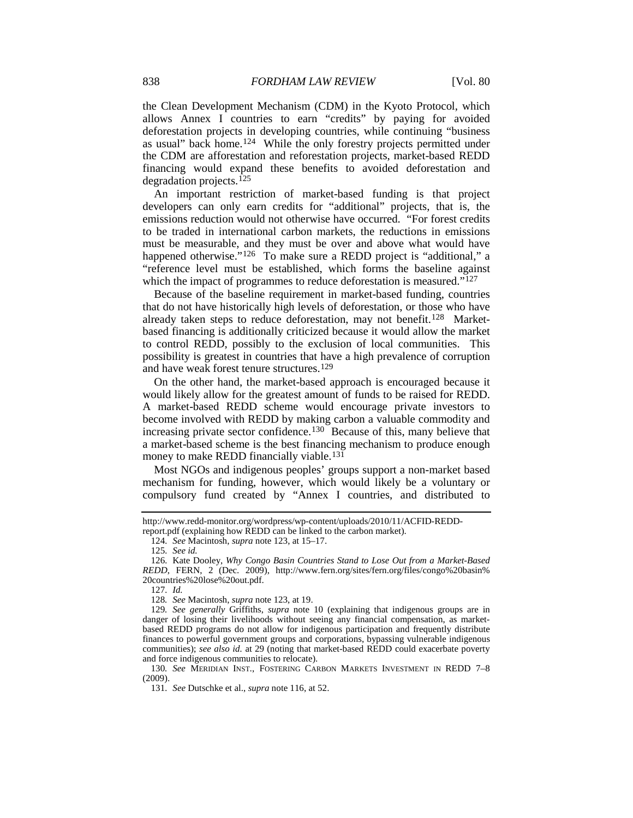the Clean Development Mechanism (CDM) in the Kyoto Protocol, which allows Annex I countries to earn "credits" by paying for avoided deforestation projects in developing countries, while continuing "business as usual" back home.[124](#page-18-0) While the only forestry projects permitted under the CDM are afforestation and reforestation projects, market-based REDD financing would expand these benefits to avoided deforestation and degradation projects.[125](#page-18-1)

An important restriction of market-based funding is that project developers can only earn credits for "additional" projects, that is, the emissions reduction would not otherwise have occurred. "For forest credits to be traded in international carbon markets, the reductions in emissions must be measurable, and they must be over and above what would have happened otherwise."<sup>[126](#page-18-2)</sup> To make sure a REDD project is "additional," a "reference level must be established, which forms the baseline against which the impact of programmes to reduce deforestation is measured."<sup>[127](#page-18-3)</sup>

Because of the baseline requirement in market-based funding, countries that do not have historically high levels of deforestation, or those who have already taken steps to reduce deforestation, may not benefit.[128](#page-18-4) Marketbased financing is additionally criticized because it would allow the market to control REDD, possibly to the exclusion of local communities. This possibility is greatest in countries that have a high prevalence of corruption and have weak forest tenure structures.[129](#page-18-5)

On the other hand, the market-based approach is encouraged because it would likely allow for the greatest amount of funds to be raised for REDD. A market-based REDD scheme would encourage private investors to become involved with REDD by making carbon a valuable commodity and increasing private sector confidence.<sup>130</sup> Because of this, many believe that a market-based scheme is the best financing mechanism to produce enough money to make REDD financially viable.<sup>[131](#page-18-7)</sup>

Most NGOs and indigenous peoples' groups support a non-market based mechanism for funding, however, which would likely be a voluntary or compulsory fund created by "Annex I countries, and distributed to

125*. See id.*

127*. Id.*

128*. See* Macintosh, *supra* not[e 123,](#page-17-11) at 19.

<span id="page-18-7"></span><span id="page-18-6"></span>130*. See* MERIDIAN INST., FOSTERING CARBON MARKETS INVESTMENT IN REDD 7–8 (2009).

131*. See* Dutschke et al., *supra* not[e 116,](#page-17-0) at 52.

<span id="page-18-0"></span>http://www.redd-monitor.org/wordpress/wp-content/uploads/2010/11/ACFID-REDDreport.pdf (explaining how REDD can be linked to the carbon market).

<sup>124</sup>*. See* Macintosh, *supra* not[e 123,](#page-17-11) at 15–17.

<span id="page-18-2"></span><span id="page-18-1"></span><sup>126</sup>*.* Kate Dooley, *Why Congo Basin Countries Stand to Lose Out from a Market-Based REDD*, FERN, 2 (Dec. 2009), http://www.fern.org/sites/fern.org/files/congo%20basin% 20countries%20lose%20out.pdf.

<span id="page-18-5"></span><span id="page-18-4"></span><span id="page-18-3"></span><sup>129</sup>*. See generally* Griffiths, *supra* note [10](#page-4-8) (explaining that indigenous groups are in danger of losing their livelihoods without seeing any financial compensation, as marketbased REDD programs do not allow for indigenous participation and frequently distribute finances to powerful government groups and corporations, bypassing vulnerable indigenous communities); *see also id.* at 29 (noting that market-based REDD could exacerbate poverty and force indigenous communities to relocate).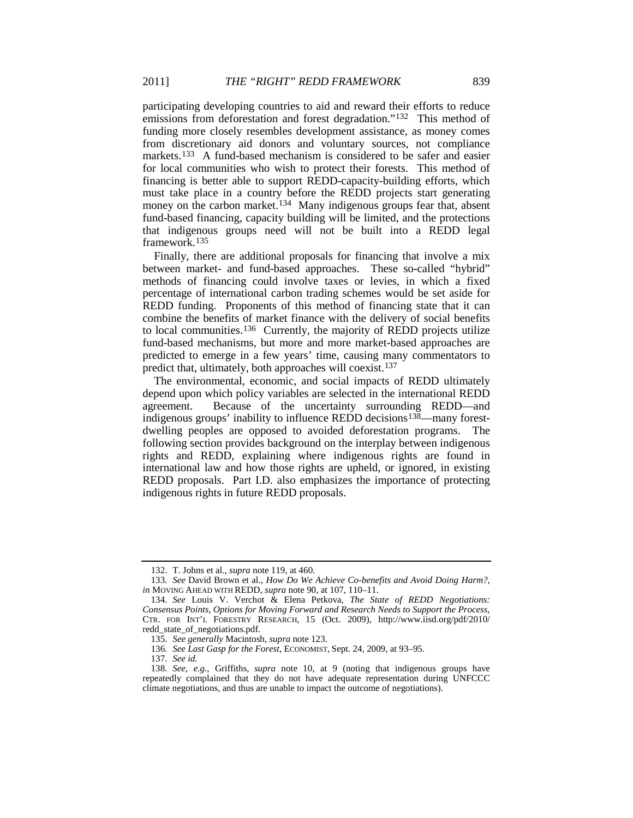participating developing countries to aid and reward their efforts to reduce emissions from deforestation and forest degradation."[132](#page-19-0) This method of funding more closely resembles development assistance, as money comes from discretionary aid donors and voluntary sources, not compliance markets.<sup>[133](#page-19-1)</sup> A fund-based mechanism is considered to be safer and easier for local communities who wish to protect their forests. This method of financing is better able to support REDD-capacity-building efforts, which must take place in a country before the REDD projects start generating money on the carbon market.<sup>[134](#page-19-2)</sup> Many indigenous groups fear that, absent fund-based financing, capacity building will be limited, and the protections that indigenous groups need will not be built into a REDD legal framework[.135](#page-19-3)

Finally, there are additional proposals for financing that involve a mix between market- and fund-based approaches. These so-called "hybrid" methods of financing could involve taxes or levies, in which a fixed percentage of international carbon trading schemes would be set aside for REDD funding. Proponents of this method of financing state that it can combine the benefits of market finance with the delivery of social benefits to local communities[.136](#page-19-4) Currently, the majority of REDD projects utilize fund-based mechanisms, but more and more market-based approaches are predicted to emerge in a few years' time, causing many commentators to predict that, ultimately, both approaches will coexist.[137](#page-19-5)

The environmental, economic, and social impacts of REDD ultimately depend upon which policy variables are selected in the international REDD agreement. Because of the uncertainty surrounding REDD—and indigenous groups' inability to influence REDD decisions<sup>[138](#page-19-6)</sup>—many forestdwelling peoples are opposed to avoided deforestation programs. The following section provides background on the interplay between indigenous rights and REDD, explaining where indigenous rights are found in international law and how those rights are upheld, or ignored, in existing REDD proposals. Part I.D. also emphasizes the importance of protecting indigenous rights in future REDD proposals.

<sup>132.</sup> T. Johns et al., *supra* note [119,](#page-17-1) at 460.

<span id="page-19-1"></span><span id="page-19-0"></span><sup>133</sup>*. See* David Brown et al., *How Do We Achieve Co-benefits and Avoid Doing Harm?*, *in* MOVING AHEAD WITH REDD, *supra* note [90,](#page-14-0) at 107, 110–11.

<span id="page-19-2"></span><sup>134</sup>*. See* Louis V. Verchot & Elena Petkova, *The State of REDD Negotiations: Consensus Points, Options for Moving Forward and Research Needs to Support the Process*, CTR. FOR INT'L FORESTRY RESEARCH, 15 (Oct. 2009), http://www.iisd.org/pdf/2010/ redd\_state\_of\_negotiations.pdf.

<sup>135</sup>*. See generally* Macintosh, *supra* note [123.](#page-17-11)

<sup>136</sup>*. See Last Gasp for the Forest*, ECONOMIST, Sept. 24, 2009, at 93–95.

<sup>137</sup>*. See id.*

<span id="page-19-6"></span><span id="page-19-5"></span><span id="page-19-4"></span><span id="page-19-3"></span><sup>138</sup>*. See, e.g.*, Griffiths, *supra* note [10,](#page-4-8) at 9 (noting that indigenous groups have repeatedly complained that they do not have adequate representation during UNFCCC climate negotiations, and thus are unable to impact the outcome of negotiations).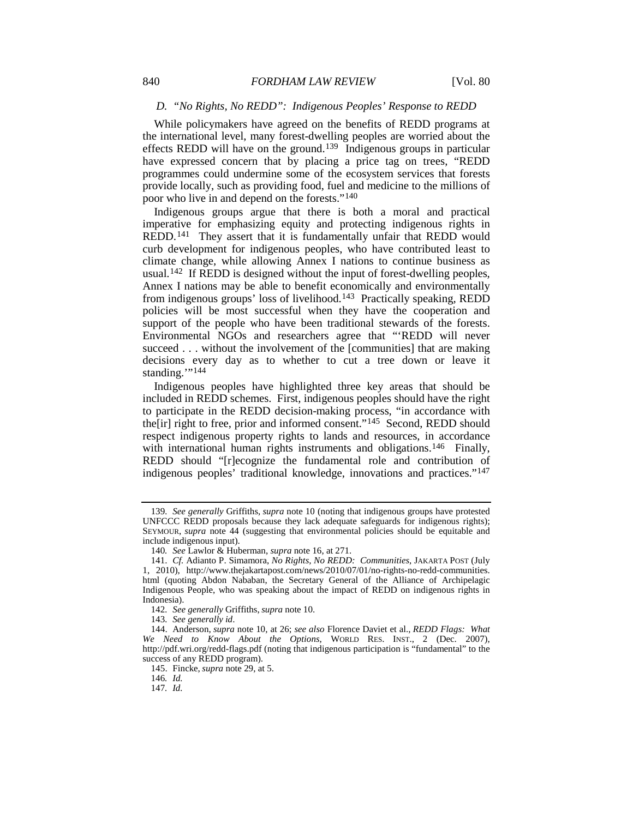# *D. "No Rights, No REDD": Indigenous Peoples' Response to REDD*

While policymakers have agreed on the benefits of REDD programs at the international level, many forest-dwelling peoples are worried about the effects REDD will have on the ground.[139](#page-20-0) Indigenous groups in particular have expressed concern that by placing a price tag on trees, "REDD programmes could undermine some of the ecosystem services that forests provide locally, such as providing food, fuel and medicine to the millions of poor who live in and depend on the forests."[140](#page-20-1)

Indigenous groups argue that there is both a moral and practical imperative for emphasizing equity and protecting indigenous rights in REDD.[141](#page-20-2) They assert that it is fundamentally unfair that REDD would curb development for indigenous peoples, who have contributed least to climate change, while allowing Annex I nations to continue business as usual.<sup>142</sup> If REDD is designed without the input of forest-dwelling peoples, Annex I nations may be able to benefit economically and environmentally from indigenous groups' loss of livelihood.[143](#page-20-4) Practically speaking, REDD policies will be most successful when they have the cooperation and support of the people who have been traditional stewards of the forests. Environmental NGOs and researchers agree that "'REDD will never succeed . . . without the involvement of the [communities] that are making decisions every day as to whether to cut a tree down or leave it standing."<sup>[144](#page-20-5)</sup>

Indigenous peoples have highlighted three key areas that should be included in REDD schemes. First, indigenous peoples should have the right to participate in the REDD decision-making process, "in accordance with the[ir] right to free, prior and informed consent."[145](#page-20-6) Second, REDD should respect indigenous property rights to lands and resources, in accordance with international human rights instruments and obligations.<sup>[146](#page-20-7)</sup> Finally, REDD should "[r]ecognize the fundamental role and contribution of indigenous peoples' traditional knowledge, innovations and practices."[147](#page-20-8)

<span id="page-20-0"></span><sup>139</sup>*. See generally* Griffiths, *supra* note [10](#page-4-8) (noting that indigenous groups have protested UNFCCC REDD proposals because they lack adequate safeguards for indigenous rights); SEYMOUR, *supra* note [44](#page-8-7) (suggesting that environmental policies should be equitable and include indigenous input).

<sup>140</sup>*. See* Lawlor & Huberman, *supra* not[e 16,](#page-4-10) at 271.

<span id="page-20-2"></span><span id="page-20-1"></span><sup>141.</sup> *Cf.* Adianto P. Simamora, *No Rights, No REDD: Communities*, JAKARTA POST (July 1, 2010), http://www.thejakartapost.com/news/2010/07/01/no-rights-no-redd-communities. html (quoting Abdon Nababan, the Secretary General of the Alliance of Archipelagic Indigenous People, who was speaking about the impact of REDD on indigenous rights in Indonesia).

<sup>142</sup>*. See generally* Griffiths, *supra* not[e 10.](#page-4-8)

<sup>143</sup>*. See generally id*.

<span id="page-20-7"></span><span id="page-20-6"></span><span id="page-20-5"></span><span id="page-20-4"></span><span id="page-20-3"></span><sup>144.</sup> Anderson, *supra* not[e 10,](#page-4-8) at 26; *see also* Florence Daviet et al., *REDD Flags: What We Need to Know About the Options*, WORLD RES. INST., 2 (Dec. 2007), http://pdf.wri.org/redd-flags.pdf (noting that indigenous participation is "fundamental" to the success of any REDD program).

<sup>145.</sup> Fincke, *supra* note [29,](#page-6-11) at 5.

<sup>146</sup>*. Id.*

<span id="page-20-8"></span><sup>147</sup>*. Id.*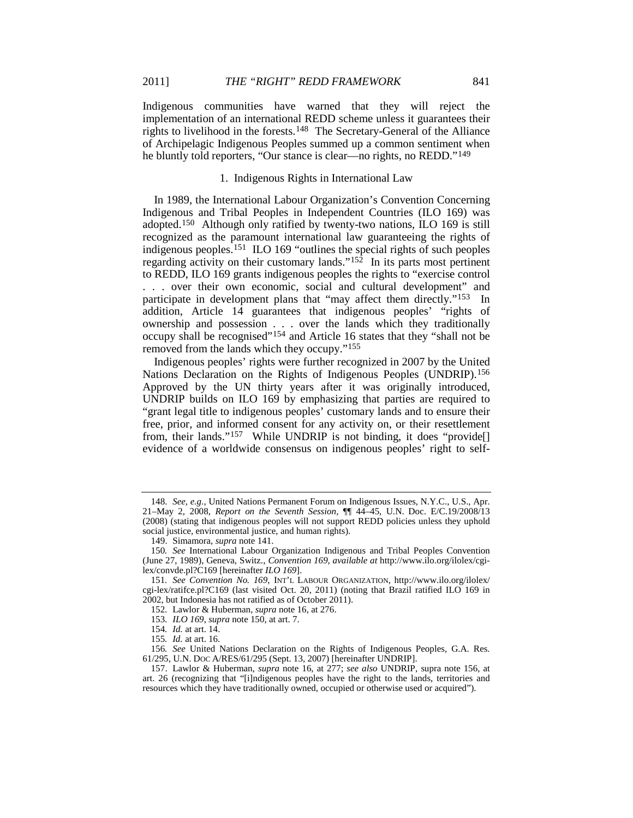Indigenous communities have warned that they will reject the implementation of an international REDD scheme unless it guarantees their rights to livelihood in the forests[.148](#page-21-2) The Secretary-General of the Alliance of Archipelagic Indigenous Peoples summed up a common sentiment when he bluntly told reporters, "Our stance is clear—no rights, no REDD."[149](#page-21-3)

#### <span id="page-21-1"></span>1. Indigenous Rights in International Law

<span id="page-21-0"></span>In 1989, the International Labour Organization's Convention Concerning Indigenous and Tribal Peoples in Independent Countries (ILO 169) was adopted.[150](#page-21-4) Although only ratified by twenty-two nations, ILO 169 is still recognized as the paramount international law guaranteeing the rights of indigenous peoples.[151](#page-21-5) ILO 169 "outlines the special rights of such peoples regarding activity on their customary lands."<sup>[152](#page-21-6)</sup> In its parts most pertinent to REDD, ILO 169 grants indigenous peoples the rights to "exercise control . . . over their own economic, social and cultural development" and participate in development plans that "may affect them directly."[153](#page-21-7) In addition, Article 14 guarantees that indigenous peoples' "rights of ownership and possession . . . over the lands which they traditionally occupy shall be recognised"[154](#page-21-8) and Article 16 states that they "shall not be removed from the lands which they occupy."[155](#page-21-9)

Indigenous peoples' rights were further recognized in 2007 by the United Nations Declaration on the Rights of Indigenous Peoples (UNDRIP).[156](#page-21-10) Approved by the UN thirty years after it was originally introduced, UNDRIP builds on ILO 169 by emphasizing that parties are required to "grant legal title to indigenous peoples' customary lands and to ensure their free, prior, and informed consent for any activity on, or their resettlement from, their lands."[157](#page-21-11) While UNDRIP is not binding, it does "provide[] evidence of a worldwide consensus on indigenous peoples' right to self-

<span id="page-21-2"></span><sup>148</sup>*. See, e.g.*, United Nations Permanent Forum on Indigenous Issues, N.Y.C., U.S., Apr. 21–May 2, 2008, *Report on the Seventh Session,* ¶¶ 44–45, U.N. Doc. E/C.19/2008/13 (2008) (stating that indigenous peoples will not support REDD policies unless they uphold social justice, environmental justice, and human rights).

<sup>149.</sup> Simamora, *supra* note 141.

<span id="page-21-4"></span><span id="page-21-3"></span><sup>150</sup>*. See* International Labour Organization Indigenous and Tribal Peoples Convention (June 27, 1989), Geneva, Switz., *Convention 169*, *available at* http://www.ilo.org/ilolex/cgilex/convde.pl?C169 [hereinafter *ILO 169*].

<span id="page-21-6"></span><span id="page-21-5"></span><sup>151</sup>*. See Convention No. 169*, INT'L LABOUR ORGANIZATION, http://www.ilo.org/ilolex/ cgi-lex/ratifce.pl?C169 (last visited Oct. 20, 2011) (noting that Brazil ratified ILO 169 in 2002, but Indonesia has not ratified as of October 2011).

<sup>152</sup>*.* Lawlor & Huberman, *supra* not[e 16,](#page-4-10) at 276.

<sup>153</sup>*. ILO 169*, *supra* not[e 150,](#page-21-0) at art. 7.

<sup>154</sup>*. Id.* at art. 14.

<sup>155</sup>*. Id.* at art. 16.

<span id="page-21-10"></span><span id="page-21-9"></span><span id="page-21-8"></span><span id="page-21-7"></span><sup>156</sup>*. See* United Nations Declaration on the Rights of Indigenous Peoples, G.A. Res. 61/295, U.N. DOC A/RES/61/295 (Sept. 13, 2007) [hereinafter UNDRIP].

<span id="page-21-11"></span><sup>157.</sup> Lawlor & Huberman, *supra* note [16,](#page-4-10) at 277; *see also* UNDRIP, supra note [156,](#page-21-1) at art. 26 (recognizing that "[i]ndigenous peoples have the right to the lands, territories and resources which they have traditionally owned, occupied or otherwise used or acquired").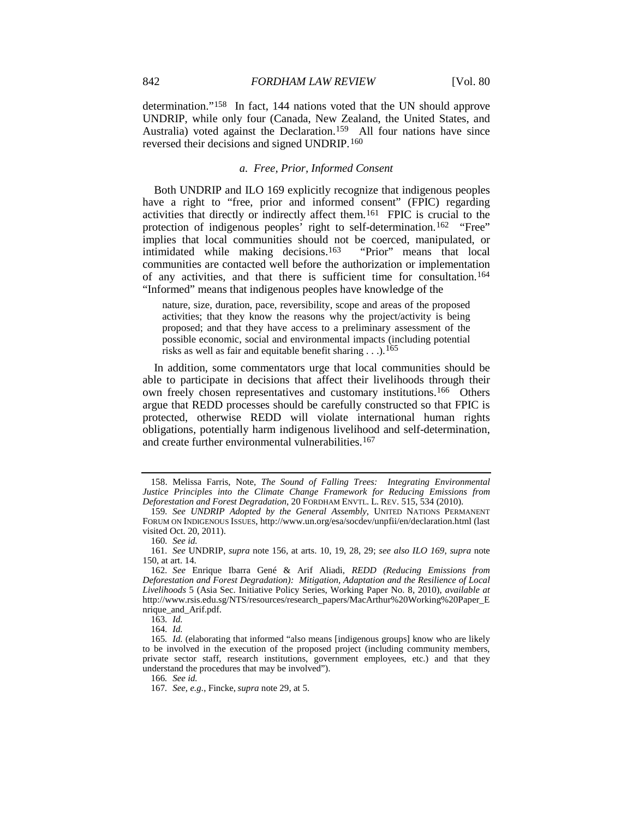determination."[158](#page-22-0) In fact, 144 nations voted that the UN should approve UNDRIP, while only four (Canada, New Zealand, the United States, and Australia) voted against the Declaration.<sup>[159](#page-22-1)</sup> All four nations have since reversed their decisions and signed UNDRIP.[160](#page-22-2)

#### *a. Free, Prior, Informed Consent*

Both UNDRIP and ILO 169 explicitly recognize that indigenous peoples have a right to "free, prior and informed consent" (FPIC) regarding activities that directly or indirectly affect them.[161](#page-22-3) FPIC is crucial to the protection of indigenous peoples' right to self-determination.<sup>[162](#page-22-4)</sup> "Free" implies that local communities should not be coerced, manipulated, or intimidated while making decisions.[163](#page-22-5) "Prior" means that local communities are contacted well before the authorization or implementation of any activities, and that there is sufficient time for consultation.[164](#page-22-6) "Informed" means that indigenous peoples have knowledge of the

nature, size, duration, pace, reversibility, scope and areas of the proposed activities; that they know the reasons why the project/activity is being proposed; and that they have access to a preliminary assessment of the possible economic, social and environmental impacts (including potential risks as well as fair and equitable benefit sharing  $\dots$ .  $165$ 

In addition, some commentators urge that local communities should be able to participate in decisions that affect their livelihoods through their own freely chosen representatives and customary institutions. [166](#page-22-8) Others argue that REDD processes should be carefully constructed so that FPIC is protected, otherwise REDD will violate international human rights obligations, potentially harm indigenous livelihood and self-determination, and create further environmental vulnerabilities.<sup>[167](#page-22-9)</sup>

<span id="page-22-0"></span><sup>158.</sup> Melissa Farris, Note, *The Sound of Falling Trees: Integrating Environmental Justice Principles into the Climate Change Framework for Reducing Emissions from Deforestation and Forest Degradation*, 20 FORDHAM ENVTL. L. REV. 515, 534 (2010).

<span id="page-22-1"></span><sup>159</sup>*. See UNDRIP Adopted by the General Assembly*, UNITED NATIONS PERMANENT FORUM ON INDIGENOUS ISSUES, http://www.un.org/esa/socdev/unpfii/en/declaration.html (last visited Oct. 20, 2011).

<sup>160</sup>*. See id.*

<span id="page-22-2"></span><sup>161</sup>*. See* UNDRIP, *supra* note [156,](#page-21-1) at arts. 10, 19, 28, 29; *see also ILO 169*, *supra* note [150,](#page-21-0) at art. 14.

<span id="page-22-4"></span><span id="page-22-3"></span><sup>162</sup>*. See* Enrique Ibarra Gené & Arif Aliadi, *REDD (Reducing Emissions from Deforestation and Forest Degradation): Mitigation, Adaptation and the Resilience of Local Livelihoods* 5 (Asia Sec. Initiative Policy Series, Working Paper No. 8, 2010), *available at*  http://www.rsis.edu.sg/NTS/resources/research\_papers/MacArthur%20Working%20Paper\_E nrique\_and\_Arif.pdf.

<sup>163</sup>*. Id.*

<sup>164</sup>*. Id.*

<span id="page-22-9"></span><span id="page-22-8"></span><span id="page-22-7"></span><span id="page-22-6"></span><span id="page-22-5"></span><sup>165</sup>*. Id.* (elaborating that informed "also means [indigenous groups] know who are likely to be involved in the execution of the proposed project (including community members, private sector staff, research institutions, government employees, etc.) and that they understand the procedures that may be involved").

<sup>166</sup>*. See id.*

<sup>167</sup>*. See, e.g.*, Fincke, *supra* not[e 29,](#page-6-11) at 5.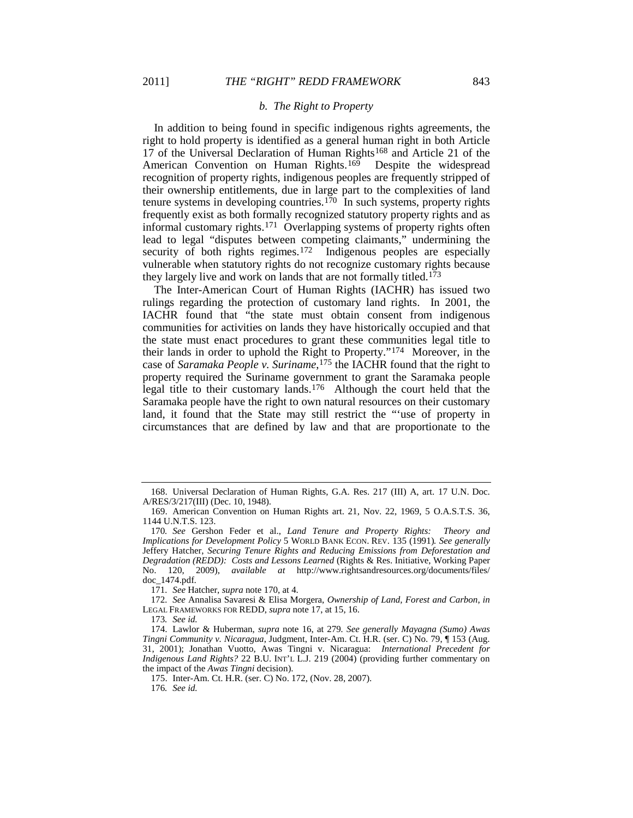#### <span id="page-23-11"></span><span id="page-23-10"></span><span id="page-23-0"></span>*b. The Right to Property*

In addition to being found in specific indigenous rights agreements, the right to hold property is identified as a general human right in both Article 17 of the Universal Declaration of Human Rights<sup>[168](#page-23-1)</sup> and Article 21 of the American Convention on Human Rights.<sup>169</sup> Despite the widespread recognition of property rights, indigenous peoples are frequently stripped of their ownership entitlements, due in large part to the complexities of land tenure systems in developing countries.<sup>[170](#page-23-3)</sup> In such systems, property rights frequently exist as both formally recognized statutory property rights and as informal customary rights.[171](#page-23-4) Overlapping systems of property rights often lead to legal "disputes between competing claimants," undermining the security of both rights regimes.<sup>[172](#page-23-5)</sup> Indigenous peoples are especially vulnerable when statutory rights do not recognize customary rights because they largely live and work on lands that are not formally titled.[173](#page-23-6)

The Inter-American Court of Human Rights (IACHR) has issued two rulings regarding the protection of customary land rights. In 2001, the IACHR found that "the state must obtain consent from indigenous communities for activities on lands they have historically occupied and that the state must enact procedures to grant these communities legal title to their lands in order to uphold the Right to Property."[174](#page-23-7) Moreover, in the case of *Saramaka People v. Suriname*,[175](#page-23-8) the IACHR found that the right to property required the Suriname government to grant the Saramaka people legal title to their customary lands.<sup>[176](#page-23-9)</sup> Although the court held that the Saramaka people have the right to own natural resources on their customary land, it found that the State may still restrict the "'use of property in circumstances that are defined by law and that are proportionate to the

<span id="page-23-1"></span><sup>168.</sup> Universal Declaration of Human Rights, G.A. Res. 217 (III) A, art. 17 U.N. Doc. A/RES/3/217(III) (Dec. 10, 1948).

<span id="page-23-2"></span><sup>169.</sup> American Convention on Human Rights art. 21, Nov. 22, 1969, 5 O.A.S.T.S. 36, 1144 U.N.T.S. 123.

<span id="page-23-3"></span><sup>170</sup>*. See* Gershon Feder et al., *Land Tenure and Property Rights: Theory and Implications for Development Policy* 5 WORLD BANK ECON. REV. 135 (1991)*. See generally* Jeffery Hatcher, *Securing Tenure Rights and Reducing Emissions from Deforestation and Degradation (REDD): Costs and Lessons Learned* (Rights & Res. Initiative, Working Paper No. 120, 2009), *available at* http://www.rightsandresources.org/documents/files/ doc\_1474.pdf.

<sup>171</sup>*. See* Hatcher, *supra* not[e 170,](#page-23-0) at 4.

<span id="page-23-5"></span><span id="page-23-4"></span><sup>172</sup>*. See* Annalisa Savaresi & Elisa Morgera, *Ownership of Land, Forest and Carbon*, *in* LEGAL FRAMEWORKS FOR REDD, *supra* note [17,](#page-4-9) at 15, 16.

<sup>173</sup>*. See id.*

<span id="page-23-8"></span><span id="page-23-7"></span><span id="page-23-6"></span><sup>174.</sup> Lawlor & Huberman, *supra* note [16,](#page-4-10) at 279*. See generally Mayagna (Sumo) Awas Tingni Community v. Nicaragua*, Judgment, Inter-Am. Ct. H.R. (ser. C) No. 79, ¶ 153 (Aug. 31, 2001); Jonathan Vuotto, Awas Tingni v. Nicaragua: *International Precedent for Indigenous Land Rights?* 22 B.U. INT'L L.J. 219 (2004) (providing further commentary on the impact of the *Awas Tingni* decision).

<span id="page-23-9"></span><sup>175.</sup> Inter-Am. Ct. H.R. (ser. C) No. 172, (Nov. 28, 2007).

<sup>176</sup>*. See id.*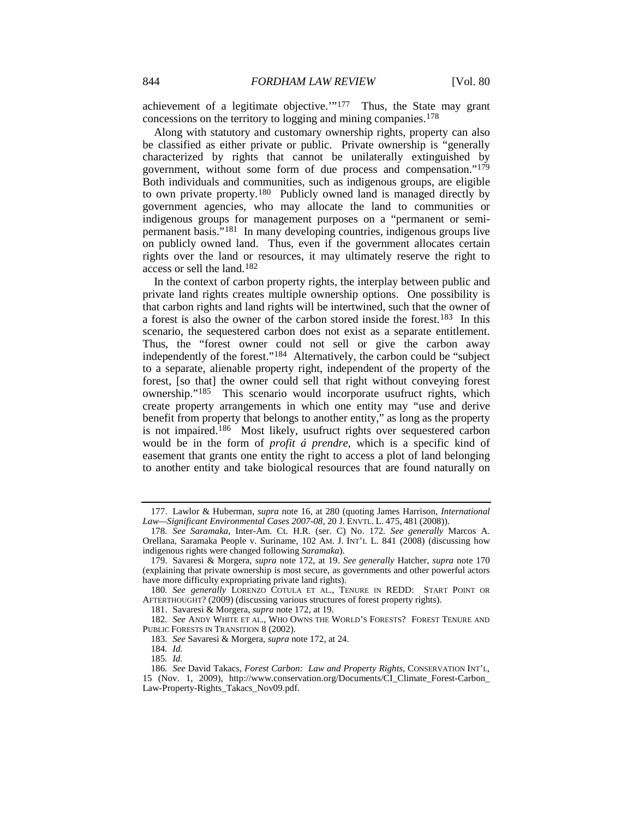achievement of a legitimate objective.'"[177](#page-24-0) Thus, the State may grant concessions on the territory to logging and mining companies.[178](#page-24-1)

<span id="page-24-10"></span>Along with statutory and customary ownership rights, property can also be classified as either private or public. Private ownership is "generally characterized by rights that cannot be unilaterally extinguished by government, without some form of due process and compensation."[179](#page-24-2) Both individuals and communities, such as indigenous groups, are eligible to own private property.[180](#page-24-3) Publicly owned land is managed directly by government agencies, who may allocate the land to communities or indigenous groups for management purposes on a "permanent or semipermanent basis."[181](#page-24-4) In many developing countries, indigenous groups live on publicly owned land. Thus, even if the government allocates certain rights over the land or resources, it may ultimately reserve the right to access or sell the land.[182](#page-24-5)

In the context of carbon property rights, the interplay between public and private land rights creates multiple ownership options. One possibility is that carbon rights and land rights will be intertwined, such that the owner of a forest is also the owner of the carbon stored inside the forest.[183](#page-24-6) In this scenario, the sequestered carbon does not exist as a separate entitlement. Thus, the "forest owner could not sell or give the carbon away independently of the forest."[184](#page-24-7) Alternatively, the carbon could be "subject to a separate, alienable property right, independent of the property of the forest, [so that] the owner could sell that right without conveying forest ownership."[185](#page-24-8) This scenario would incorporate usufruct rights, which create property arrangements in which one entity may "use and derive benefit from property that belongs to another entity," as long as the property is not impaired.<sup>[186](#page-24-9)</sup> Most likely, usufruct rights over sequestered carbon would be in the form of *profit á prendre*, which is a specific kind of easement that grants one entity the right to access a plot of land belonging to another entity and take biological resources that are found naturally on

181. Savaresi & Morgera, *supra* note [172,](#page-23-10) at 19.

<span id="page-24-11"></span><span id="page-24-0"></span><sup>177.</sup> Lawlor & Huberman, *supra* note [16,](#page-4-10) at 280 (quoting James Harrison, *International Law—Significant Environmental Cases 2007-08*, 20 J. ENVTL. L. 475, 481 (2008)).

<span id="page-24-1"></span><sup>178</sup>*. See Saramaka*, Inter-Am. Ct. H.R. (ser. C) No. 172*. See generally* Marcos A. Orellana, Saramaka People v. Suriname, 102 AM. J. INT'L L. 841 (2008) (discussing how indigenous rights were changed following *Saramaka*).

<span id="page-24-2"></span><sup>179.</sup> Savaresi & Morgera, *supra* note [172,](#page-23-10) at 19. *See generally* Hatcher, *supra* note [170](#page-23-0) (explaining that private ownership is most secure, as governments and other powerful actors have more difficulty expropriating private land rights).

<span id="page-24-3"></span><sup>180</sup>*. See generally* LORENZO COTULA ET AL., TENURE IN REDD: START POINT OR AFTERTHOUGHT? (2009) (discussing various structures of forest property rights).

<span id="page-24-6"></span><span id="page-24-5"></span><span id="page-24-4"></span><sup>182</sup>*. See* ANDY WHITE ET AL., WHO OWNS THE WORLD'S FORESTS? FOREST TENURE AND PUBLIC FORESTS IN TRANSITION 8 (2002).

<sup>183</sup>*. See* Savaresi & Morgera, *supra* not[e 172,](#page-23-10) at 24.

<sup>184</sup>*. Id.*

<sup>185</sup>*. Id.*

<span id="page-24-9"></span><span id="page-24-8"></span><span id="page-24-7"></span><sup>186</sup>*. See* David Takacs, *Forest Carbon: Law and Property Rights*, CONSERVATION INT'L*,*  15 (Nov. 1, 2009), http://www.conservation.org/Documents/CI\_Climate\_Forest-Carbon\_ Law-Property-Rights\_Takacs\_Nov09.pdf.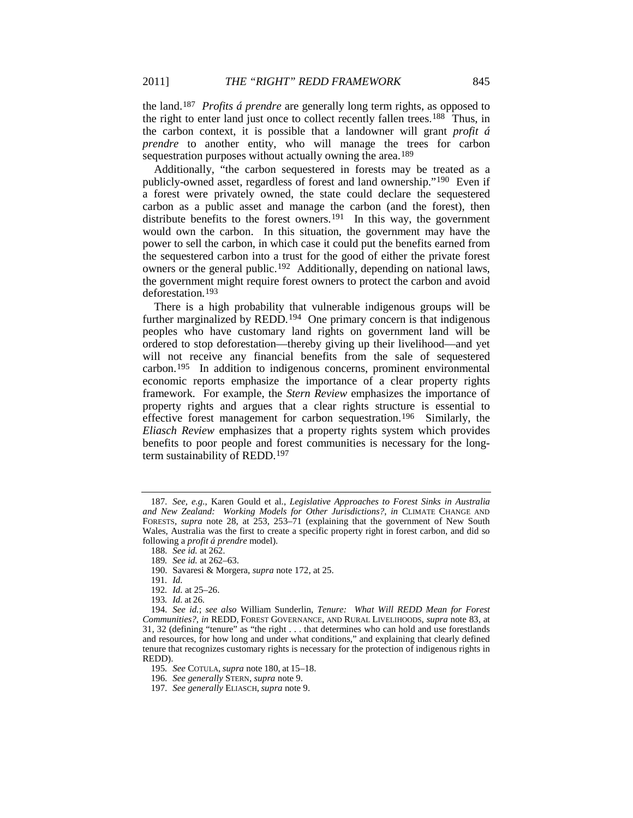the land.[187](#page-25-0) *Profits á prendre* are generally long term rights, as opposed to the right to enter land just once to collect recently fallen trees.<sup>188</sup> Thus, in the carbon context, it is possible that a landowner will grant *profit á prendre* to another entity, who will manage the trees for carbon sequestration purposes without actually owning the area.<sup>[189](#page-25-2)</sup>

Additionally, "the carbon sequestered in forests may be treated as a publicly-owned asset, regardless of forest and land ownership."[190](#page-25-3) Even if a forest were privately owned, the state could declare the sequestered carbon as a public asset and manage the carbon (and the forest), then distribute benefits to the forest owners.<sup>[191](#page-25-4)</sup> In this way, the government would own the carbon. In this situation, the government may have the power to sell the carbon, in which case it could put the benefits earned from the sequestered carbon into a trust for the good of either the private forest owners or the general public.[192](#page-25-5) Additionally, depending on national laws, the government might require forest owners to protect the carbon and avoid deforestation.[193](#page-25-6)

There is a high probability that vulnerable indigenous groups will be further marginalized by REDD.<sup>194</sup> One primary concern is that indigenous peoples who have customary land rights on government land will be ordered to stop deforestation—thereby giving up their livelihood—and yet will not receive any financial benefits from the sale of sequestered carbon.[195](#page-25-8) In addition to indigenous concerns, prominent environmental economic reports emphasize the importance of a clear property rights framework. For example, the *Stern Review* emphasizes the importance of property rights and argues that a clear rights structure is essential to effective forest management for carbon sequestration.[196](#page-25-9) Similarly, the *Eliasch Review* emphasizes that a property rights system which provides benefits to poor people and forest communities is necessary for the longterm sustainability of REDD.[197](#page-25-10)

<span id="page-25-1"></span><span id="page-25-0"></span><sup>187</sup>*. See, e.g.*, Karen Gould et al., *Legislative Approaches to Forest Sinks in Australia and New Zealand: Working Models for Other Jurisdictions?*, *in* CLIMATE CHANGE AND FORESTS, *supra* note [28,](#page-6-7) at 253, 253–71 (explaining that the government of New South Wales, Australia was the first to create a specific property right in forest carbon, and did so following a *profit á prendre* model).

<sup>188</sup>*. See id.* at 262.

<sup>189</sup>*. See id.* at 262–63.

<sup>190.</sup> Savaresi & Morgera, *supra* note [172,](#page-23-10) at 25.

<sup>191</sup>*. Id.*

<sup>192</sup>*. Id.* at 25–26.

<sup>193</sup>*. Id.* at 26.

<span id="page-25-7"></span><span id="page-25-6"></span><span id="page-25-5"></span><span id="page-25-4"></span><span id="page-25-3"></span><span id="page-25-2"></span><sup>194</sup>*. See id.*; *see also* William Sunderlin, *Tenure: What Will REDD Mean for Forest Communities?*, *in* REDD, FOREST GOVERNANCE, AND RURAL LIVELIHOODS, *supra* note [83,](#page-13-0) at 31, 32 (defining "tenure" as "the right . . . that determines who can hold and use forestlands and resources, for how long and under what conditions," and explaining that clearly defined tenure that recognizes customary rights is necessary for the protection of indigenous rights in REDD).

<span id="page-25-8"></span><sup>195</sup>*. See* COTULA, *supra* note [180,](#page-24-10) at 15–18.

<span id="page-25-9"></span><sup>196</sup>*. See generally* STERN, *supra* not[e 9.](#page-3-11)

<span id="page-25-10"></span><sup>197</sup>*. See generally* ELIASCH, *supra* not[e 9.](#page-3-11)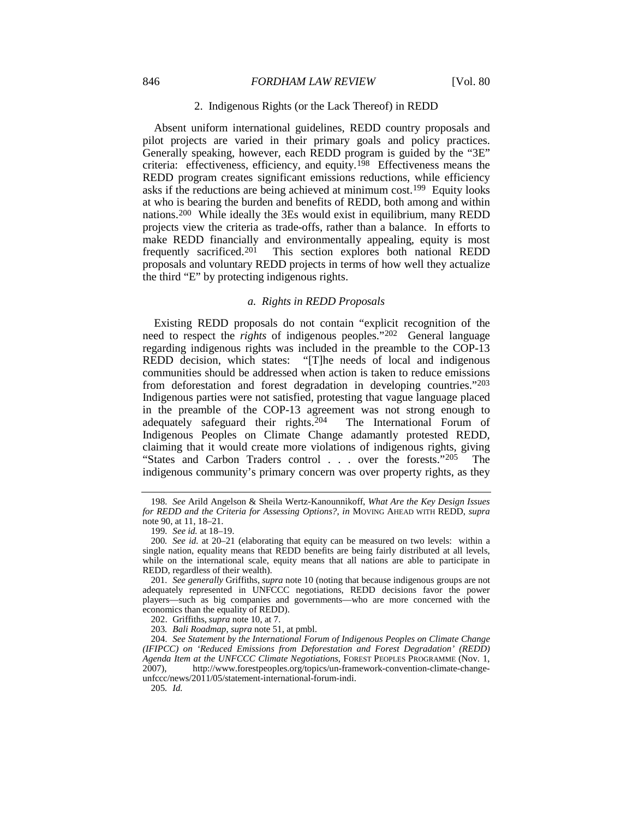#### 846 *FORDHAM LAW REVIEW* [Vol. 80]

#### 2. Indigenous Rights (or the Lack Thereof) in REDD

Absent uniform international guidelines, REDD country proposals and pilot projects are varied in their primary goals and policy practices. Generally speaking, however, each REDD program is guided by the "3E" criteria: effectiveness, efficiency, and equity.<sup>198</sup> Effectiveness means the REDD program creates significant emissions reductions, while efficiency asks if the reductions are being achieved at minimum cost.[199](#page-26-1) Equity looks at who is bearing the burden and benefits of REDD, both among and within nations.[200](#page-26-2) While ideally the 3Es would exist in equilibrium, many REDD projects view the criteria as trade-offs, rather than a balance. In efforts to make REDD financially and environmentally appealing, equity is most frequently sacrificed.<sup>[201](#page-26-3)</sup> This section explores both national REDD proposals and voluntary REDD projects in terms of how well they actualize the third "E" by protecting indigenous rights.

#### *a. Rights in REDD Proposals*

Existing REDD proposals do not contain "explicit recognition of the need to respect the *rights* of indigenous peoples."[202](#page-26-4) General language regarding indigenous rights was included in the preamble to the COP-13 REDD decision, which states: "[T]he needs of local and indigenous communities should be addressed when action is taken to reduce emissions from deforestation and forest degradation in developing countries."[203](#page-26-5) Indigenous parties were not satisfied, protesting that vague language placed in the preamble of the COP-13 agreement was not strong enough to adequately safeguard their rights.[204](#page-26-6) The International Forum of Indigenous Peoples on Climate Change adamantly protested REDD, claiming that it would create more violations of indigenous rights, giving "States and Carbon Traders control . . . over the forests."<sup>[205](#page-26-7)</sup> The indigenous community's primary concern was over property rights, as they

205*. Id.*

<span id="page-26-0"></span><sup>198</sup>*. See* Arild Angelson & Sheila Wertz-Kanounnikoff, *What Are the Key Design Issues for REDD and the Criteria for Assessing Options?*, *in* MOVING AHEAD WITH REDD, *supra*  note [90,](#page-14-0) at 11, 18–21.

<sup>199</sup>*. See id.* at 18–19.

<span id="page-26-2"></span><span id="page-26-1"></span><sup>200</sup>*. See id.* at 20–21 (elaborating that equity can be measured on two levels: within a single nation, equality means that REDD benefits are being fairly distributed at all levels, while on the international scale, equity means that all nations are able to participate in REDD, regardless of their wealth).

<span id="page-26-3"></span><sup>201</sup>*. See generally* Griffiths, *supra* note [10](#page-4-8) (noting that because indigenous groups are not adequately represented in UNFCCC negotiations, REDD decisions favor the power players—such as big companies and governments—who are more concerned with the economics than the equality of REDD).

<sup>202.</sup> Griffiths, *supra* not[e 10,](#page-4-8) at 7.

<sup>203</sup>*. Bali Roadmap*, *supra* not[e 51,](#page-9-0) at pmbl.

<span id="page-26-7"></span><span id="page-26-6"></span><span id="page-26-5"></span><span id="page-26-4"></span><sup>204.</sup> *See Statement by the International Forum of Indigenous Peoples on Climate Change (IFIPCC) on 'Reduced Emissions from Deforestation and Forest Degradation' (REDD) Agenda Item at the UNFCCC Climate Negotiations*, FOREST PEOPLES PROGRAMME (Nov. 1, 2007).<br>2007). http://www.forestpeoples.org/topics/un-framework-convention-climate-changehttp://www.forestpeoples.org/topics/un-framework-convention-climate-changeunfccc/news/2011/05/statement-international-forum-indi.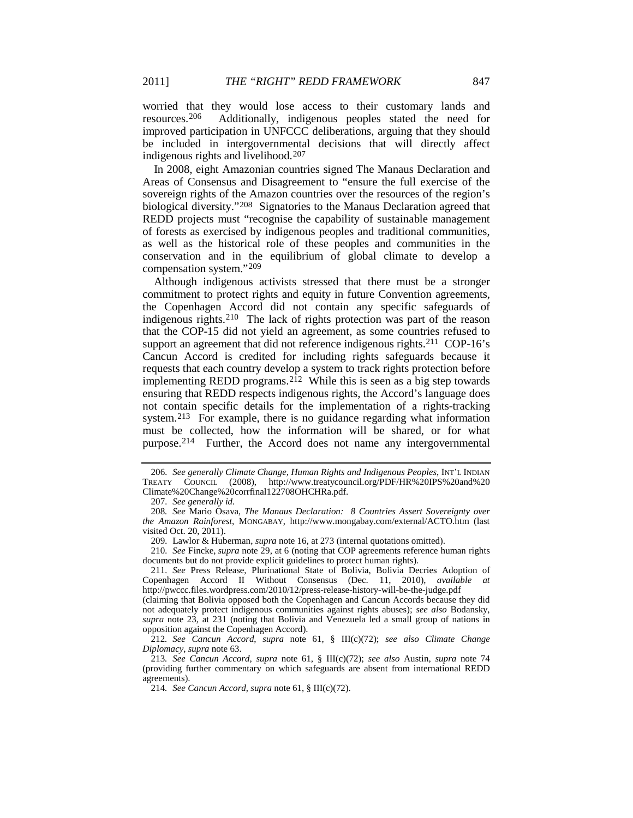worried that they would lose access to their customary lands and resources.<sup>206</sup> Additionally, indigenous peoples stated the need for Additionally, indigenous peoples stated the need for improved participation in UNFCCC deliberations, arguing that they should be included in intergovernmental decisions that will directly affect indigenous rights and livelihood.[207](#page-27-1)

In 2008, eight Amazonian countries signed The Manaus Declaration and Areas of Consensus and Disagreement to "ensure the full exercise of the sovereign rights of the Amazon countries over the resources of the region's biological diversity."[208](#page-27-2) Signatories to the Manaus Declaration agreed that REDD projects must "recognise the capability of sustainable management of forests as exercised by indigenous peoples and traditional communities, as well as the historical role of these peoples and communities in the conservation and in the equilibrium of global climate to develop a compensation system."[209](#page-27-3)

Although indigenous activists stressed that there must be a stronger commitment to protect rights and equity in future Convention agreements, the Copenhagen Accord did not contain any specific safeguards of indigenous rights.[210](#page-27-4) The lack of rights protection was part of the reason that the COP-15 did not yield an agreement, as some countries refused to support an agreement that did not reference indigenous rights.<sup>[211](#page-27-5)</sup> COP-16's Cancun Accord is credited for including rights safeguards because it requests that each country develop a system to track rights protection before implementing REDD programs.<sup>[212](#page-27-6)</sup> While this is seen as a big step towards ensuring that REDD respects indigenous rights, the Accord's language does not contain specific details for the implementation of a rights-tracking system.<sup>[213](#page-27-7)</sup> For example, there is no guidance regarding what information must be collected, how the information will be shared, or for what purpose.[214](#page-27-8) Further, the Accord does not name any intergovernmental

<span id="page-27-0"></span><sup>206</sup>*. See generally Climate Change, Human Rights and Indigenous Peoples*, INT'L INDIAN TREATY COUNCIL (2008), http://www.treatycouncil.org/PDF/HR%20IPS%20and%20 Climate%20Change%20corrfinal122708OHCHRa.pdf.

<sup>207</sup>*. See generally id.*

<span id="page-27-2"></span><span id="page-27-1"></span><sup>208</sup>*. See* Mario Osava, *The Manaus Declaration: 8 Countries Assert Sovereignty over the Amazon Rainforest*, MONGABAY, http://www.mongabay.com/external/ACTO.htm (last visited Oct. 20, 2011).

<sup>209</sup>*.* Lawlor & Huberman, *supra* not[e 16,](#page-4-10) at 273 (internal quotations omitted).

<span id="page-27-4"></span><span id="page-27-3"></span><sup>210</sup>*. See* Fincke, *supra* note [29,](#page-6-11) at 6 (noting that COP agreements reference human rights documents but do not provide explicit guidelines to protect human rights).

<span id="page-27-5"></span><sup>211</sup>*. See* Press Release, Plurinational State of Bolivia, Bolivia Decries Adoption of Copenhagen Accord II Without Consensus (Dec. 11, 2010), *available at* http://pwccc.files.wordpress.com/2010/12/press-release-history-will-be-the-judge.pdf (claiming that Bolivia opposed both the Copenhagen and Cancun Accords because they did

not adequately protect indigenous communities against rights abuses); *see also* Bodansky, *supra* note [23,](#page-6-8) at 231 (noting that Bolivia and Venezuela led a small group of nations in opposition against the Copenhagen Accord).

<span id="page-27-6"></span><sup>212</sup>*. See Cancun Accord*, *supra* note [61,](#page-10-7) § III(c)(72); *see also Climate Change Diplomacy*, *supra* not[e 63.](#page-11-10) 

<span id="page-27-8"></span><span id="page-27-7"></span><sup>213</sup>*. See Cancun Accord*, *supra* note [61,](#page-10-7) § III(c)(72); *see also* Austin, *supra* note [74](#page-12-8) (providing further commentary on which safeguards are absent from international REDD agreements).

<sup>214</sup>*. See Cancun Accord*, *supra* note [61,](#page-10-7) § III(c)(72).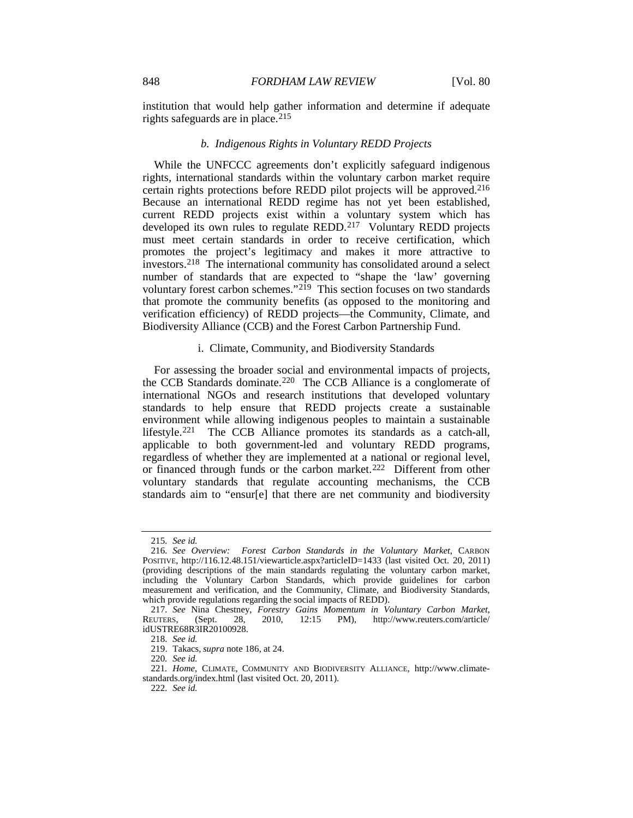institution that would help gather information and determine if adequate rights safeguards are in place.<sup>[215](#page-28-0)</sup>

#### <span id="page-28-8"></span>*b. Indigenous Rights in Voluntary REDD Projects*

While the UNFCCC agreements don't explicitly safeguard indigenous rights, international standards within the voluntary carbon market require certain rights protections before REDD pilot projects will be approved.[216](#page-28-1) Because an international REDD regime has not yet been established, current REDD projects exist within a voluntary system which has developed its own rules to regulate REDD.<sup>[217](#page-28-2)</sup> Voluntary REDD projects must meet certain standards in order to receive certification, which promotes the project's legitimacy and makes it more attractive to investors.[218](#page-28-3) The international community has consolidated around a select number of standards that are expected to "shape the 'law' governing voluntary forest carbon schemes."[219](#page-28-4) This section focuses on two standards that promote the community benefits (as opposed to the monitoring and verification efficiency) of REDD projects—the Community, Climate, and Biodiversity Alliance (CCB) and the Forest Carbon Partnership Fund.

#### i. Climate, Community, and Biodiversity Standards

For assessing the broader social and environmental impacts of projects, the CCB Standards dominate.[220](#page-28-5) The CCB Alliance is a conglomerate of international NGOs and research institutions that developed voluntary standards to help ensure that REDD projects create a sustainable environment while allowing indigenous peoples to maintain a sustainable lifestyle.[221](#page-28-6) The CCB Alliance promotes its standards as a catch-all, applicable to both government-led and voluntary REDD programs, regardless of whether they are implemented at a national or regional level, or financed through funds or the carbon market.<sup>[222](#page-28-7)</sup> Different from other voluntary standards that regulate accounting mechanisms, the CCB standards aim to "ensur[e] that there are net community and biodiversity

222*. See id.*

<sup>215</sup>*. See id.*

<span id="page-28-1"></span><span id="page-28-0"></span><sup>216</sup>*. See Overview: Forest Carbon Standards in the Voluntary Market*, CARBON POSITIVE, http://116.12.48.151/viewarticle.aspx?articleID=1433 (last visited Oct. 20, 2011) (providing descriptions of the main standards regulating the voluntary carbon market, including the Voluntary Carbon Standards, which provide guidelines for carbon measurement and verification, and the Community, Climate, and Biodiversity Standards, which provide regulations regarding the social impacts of REDD).

<span id="page-28-3"></span><span id="page-28-2"></span><sup>217</sup>*. See* Nina Chestney, *Forestry Gains Momentum in Voluntary Carbon Market*, REUTERS, (Sept. 28, 2010, 12:15 PM), http://www.reuters.com/article/ idUSTRE68R3IR20100928.

<sup>218</sup>*. See id.*

<sup>219.</sup> Takacs, *supra* note [186,](#page-24-11) at 24.

<sup>220</sup>*. See id.*

<span id="page-28-7"></span><span id="page-28-6"></span><span id="page-28-5"></span><span id="page-28-4"></span><sup>221</sup>*. Home*, CLIMATE, COMMUNITY AND BIODIVERSITY ALLIANCE, http://www.climatestandards.org/index.html (last visited Oct. 20, 2011).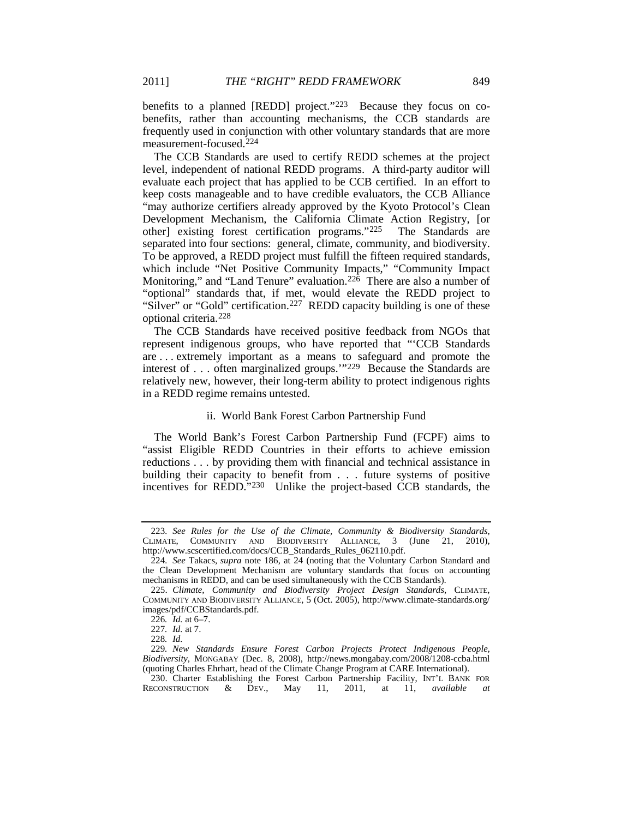benefits to a planned [REDD] project.["223](#page-29-0) Because they focus on cobenefits, rather than accounting mechanisms, the CCB standards are frequently used in conjunction with other voluntary standards that are more measurement-focused.[224](#page-29-1)

The CCB Standards are used to certify REDD schemes at the project level, independent of national REDD programs. A third-party auditor will evaluate each project that has applied to be CCB certified. In an effort to keep costs manageable and to have credible evaluators, the CCB Alliance "may authorize certifiers already approved by the Kyoto Protocol's Clean Development Mechanism, the California Climate Action Registry, [or other] existing forest certification programs."[225](#page-29-2) The Standards are separated into four sections: general, climate, community, and biodiversity. To be approved, a REDD project must fulfill the fifteen required standards, which include "Net Positive Community Impacts," "Community Impact Monitoring," and "Land Tenure" evaluation.<sup>226</sup> There are also a number of "optional" standards that, if met, would elevate the REDD project to "Silver" or "Gold" certification.<sup>[227](#page-29-4)</sup> REDD capacity building is one of these optional criteria.[228](#page-29-5)

The CCB Standards have received positive feedback from NGOs that represent indigenous groups, who have reported that "'CCB Standards are . . . extremely important as a means to safeguard and promote the interest of . . . often marginalized groups."<sup>[229](#page-29-6)</sup> Because the Standards are relatively new, however, their long-term ability to protect indigenous rights in a REDD regime remains untested.

#### ii. World Bank Forest Carbon Partnership Fund

The World Bank's Forest Carbon Partnership Fund (FCPF) aims to "assist Eligible REDD Countries in their efforts to achieve emission reductions . . . by providing them with financial and technical assistance in building their capacity to benefit from . . . future systems of positive incentives for REDD."[230](#page-29-7) Unlike the project-based CCB standards, the

<span id="page-29-0"></span><sup>223</sup>*. See Rules for the Use of the Climate, Community & Biodiversity Standards*, CLIMATE, COMMUNITY AND BIODIVERSITY ALLIANCE, 3 (June 21, 2010), http://www.scscertified.com/docs/CCB\_Standards\_Rules\_062110.pdf.

<span id="page-29-1"></span><sup>224</sup>*. See* Takacs, *supra* note [186,](#page-24-11) at 24 (noting that the Voluntary Carbon Standard and the Clean Development Mechanism are voluntary standards that focus on accounting mechanisms in REDD, and can be used simultaneously with the CCB Standards).

<span id="page-29-3"></span><span id="page-29-2"></span><sup>225.</sup> *Climate, Community and Biodiversity Project Design Standards*, CLIMATE, COMMUNITY AND BIODIVERSITY ALLIANCE, 5 (Oct. 2005), http://www.climate-standards.org/ images/pdf/CCBStandards.pdf.

<sup>226</sup>*. Id.* at 6–7.

<sup>227</sup>*. Id.* at 7.

<sup>228</sup>*. Id.*

<span id="page-29-6"></span><span id="page-29-5"></span><span id="page-29-4"></span><sup>229</sup>*. New Standards Ensure Forest Carbon Projects Protect Indigenous People, Biodiversity*, MONGABAY (Dec. 8, 2008), http://news.mongabay.com/2008/1208-ccba.html (quoting Charles Ehrhart, head of the Climate Change Program at CARE International).

<span id="page-29-7"></span><sup>230.</sup> Charter Establishing the Forest Carbon Partnership Facility, INT'L BANK FOR RECONSTRUCTION & DEV., May 11, 2011, at 11, *available at* RECONSTRUCTION & DEV., May 11, 2011, at 11, *available at*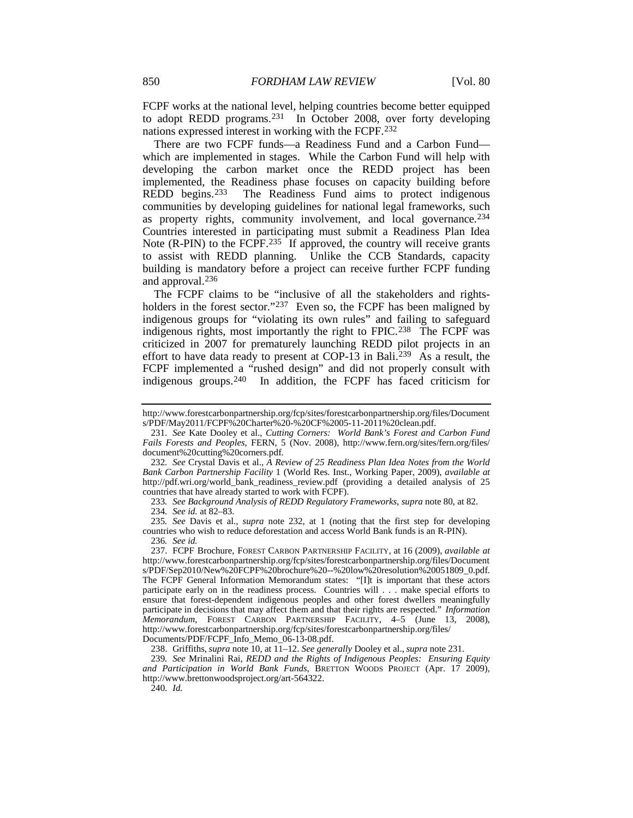<span id="page-30-1"></span><span id="page-30-0"></span>FCPF works at the national level, helping countries become better equipped to adopt REDD programs.[231](#page-30-2) In October 2008, over forty developing nations expressed interest in working with the FCPF.[232](#page-30-3)

There are two FCPF funds—a Readiness Fund and a Carbon Fund which are implemented in stages. While the Carbon Fund will help with developing the carbon market once the REDD project has been implemented, the Readiness phase focuses on capacity building before REDD begins.[233](#page-30-4) The Readiness Fund aims to protect indigenous communities by developing guidelines for national legal frameworks, such as property rights, community involvement, and local governance.<sup>[234](#page-30-5)</sup> Countries interested in participating must submit a Readiness Plan Idea Note (R-PIN) to the FCPF.<sup>235</sup> If approved, the country will receive grants to assist with REDD planning. Unlike the CCB Standards, capacity building is mandatory before a project can receive further FCPF funding and approval.[236](#page-30-7)

The FCPF claims to be "inclusive of all the stakeholders and rights-holders in the forest sector."<sup>[237](#page-30-8)</sup> Even so, the FCPF has been maligned by indigenous groups for "violating its own rules" and failing to safeguard indigenous rights, most importantly the right to FPIC.<sup>238</sup> The FCPF was criticized in 2007 for prematurely launching REDD pilot projects in an effort to have data ready to present at COP-13 in Bali.<sup>[239](#page-30-10)</sup> As a result, the FCPF implemented a "rushed design" and did not properly consult with indigenous groups.[240](#page-30-11) In addition, the FCPF has faced criticism for

233*. See Background Analysis of REDD Regulatory Frameworks*, *supra* note [80,](#page-13-10) at 82. 234*. See id.* at 82–83.

<span id="page-30-6"></span><span id="page-30-5"></span><span id="page-30-4"></span>235*. See* Davis et al., *supra* note [232,](#page-30-0) at 1 (noting that the first step for developing countries who wish to reduce deforestation and access World Bank funds is an R-PIN).

<span id="page-30-8"></span><span id="page-30-7"></span>237. FCPF Brochure, FOREST CARBON PARTNERSHIP FACILITY, at 16 (2009), *available at* http://www.forestcarbonpartnership.org/fcp/sites/forestcarbonpartnership.org/files/Document s/PDF/Sep2010/New%20FCPF%20brochure%20--%20low%20resolution%20051809\_0.pdf. The FCPF General Information Memorandum states: "[I]t is important that these actors participate early on in the readiness process. Countries will . . . make special efforts to ensure that forest-dependent indigenous peoples and other forest dwellers meaningfully participate in decisions that may affect them and that their rights are respected." *Information Memorandum*, FOREST CARBON PARTNERSHIP FACILITY, 4–5 (June 13, 2008), http://www.forestcarbonpartnership.org/fcp/sites/forestcarbonpartnership.org/files/ Documents/PDF/FCPF\_Info\_Memo\_06-13-08.pdf.

238. Griffiths, *supra* not[e 10,](#page-4-8) at 11–12. *See generally* Dooley et al., *supra* not[e 231.](#page-30-1)

<span id="page-30-11"></span><span id="page-30-10"></span><span id="page-30-9"></span>239*. See* Mrinalini Rai, *REDD and the Rights of Indigenous Peoples: Ensuring Equity and Participation in World Bank Funds*, BRETTON WOODS PROJECT (Apr. 17 2009), http://www.brettonwoodsproject.org/art-564322.

240*. Id.*

http://www.forestcarbonpartnership.org/fcp/sites/forestcarbonpartnership.org/files/Document s/PDF/May2011/FCPF%20Charter%20-%20CF%2005-11-2011%20clean.pdf.

<span id="page-30-2"></span><sup>231</sup>*. See* Kate Dooley et al., *Cutting Corners: World Bank's Forest and Carbon Fund Fails Forests and Peoples*, FERN, 5 (Nov. 2008), http://www.fern.org/sites/fern.org/files/ document%20cutting%20corners.pdf.

<span id="page-30-3"></span><sup>232</sup>*. See* Crystal Davis et al., *A Review of 25 Readiness Plan Idea Notes from the World Bank Carbon Partnership Facility* 1 (World Res. Inst., Working Paper, 2009), *available at*  http://pdf.wri.org/world\_bank\_readiness\_review.pdf (providing a detailed analysis of 25 countries that have already started to work with FCPF).

<sup>236</sup>*. See id.*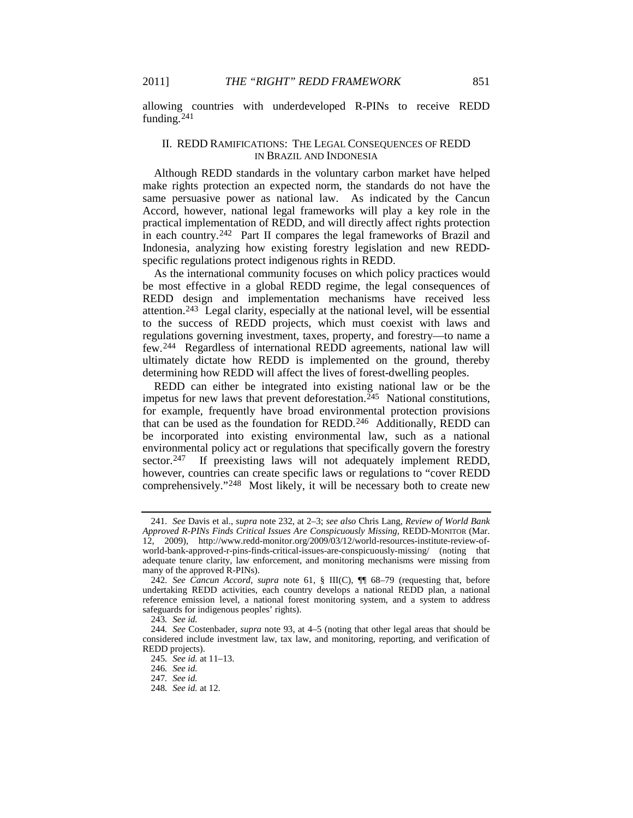allowing countries with underdeveloped R-PINs to receive REDD funding.[241](#page-31-0)

# II. REDD RAMIFICATIONS: THE LEGAL CONSEQUENCES OF REDD IN BRAZIL AND INDONESIA

Although REDD standards in the voluntary carbon market have helped make rights protection an expected norm, the standards do not have the same persuasive power as national law. As indicated by the Cancun Accord, however, national legal frameworks will play a key role in the practical implementation of REDD, and will directly affect rights protection in each country.[242](#page-31-1) Part II compares the legal frameworks of Brazil and Indonesia, analyzing how existing forestry legislation and new REDDspecific regulations protect indigenous rights in REDD.

<span id="page-31-8"></span>As the international community focuses on which policy practices would be most effective in a global REDD regime, the legal consequences of REDD design and implementation mechanisms have received less attention. [243](#page-31-2) Legal clarity, especially at the national level, will be essential to the success of REDD projects, which must coexist with laws and regulations governing investment, taxes, property, and forestry—to name a few.[244](#page-31-3) Regardless of international REDD agreements, national law will ultimately dictate how REDD is implemented on the ground, thereby determining how REDD will affect the lives of forest-dwelling peoples.

REDD can either be integrated into existing national law or be the impetus for new laws that prevent deforestation. [245](#page-31-4) National constitutions, for example, frequently have broad environmental protection provisions that can be used as the foundation for REDD.[246](#page-31-5) Additionally, REDD can be incorporated into existing environmental law, such as a national environmental policy act or regulations that specifically govern the forestry sector.<sup>247</sup> If preexisting laws will not adequately implement REDD, however, countries can create specific laws or regulations to "cover REDD comprehensively."[248](#page-31-7) Most likely, it will be necessary both to create new

<span id="page-31-0"></span><sup>241</sup>*. See* Davis et al., *supra* note [232,](#page-30-0) at 2–3; *see also* Chris Lang, *Review of World Bank Approved R-PINs Finds Critical Issues Are Conspicuously Missing*, REDD-MONITOR (Mar. 12, 2009), http://www.redd-monitor.org/2009/03/12/world-resources-institute-review-ofworld-bank-approved-r-pins-finds-critical-issues-are-conspicuously-missing/ (noting that adequate tenure clarity, law enforcement, and monitoring mechanisms were missing from many of the approved R-PINs).

<span id="page-31-1"></span><sup>242</sup>*. See Cancun Accord*, *supra* note [61,](#page-10-7) § III(C), ¶¶ 68–79 (requesting that, before undertaking REDD activities, each country develops a national REDD plan, a national reference emission level, a national forest monitoring system, and a system to address safeguards for indigenous peoples' rights).

<sup>243</sup>*. See id.*

<span id="page-31-6"></span><span id="page-31-5"></span><span id="page-31-4"></span><span id="page-31-3"></span><span id="page-31-2"></span><sup>244</sup>*. See* Costenbader, *supra* note [93,](#page-14-9) at 4–5 (noting that other legal areas that should be considered include investment law, tax law, and monitoring, reporting, and verification of REDD projects).

<sup>245</sup>*. See id.* at 11–13.

<sup>246</sup>*. See id.*

<sup>247</sup>*. See id.*

<span id="page-31-7"></span><sup>248</sup>*. See id.* at 12.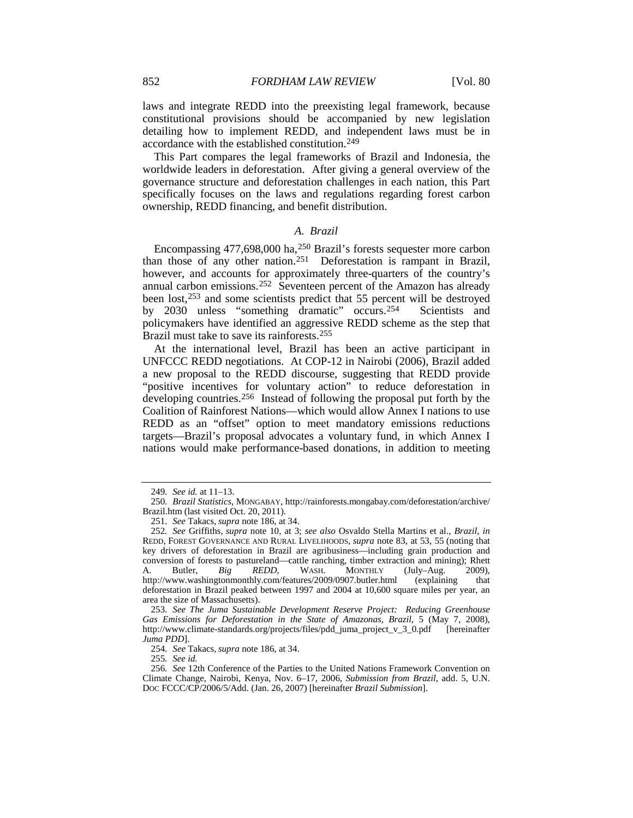laws and integrate REDD into the preexisting legal framework, because constitutional provisions should be accompanied by new legislation detailing how to implement REDD, and independent laws must be in accordance with the established constitution.[249](#page-32-0)

This Part compares the legal frameworks of Brazil and Indonesia, the worldwide leaders in deforestation. After giving a general overview of the governance structure and deforestation challenges in each nation, this Part specifically focuses on the laws and regulations regarding forest carbon ownership, REDD financing, and benefit distribution.

#### *A. Brazil*

<span id="page-32-8"></span>Encompassing 477,698,000 ha,[250](#page-32-1) Brazil's forests sequester more carbon than those of any other nation.[251](#page-32-2) Deforestation is rampant in Brazil, however, and accounts for approximately three-quarters of the country's annual carbon emissions.[252](#page-32-3) Seventeen percent of the Amazon has already been lost,[253](#page-32-4) and some scientists predict that 55 percent will be destroyed by 2030 unless "something dramatic" occurs.[254](#page-32-5) Scientists and policymakers have identified an aggressive REDD scheme as the step that Brazil must take to save its rainforests.[255](#page-32-6)

At the international level, Brazil has been an active participant in UNFCCC REDD negotiations. At COP-12 in Nairobi (2006), Brazil added a new proposal to the REDD discourse, suggesting that REDD provide "positive incentives for voluntary action" to reduce deforestation in developing countries.[256](#page-32-7) Instead of following the proposal put forth by the Coalition of Rainforest Nations—which would allow Annex I nations to use REDD as an "offset" option to meet mandatory emissions reductions targets—Brazil's proposal advocates a voluntary fund, in which Annex I nations would make performance-based donations, in addition to meeting

254*. See* Takacs, *supra* not[e 186,](#page-24-11) at 34.

255*. See id.*

<sup>249</sup>*. See id.* at 11–13.

<span id="page-32-1"></span><span id="page-32-0"></span><sup>250</sup>*. Brazil Statistics*, MONGABAY, http://rainforests.mongabay.com/deforestation/archive/ Brazil.htm (last visited Oct. 20, 2011).

<sup>251</sup>*. See* Takacs, *supra* not[e 186,](#page-24-11) at 34.

<span id="page-32-3"></span><span id="page-32-2"></span><sup>252</sup>*. See* Griffiths, *supra* note [10,](#page-4-8) at 3; *see also* Osvaldo Stella Martins et al., *Brazil*, *in* REDD, FOREST GOVERNANCE AND RURAL LIVELIHOODS, *supra* note [83,](#page-13-0) at 53, 55 (noting that key drivers of deforestation in Brazil are agribusiness—including grain production and conversion of forests to pastureland—cattle ranching, timber extraction and mining); Rhett A. Butler. *Big* REDD. WASH. MONTHLY (July–Aug. 2009). A. Butler, *Big REDD*, WASH. MONTHLY (July–Aug. 2009), http://www.washingtonmonthly.com/features/2009/0907.butler.html (explaining that deforestation in Brazil peaked between 1997 and 2004 at 10,600 square miles per year, an area the size of Massachusetts).

<span id="page-32-4"></span><sup>253</sup>*. See The Juma Sustainable Development Reserve Project: Reducing Greenhouse Gas Emissions for Deforestation in the State of Amazonas, Brazil*, 5 (May 7, 2008), http://www.climate-standards.org/projects/files/pdd\_juma\_project\_v\_3\_0.pdf [hereinafter *Juma PDD*].

<span id="page-32-7"></span><span id="page-32-6"></span><span id="page-32-5"></span><sup>256</sup>*. See* 12th Conference of the Parties to the United Nations Framework Convention on Climate Change, Nairobi, Kenya, Nov. 6–17, 2006, *Submission from Brazil*, add. 5, U.N. DOC FCCC/CP/2006/5/Add. (Jan. 26, 2007) [hereinafter *Brazil Submission*].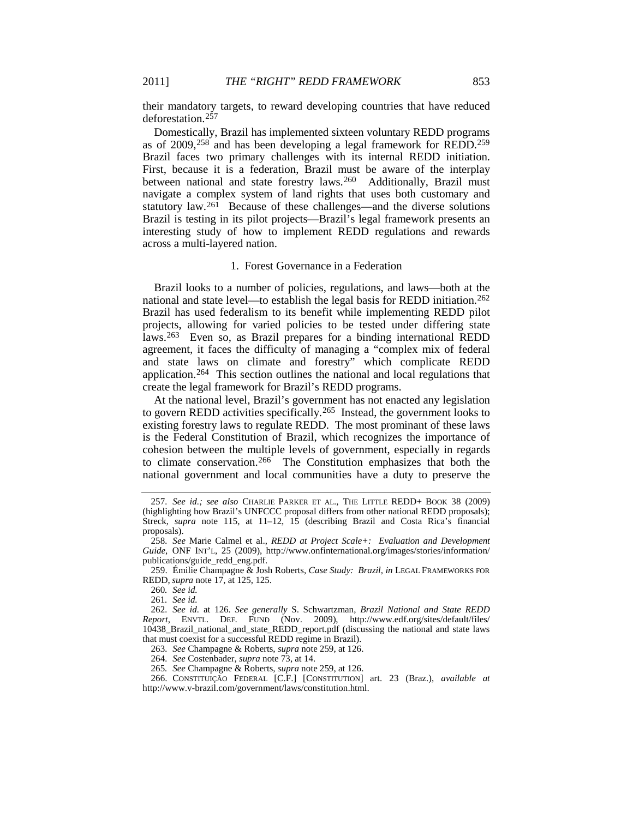their mandatory targets, to reward developing countries that have reduced deforestation.[257](#page-33-1)

Domestically, Brazil has implemented sixteen voluntary REDD programs as of 2009,[258](#page-33-2) and has been developing a legal framework for REDD.[259](#page-33-3) Brazil faces two primary challenges with its internal REDD initiation. First, because it is a federation, Brazil must be aware of the interplay between national and state forestry laws.<sup>260</sup> Additionally, Brazil must navigate a complex system of land rights that uses both customary and statutory law.<sup>[261](#page-33-5)</sup> Because of these challenges—and the diverse solutions Brazil is testing in its pilot projects—Brazil's legal framework presents an interesting study of how to implement REDD regulations and rewards across a multi-layered nation.

#### <span id="page-33-11"></span><span id="page-33-0"></span>1. Forest Governance in a Federation

Brazil looks to a number of policies, regulations, and laws—both at the national and state level—to establish the legal basis for REDD initiation.[262](#page-33-6) Brazil has used federalism to its benefit while implementing REDD pilot projects, allowing for varied policies to be tested under differing state laws[.263](#page-33-7) Even so, as Brazil prepares for a binding international REDD agreement, it faces the difficulty of managing a "complex mix of federal and state laws on climate and forestry" which complicate REDD application.[264](#page-33-8) This section outlines the national and local regulations that create the legal framework for Brazil's REDD programs.

At the national level, Brazil's government has not enacted any legislation to govern REDD activities specifically. [265](#page-33-9) Instead, the government looks to existing forestry laws to regulate REDD. The most prominant of these laws is the Federal Constitution of Brazil, which recognizes the importance of cohesion between the multiple levels of government, especially in regards to climate conservation.[266](#page-33-10) The Constitution emphasizes that both the national government and local communities have a duty to preserve the

263*. See* Champagne & Roberts, *supra* not[e 259,](#page-33-0) at 126.

265*. See* Champagne & Roberts, *supra* not[e 259,](#page-33-0) at 126.

<span id="page-33-1"></span><sup>257</sup>*. See id.; see also* CHARLIE PARKER ET AL., THE LITTLE REDD+ BOOK 38 (2009) (highlighting how Brazil's UNFCCC proposal differs from other national REDD proposals); Streck, *supra* note [115,](#page-17-12) at 11–12, 15 (describing Brazil and Costa Rica's financial proposals).

<span id="page-33-2"></span><sup>258</sup>*. See* Marie Calmel et al., *REDD at Project Scale+: Evaluation and Development Guide*, ONF INT'L, 25 (2009), http://www.onfinternational.org/images/stories/information/ publications/guide\_redd\_eng.pdf.

<span id="page-33-3"></span><sup>259.</sup> Émilie Champagne & Josh Roberts, *Case Study: Brazil, in* LEGAL FRAMEWORKS FOR REDD, *supra* note [17,](#page-4-9) at 125, 125.

<sup>260</sup>*. See id.*

<sup>261</sup>*. See id.*

<span id="page-33-6"></span><span id="page-33-5"></span><span id="page-33-4"></span><sup>262</sup>*. See id.* at 126*. See generally* S. Schwartzman, *Brazil National and State REDD Report*, ENVTL. DEF. FUND (Nov. 2009), http://www.edf.org/sites/default/files/ 10438\_Brazil\_national\_and\_state\_REDD\_report.pdf (discussing the national and state laws that must coexist for a successful REDD regime in Brazil).

<sup>264</sup>*. See* Costenbader, *supra* not[e 73,](#page-12-9) at 14.

<span id="page-33-10"></span><span id="page-33-9"></span><span id="page-33-8"></span><span id="page-33-7"></span><sup>266.</sup> CONSTITUIÇÃO FEDERAL [C.F.] [CONSTITUTION] art. 23 (Braz.), *available at* http://www.v-brazil.com/government/laws/constitution.html.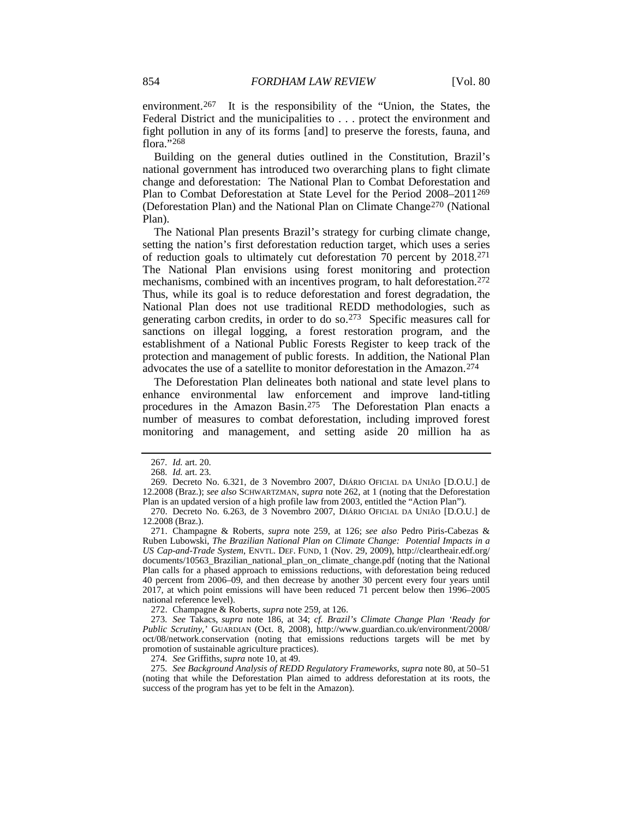environment.<sup>[267](#page-34-0)</sup> It is the responsibility of the "Union, the States, the Federal District and the municipalities to . . . protect the environment and fight pollution in any of its forms [and] to preserve the forests, fauna, and flora."<sup>[268](#page-34-1)</sup>

Building on the general duties outlined in the Constitution, Brazil's national government has introduced two overarching plans to fight climate change and deforestation: The National Plan to Combat Deforestation and Plan to Combat Deforestation at State Level for the Period 2008–2011[269](#page-34-2) (Deforestation Plan) and the National Plan on Climate Change<sup>[270](#page-34-3)</sup> (National Plan).

The National Plan presents Brazil's strategy for curbing climate change, setting the nation's first deforestation reduction target, which uses a series of reduction goals to ultimately cut deforestation 70 percent by 2018. [271](#page-34-4) The National Plan envisions using forest monitoring and protection mechanisms, combined with an incentives program, to halt deforestation.<sup>[272](#page-34-5)</sup> Thus, while its goal is to reduce deforestation and forest degradation, the National Plan does not use traditional REDD methodologies, such as generating carbon credits, in order to do so[.273](#page-34-6) Specific measures call for sanctions on illegal logging, a forest restoration program, and the establishment of a National Public Forests Register to keep track of the protection and management of public forests. In addition, the National Plan advocates the use of a satellite to monitor deforestation in the Amazon.[274](#page-34-7)

The Deforestation Plan delineates both national and state level plans to enhance environmental law enforcement and improve land-titling procedures in the Amazon Basin.<sup>275</sup> The Deforestation Plan enacts a number of measures to combat deforestation, including improved forest monitoring and management, and setting aside 20 million ha as

272. Champagne & Roberts, *supra* not[e 259,](#page-33-0) at 126.

274*. See* Griffiths, *supra* not[e 10,](#page-4-8) at 49.

<sup>267</sup>*. Id.* art. 20.

<sup>268</sup>*. Id.* art. 23.

<span id="page-34-2"></span><span id="page-34-1"></span><span id="page-34-0"></span><sup>269.</sup> Decreto No. 6.321, de 3 Novembro 2007, DIÁRIO OFICIAL DA UNIÃO [D.O.U.] de 12.2008 (Braz.); *see also* SCHWARTZMAN, *supra* note [262,](#page-33-11) at 1 (noting that the Deforestation Plan is an updated version of a high profile law from 2003, entitled the "Action Plan").

<sup>270.</sup> Decreto No. 6.263, de 3 Novembro 2007, DIÁRIO OFICIAL DA UNIÃO [D.O.U.] de 12.2008 (Braz.).

<span id="page-34-4"></span><span id="page-34-3"></span><sup>271.</sup> Champagne & Roberts, *supra* note [259,](#page-33-0) at 126; *see also* Pedro Piris-Cabezas & Ruben Lubowski, *The Brazilian National Plan on Climate Change: Potential Impacts in a US Cap-and-Trade System*, ENVTL. DEF. FUND, 1 (Nov. 29, 2009), http://cleartheair.edf.org/ documents/10563\_Brazilian\_national\_plan\_on\_climate\_change.pdf (noting that the National Plan calls for a phased approach to emissions reductions, with deforestation being reduced 40 percent from 2006–09, and then decrease by another 30 percent every four years until 2017, at which point emissions will have been reduced 71 percent below then 1996–2005 national reference level).

<span id="page-34-6"></span><span id="page-34-5"></span><sup>273</sup>*. See* Takacs, *supra* note [186,](#page-24-11) at 34; *cf. Brazil's Climate Change Plan 'Ready for Public Scrutiny*,*'* GUARDIAN (Oct. 8, 2008), http://www.guardian.co.uk/environment/2008/ oct/08/network.conservation (noting that emissions reductions targets will be met by promotion of sustainable agriculture practices).

<span id="page-34-8"></span><span id="page-34-7"></span><sup>275</sup>*. See Background Analysis of REDD Regulatory Frameworks*, *supra* not[e 80,](#page-13-10) at 50–51 (noting that while the Deforestation Plan aimed to address deforestation at its roots, the success of the program has yet to be felt in the Amazon).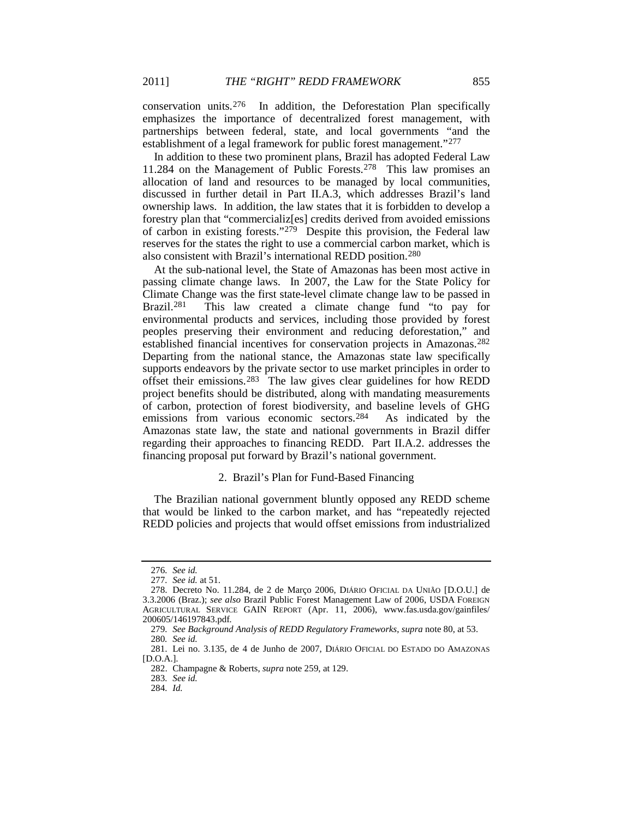conservation units.[276](#page-35-0) In addition, the Deforestation Plan specifically emphasizes the importance of decentralized forest management, with partnerships between federal, state, and local governments "and the establishment of a legal framework for public forest management."[277](#page-35-1)

In addition to these two prominent plans, Brazil has adopted Federal Law 11.284 on the Management of Public Forests.[278](#page-35-2) This law promises an allocation of land and resources to be managed by local communities, discussed in further detail in Part II.A.3, which addresses Brazil's land ownership laws. In addition, the law states that it is forbidden to develop a forestry plan that "commercializ[es] credits derived from avoided emissions of carbon in existing forests.["279](#page-35-3) Despite this provision, the Federal law reserves for the states the right to use a commercial carbon market, which is also consistent with Brazil's international REDD position.[280](#page-35-4)

At the sub-national level, the State of Amazonas has been most active in passing climate change laws. In 2007, the Law for the State Policy for Climate Change was the first state-level climate change law to be passed in Brazil.<sup>281</sup> This law created a climate change fund "to pay for This law created a climate change fund "to pay for environmental products and services, including those provided by forest peoples preserving their environment and reducing deforestation," and established financial incentives for conservation projects in Amazonas.[282](#page-35-6) Departing from the national stance, the Amazonas state law specifically supports endeavors by the private sector to use market principles in order to offset their emissions.[283](#page-35-7) The law gives clear guidelines for how REDD project benefits should be distributed, along with mandating measurements of carbon, protection of forest biodiversity, and baseline levels of GHG emissions from various economic sectors.[284](#page-35-8) As indicated by the Amazonas state law, the state and national governments in Brazil differ regarding their approaches to financing REDD. Part II.A.2. addresses the financing proposal put forward by Brazil's national government.

# 2. Brazil's Plan for Fund-Based Financing

The Brazilian national government bluntly opposed any REDD scheme that would be linked to the carbon market, and has "repeatedly rejected REDD policies and projects that would offset emissions from industrialized

<sup>276</sup>*. See id.*

<sup>277</sup>*. See id.* at 51.

<span id="page-35-2"></span><span id="page-35-1"></span><span id="page-35-0"></span><sup>278.</sup> Decreto No. 11.284, de 2 de Março 2006, DIÁRIO OFICIAL DA UNIÃO [D.O.U.] de 3.3.2006 (Braz.); *see also* Brazil Public Forest Management Law of 2006, USDA FOREIGN AGRICULTURAL SERVICE GAIN REPORT (Apr. 11, 2006), www.fas.usda.gov/gainfiles/ 200605/146197843.pdf*.*

<sup>279</sup>*. See Background Analysis of REDD Regulatory Frameworks*, *supra* note [80,](#page-13-10) at 53. 280*. See id.*

<span id="page-35-8"></span><span id="page-35-7"></span><span id="page-35-6"></span><span id="page-35-5"></span><span id="page-35-4"></span><span id="page-35-3"></span><sup>281.</sup> Lei no. 3.135, de 4 de Junho de 2007, DIÁRIO OFICIAL DO ESTADO DO AMAZONAS [D.O.A.].

<sup>282.</sup> Champagne & Roberts, *supra* not[e 259,](#page-33-0) at 129.

<sup>283</sup>*. See id.*

<sup>284</sup>*. Id.*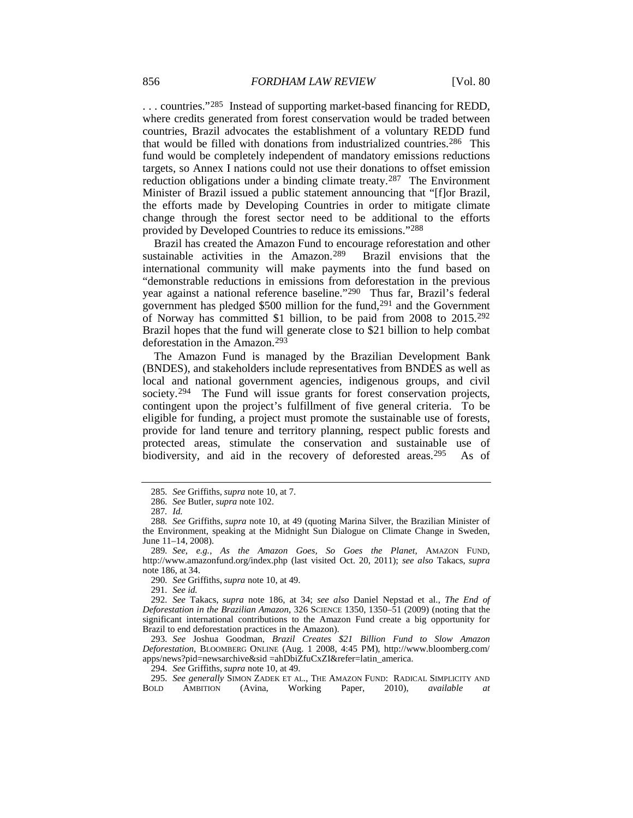... countries."<sup>[285](#page-36-0)</sup> Instead of supporting market-based financing for REDD, where credits generated from forest conservation would be traded between countries, Brazil advocates the establishment of a voluntary REDD fund that would be filled with donations from industrialized countries.[286](#page-36-1) This fund would be completely independent of mandatory emissions reductions targets, so Annex I nations could not use their donations to offset emission reduction obligations under a binding climate treaty.[287](#page-36-2) The Environment Minister of Brazil issued a public statement announcing that "[f]or Brazil, the efforts made by Developing Countries in order to mitigate climate change through the forest sector need to be additional to the efforts provided by Developed Countries to reduce its emissions.["288](#page-36-3)

Brazil has created the Amazon Fund to encourage reforestation and other sustainable activities in the Amazon.[289](#page-36-4) Brazil envisions that the international community will make payments into the fund based on "demonstrable reductions in emissions from deforestation in the previous year against a national reference baseline."[290](#page-36-5) Thus far, Brazil's federal government has pledged \$500 million for the fund[,291](#page-36-6) and the Government of Norway has committed \$1 billion, to be paid from 2008 to 2015.[292](#page-36-7) Brazil hopes that the fund will generate close to \$21 billion to help combat deforestation in the Amazon.[293](#page-36-8)

The Amazon Fund is managed by the Brazilian Development Bank (BNDES), and stakeholders include representatives from BNDES as well as local and national government agencies, indigenous groups, and civil society.[294](#page-36-9) The Fund will issue grants for forest conservation projects, contingent upon the project's fulfillment of five general criteria. To be eligible for funding, a project must promote the sustainable use of forests, provide for land tenure and territory planning, respect public forests and protected areas, stimulate the conservation and sustainable use of biodiversity, and aid in the recovery of deforested areas.<sup>[295](#page-36-10)</sup> As of

290*. See* Griffiths, *supra* not[e 10,](#page-4-8) at 49.

291*. See id.*

<span id="page-36-8"></span>293*. See* Joshua Goodman, *Brazil Creates \$21 Billion Fund to Slow Amazon Deforestation*, BLOOMBERG ONLINE (Aug. 1 2008, 4:45 PM), http://www.bloomberg.com/ apps/news?pid=newsarchive&sid =ahDbiZfuCxZI&refer=latin\_america.

294*. See* Griffiths, *supra* not[e 10,](#page-4-8) at 49.

<sup>285</sup>*. See* Griffiths, *supra* note [10,](#page-4-8) at 7.

<sup>286</sup>*. See* Butler, *supra* not[e 102.](#page-15-10)

<sup>287</sup>*. Id.*

<span id="page-36-3"></span><span id="page-36-2"></span><span id="page-36-1"></span><span id="page-36-0"></span><sup>288</sup>*. See* Griffiths, *supra* note [10,](#page-4-8) at 49 (quoting Marina Silver, the Brazilian Minister of the Environment, speaking at the Midnight Sun Dialogue on Climate Change in Sweden, June 11–14, 2008).

<span id="page-36-4"></span><sup>289</sup>*. See, e.g.*, *As the Amazon Goes, So Goes the Planet*, AMAZON FUND, http://www.amazonfund.org/index.php (last visited Oct. 20, 2011); *see also* Takacs, *supra* not[e 186,](#page-24-11) at 34.

<span id="page-36-7"></span><span id="page-36-6"></span><span id="page-36-5"></span><sup>292</sup>*. See* Takacs, *supra* note [186,](#page-24-11) at 34; *see also* Daniel Nepstad et al., *The End of Deforestation in the Brazilian Amazon*, 326 SCIENCE 1350, 1350–51 (2009) (noting that the significant international contributions to the Amazon Fund create a big opportunity for Brazil to end deforestation practices in the Amazon).

<span id="page-36-10"></span><span id="page-36-9"></span><sup>295</sup>*. See generally* SIMON ZADEK ET AL., THE AMAZON FUND: RADICAL SIMPLICITY AND Avina, Working Paper, 2010), *available at*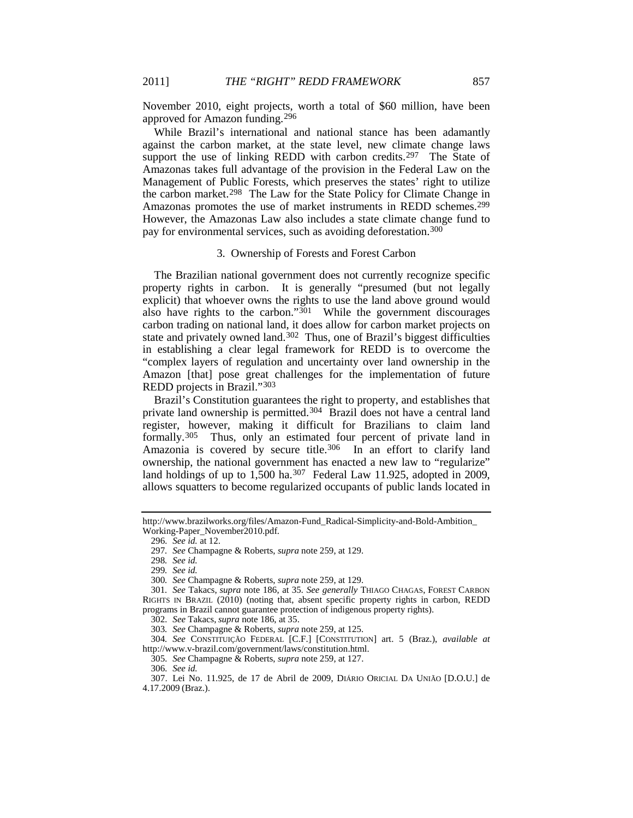November 2010, eight projects, worth a total of \$60 million, have been approved for Amazon funding.[296](#page-37-0)

While Brazil's international and national stance has been adamantly against the carbon market, at the state level, new climate change laws support the use of linking REDD with carbon credits.<sup>[297](#page-37-1)</sup> The State of Amazonas takes full advantage of the provision in the Federal Law on the Management of Public Forests, which preserves the states' right to utilize the carbon market.[298](#page-37-2) The Law for the State Policy for Climate Change in Amazonas promotes the use of market instruments in REDD schemes.<sup>[299](#page-37-3)</sup> However, the Amazonas Law also includes a state climate change fund to pay for environmental services, such as avoiding deforestation.[300](#page-37-4)

#### 3. Ownership of Forests and Forest Carbon

The Brazilian national government does not currently recognize specific property rights in carbon. It is generally "presumed (but not legally explicit) that whoever owns the rights to use the land above ground would also have rights to the carbon."[301](#page-37-5) While the government discourages carbon trading on national land, it does allow for carbon market projects on state and privately owned land.[302](#page-37-6) Thus, one of Brazil's biggest difficulties in establishing a clear legal framework for REDD is to overcome the "complex layers of regulation and uncertainty over land ownership in the Amazon [that] pose great challenges for the implementation of future REDD projects in Brazil."[303](#page-37-7)

Brazil's Constitution guarantees the right to property, and establishes that private land ownership is permitted.[304](#page-37-8) Brazil does not have a central land register, however, making it difficult for Brazilians to claim land formally.[305](#page-37-9) Thus, only an estimated four percent of private land in Amazonia is covered by secure title.<sup>[306](#page-37-10)</sup> In an effort to clarify land ownership, the national government has enacted a new law to "regularize" land holdings of up to  $1,500$  ha.<sup>[307](#page-37-11)</sup> Federal Law 11.925, adopted in 2009, allows squatters to become regularized occupants of public lands located in

305*. See* Champagne & Roberts, *supra* not[e 259,](#page-33-0) at 127.

<span id="page-37-1"></span><span id="page-37-0"></span>http://www.brazilworks.org/files/Amazon-Fund\_Radical-Simplicity-and-Bold-Ambition\_ Working-Paper\_November2010.pdf.

<sup>296</sup>*. See id.* at 12.

<sup>297</sup>*. See* Champagne & Roberts, *supra* note [259,](#page-33-0) at 129.

<sup>298</sup>*. See id.*

<sup>299</sup>*. See id.*

<sup>300</sup>*. See* Champagne & Roberts, *supra* not[e 259,](#page-33-0) at 129.

<span id="page-37-5"></span><span id="page-37-4"></span><span id="page-37-3"></span><span id="page-37-2"></span><sup>301</sup>*. See* Takacs, *supra* note [186,](#page-24-11) at 35*. See generally* THIAGO CHAGAS, FOREST CARBON RIGHTS IN BRAZIL (2010) (noting that, absent specific property rights in carbon, REDD programs in Brazil cannot guarantee protection of indigenous property rights).

<sup>302</sup>*. See* Takacs, *supra* not[e 186,](#page-24-11) at 35.

<sup>303</sup>*. See* Champagne & Roberts, *supra* not[e 259,](#page-33-0) at 125.

<span id="page-37-9"></span><span id="page-37-8"></span><span id="page-37-7"></span><span id="page-37-6"></span><sup>304</sup>*. See* CONSTITUIÇÃO FEDERAL [C.F.] [CONSTITUTION] art. 5 (Braz.), *available at* http://www.v-brazil.com/government/laws/constitution.html.

<sup>306</sup>*. See id.*

<span id="page-37-11"></span><span id="page-37-10"></span><sup>307.</sup> Lei No. 11.925, de 17 de Abril de 2009, DIÁRIO ORICIAL DA UNIÃO [D.O.U.] de 4.17.2009 (Braz.).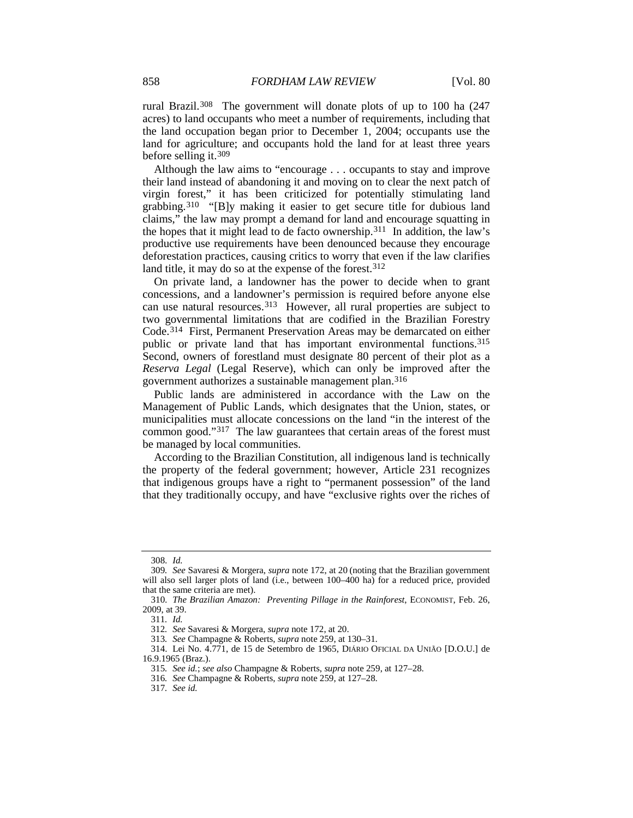rural Brazil.[308](#page-38-0) The government will donate plots of up to 100 ha (247 acres) to land occupants who meet a number of requirements, including that the land occupation began prior to December 1, 2004; occupants use the land for agriculture; and occupants hold the land for at least three years before selling it.[309](#page-38-1)

Although the law aims to "encourage . . . occupants to stay and improve their land instead of abandoning it and moving on to clear the next patch of virgin forest," it has been criticized for potentially stimulating land grabbing.[310](#page-38-2) "[B]y making it easier to get secure title for dubious land claims," the law may prompt a demand for land and encourage squatting in the hopes that it might lead to de facto ownership.<sup>311</sup> In addition, the law's productive use requirements have been denounced because they encourage deforestation practices, causing critics to worry that even if the law clarifies land title, it may do so at the expense of the forest.<sup>[312](#page-38-4)</sup>

On private land, a landowner has the power to decide when to grant concessions, and a landowner's permission is required before anyone else can use natural resources.<sup>[313](#page-38-5)</sup> However, all rural properties are subject to two governmental limitations that are codified in the Brazilian Forestry Code.[314](#page-38-6) First, Permanent Preservation Areas may be demarcated on either public or private land that has important environmental functions.[315](#page-38-7) Second, owners of forestland must designate 80 percent of their plot as a *Reserva Legal* (Legal Reserve), which can only be improved after the government authorizes a sustainable management plan.[316](#page-38-8)

Public lands are administered in accordance with the Law on the Management of Public Lands, which designates that the Union, states, or municipalities must allocate concessions on the land "in the interest of the common good."[317](#page-38-9) The law guarantees that certain areas of the forest must be managed by local communities.

According to the Brazilian Constitution, all indigenous land is technically the property of the federal government; however, Article 231 recognizes that indigenous groups have a right to "permanent possession" of the land that they traditionally occupy, and have "exclusive rights over the riches of

<sup>308</sup>*. Id.*

<span id="page-38-1"></span><span id="page-38-0"></span><sup>309</sup>*. See* Savaresi & Morgera, *supra* not[e 172,](#page-23-10) at 20 (noting that the Brazilian government will also sell larger plots of land (i.e., between 100–400 ha) for a reduced price, provided that the same criteria are met).

<span id="page-38-3"></span><span id="page-38-2"></span><sup>310</sup>*. The Brazilian Amazon: Preventing Pillage in the Rainforest*, ECONOMIST, Feb. 26, 2009, at 39.

<sup>311</sup>*. Id.*

<sup>312</sup>*. See* Savaresi & Morgera, *supra* not[e 172,](#page-23-10) at 20.

<sup>313</sup>*. See* Champagne & Roberts, *supra* not[e 259,](#page-33-0) at 130–31.

<span id="page-38-9"></span><span id="page-38-8"></span><span id="page-38-7"></span><span id="page-38-6"></span><span id="page-38-5"></span><span id="page-38-4"></span><sup>314.</sup> Lei No. 4.771, de 15 de Setembro de 1965, DIÁRIO OFICIAL DA UNIÃO [D.O.U.] de 16.9.1965 (Braz.).

<sup>315</sup>*. See id.*; *see also* Champagne & Roberts, *supra* not[e 259,](#page-33-0) at 127–28.

<sup>316</sup>*. See* Champagne & Roberts, *supra* not[e 259,](#page-33-0) at 127–28.

<sup>317</sup>*. See id.*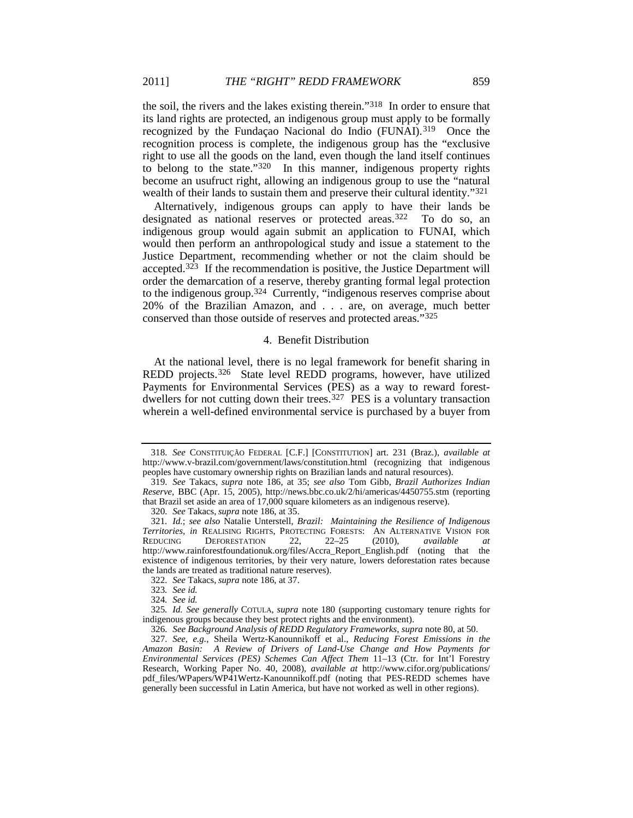the soil, the rivers and the lakes existing therein."[318](#page-39-0) In order to ensure that its land rights are protected, an indigenous group must apply to be formally recognized by the Fundaçao Nacional do Indio (FUNAI).[319](#page-39-1) Once the recognition process is complete, the indigenous group has the "exclusive right to use all the goods on the land, even though the land itself continues to belong to the state."[320](#page-39-2) In this manner, indigenous property rights become an usufruct right, allowing an indigenous group to use the "natural wealth of their lands to sustain them and preserve their cultural identity."<sup>[321](#page-39-3)</sup>

Alternatively, indigenous groups can apply to have their lands be designated as national reserves or protected areas.<sup>[322](#page-39-4)</sup> To do so, an indigenous group would again submit an application to FUNAI, which would then perform an anthropological study and issue a statement to the Justice Department, recommending whether or not the claim should be accepted.[323](#page-39-5) If the recommendation is positive, the Justice Department will order the demarcation of a reserve, thereby granting formal legal protection to the indigenous group.[324](#page-39-6) Currently, "indigenous reserves comprise about 20% of the Brazilian Amazon, and . . . are, on average, much better conserved than those outside of reserves and protected areas."[325](#page-39-7)

# <span id="page-39-12"></span><span id="page-39-10"></span>4. Benefit Distribution

At the national level, there is no legal framework for benefit sharing in REDD projects.[326](#page-39-8) State level REDD programs, however, have utilized Payments for Environmental Services (PES) as a way to reward forest-dwellers for not cutting down their trees.<sup>[327](#page-39-9)</sup> PES is a voluntary transaction wherein a well-defined environmental service is purchased by a buyer from

320*. See* Takacs, *supra* not[e 186,](#page-24-11) at 35.

322*. See* Takacs, *supra* not[e 186,](#page-24-11) at 37.

<span id="page-39-11"></span>

<span id="page-39-0"></span><sup>318</sup>*. See* CONSTITUIÇÃO FEDERAL [C.F.] [CONSTITUTION] art. 231 (Braz.), *available at* http://www.v-brazil.com/government/laws/constitution.html (recognizing that indigenous peoples have customary ownership rights on Brazilian lands and natural resources).

<span id="page-39-1"></span><sup>319</sup>*. See* Takacs, *supra* note [186,](#page-24-11) at 35; *see also* Tom Gibb, *Brazil Authorizes Indian Reserve*, BBC (Apr. 15, 2005), http://news.bbc.co.uk/2/hi/americas/4450755.stm (reporting that Brazil set aside an area of 17,000 square kilometers as an indigenous reserve).

<span id="page-39-3"></span><span id="page-39-2"></span><sup>321</sup>*. Id.*; *see also* Natalie Unterstell, *Brazil: Maintaining the Resilience of Indigenous*  **Territories, in REALISING RIGHTS, PROTECTING FORESTS:** AN ALTERNATIVE VISION FOR REDUCING DEFORESTATION 22, 22-25 (2010), *available at* REDUCING DEFORESTATION 22, 22–25 (2010), *available at*  http://www.rainforestfoundationuk.org/files/Accra\_Report\_English.pdf (noting that the existence of indigenous territories, by their very nature, lowers deforestation rates because the lands are treated as traditional nature reserves).

<sup>323</sup>*. See id.*

<sup>324</sup>*. See id.*

<span id="page-39-7"></span><span id="page-39-6"></span><span id="page-39-5"></span><span id="page-39-4"></span><sup>325</sup>*. Id. See generally* COTULA, *supra* note [180](#page-24-10) (supporting customary tenure rights for indigenous groups because they best protect rights and the environment).

<sup>326</sup>*. See Background Analysis of REDD Regulatory Frameworks*, *supra* not[e 80,](#page-13-10) at 50.

<span id="page-39-9"></span><span id="page-39-8"></span><sup>327</sup>*. See, e.g.*, Sheila Wertz-Kanounnikoff et al., *Reducing Forest Emissions in the Amazon Basin: A Review of Drivers of Land-Use Change and How Payments for Environmental Services (PES) Schemes Can Affect Them* 11–13 (Ctr. for Int'l Forestry Research, Working Paper No. 40, 2008), *available at* http://www.cifor.org/publications/ pdf\_files/WPapers/WP41Wertz-Kanounnikoff.pdf (noting that PES-REDD schemes have generally been successful in Latin America, but have not worked as well in other regions).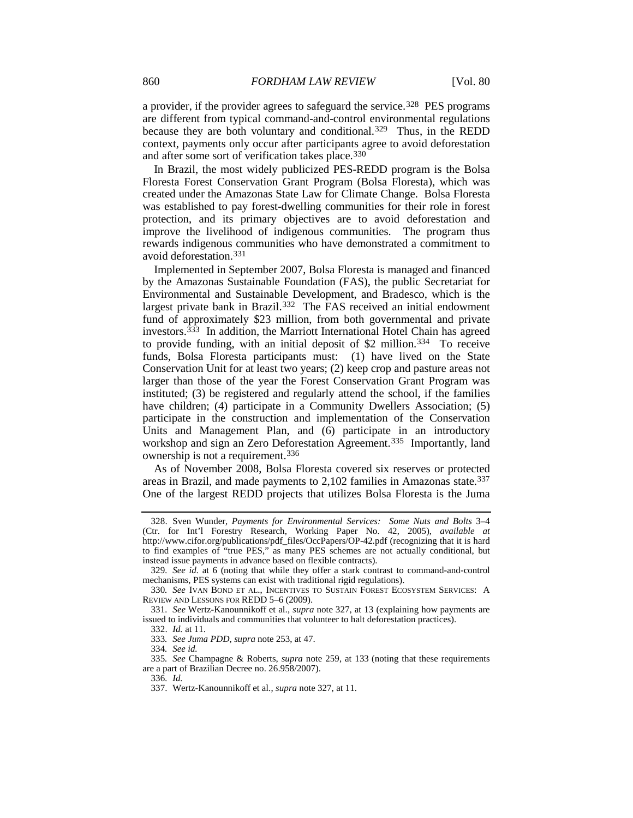a provider, if the provider agrees to safeguard the service.<sup>[328](#page-40-0)</sup> PES programs are different from typical command-and-control environmental regulations because they are both voluntary and conditional.<sup>[329](#page-40-1)</sup> Thus, in the REDD context, payments only occur after participants agree to avoid deforestation and after some sort of verification takes place.[330](#page-40-2)

In Brazil, the most widely publicized PES-REDD program is the Bolsa Floresta Forest Conservation Grant Program (Bolsa Floresta), which was created under the Amazonas State Law for Climate Change. Bolsa Floresta was established to pay forest-dwelling communities for their role in forest protection, and its primary objectives are to avoid deforestation and improve the livelihood of indigenous communities. The program thus rewards indigenous communities who have demonstrated a commitment to avoid deforestation.[331](#page-40-3)

Implemented in September 2007, Bolsa Floresta is managed and financed by the Amazonas Sustainable Foundation (FAS), the public Secretariat for Environmental and Sustainable Development, and Bradesco, which is the largest private bank in Brazil.[332](#page-40-4) The FAS received an initial endowment fund of approximately \$23 million, from both governmental and private investors.[333](#page-40-5) In addition, the Marriott International Hotel Chain has agreed to provide funding, with an initial deposit of \$2 million.<sup>334</sup> To receive funds, Bolsa Floresta participants must: (1) have lived on the State Conservation Unit for at least two years; (2) keep crop and pasture areas not larger than those of the year the Forest Conservation Grant Program was instituted; (3) be registered and regularly attend the school, if the families have children; (4) participate in a Community Dwellers Association; (5) participate in the construction and implementation of the Conservation Units and Management Plan, and (6) participate in an introductory workshop and sign an Zero Deforestation Agreement.<sup>335</sup> Importantly, land ownership is not a requirement[.336](#page-40-8)

As of November 2008, Bolsa Floresta covered six reserves or protected areas in Brazil, and made payments to 2,102 families in Amazonas state.<sup>[337](#page-40-9)</sup> One of the largest REDD projects that utilizes Bolsa Floresta is the Juma

<span id="page-40-0"></span><sup>328.</sup> Sven Wunder, *Payments for Environmental Services: Some Nuts and Bolts* 3–4 (Ctr. for Int'l Forestry Research, Working Paper No. 42, 2005), *available at* http://www.cifor.org/publications/pdf\_files/OccPapers/OP-42.pdf (recognizing that it is hard to find examples of "true PES," as many PES schemes are not actually conditional, but instead issue payments in advance based on flexible contracts).

<span id="page-40-1"></span><sup>329</sup>*. See id.* at 6 (noting that while they offer a stark contrast to command-and-control mechanisms, PES systems can exist with traditional rigid regulations).

<span id="page-40-2"></span><sup>330</sup>*. See* IVAN BOND ET AL., INCENTIVES TO SUSTAIN FOREST ECOSYSTEM SERVICES: A REVIEW AND LESSONS FOR REDD 5–6 (2009).

<span id="page-40-4"></span><span id="page-40-3"></span><sup>331</sup>*. See* Wertz-Kanounnikoff et al., *supra* not[e 327,](#page-39-10) at 13 (explaining how payments are issued to individuals and communities that volunteer to halt deforestation practices).

<sup>332.</sup> *Id.* at 11.

<sup>333</sup>*. See Juma PDD*, *supra* note [253,](#page-32-8) at 47.

<sup>334</sup>*. See id.*

<span id="page-40-9"></span><span id="page-40-8"></span><span id="page-40-7"></span><span id="page-40-6"></span><span id="page-40-5"></span><sup>335</sup>*. See* Champagne & Roberts, *supra* note [259,](#page-33-0) at 133 (noting that these requirements are a part of Brazilian Decree no. 26.958/2007).

<sup>336</sup>*. Id.*

<sup>337.</sup> Wertz-Kanounnikoff et al., *supra* not[e 327,](#page-39-10) at 11.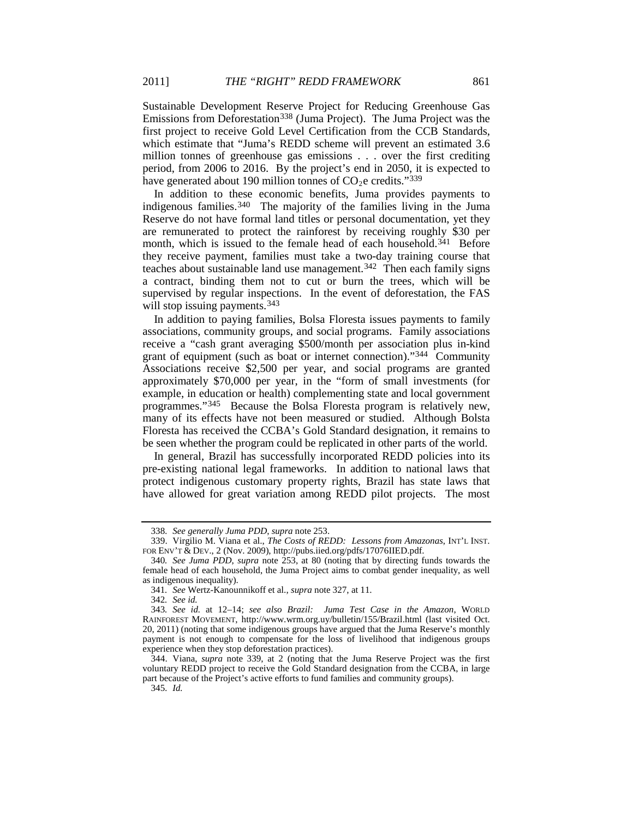Sustainable Development Reserve Project for Reducing Greenhouse Gas Emissions from Deforestation[338](#page-41-1) (Juma Project). The Juma Project was the first project to receive Gold Level Certification from the CCB Standards, which estimate that "Juma's REDD scheme will prevent an estimated 3.6 million tonnes of greenhouse gas emissions . . . over the first crediting period, from 2006 to 2016. By the project's end in 2050, it is expected to have generated about 190 million tonnes of  $CO<sub>2</sub>e$  credits."<sup>[339](#page-41-2)</sup>

<span id="page-41-0"></span>In addition to these economic benefits, Juma provides payments to indigenous families.[340](#page-41-3) The majority of the families living in the Juma Reserve do not have formal land titles or personal documentation, yet they are remunerated to protect the rainforest by receiving roughly \$30 per month, which is issued to the female head of each household.<sup>341</sup> Before they receive payment, families must take a two-day training course that teaches about sustainable land use management.<sup>342</sup> Then each family signs a contract, binding them not to cut or burn the trees, which will be supervised by regular inspections. In the event of deforestation, the FAS will stop issuing payments.<sup>[343](#page-41-6)</sup>

In addition to paying families, Bolsa Floresta issues payments to family associations, community groups, and social programs. Family associations receive a "cash grant averaging \$500/month per association plus in-kind grant of equipment (such as boat or internet connection)."[344](#page-41-7) Community Associations receive \$2,500 per year, and social programs are granted approximately \$70,000 per year, in the "form of small investments (for example, in education or health) complementing state and local government programmes."[345](#page-41-8) Because the Bolsa Floresta program is relatively new, many of its effects have not been measured or studied. Although Bolsta Floresta has received the CCBA's Gold Standard designation, it remains to be seen whether the program could be replicated in other parts of the world.

In general, Brazil has successfully incorporated REDD policies into its pre-existing national legal frameworks. In addition to national laws that protect indigenous customary property rights, Brazil has state laws that have allowed for great variation among REDD pilot projects. The most

342*. See id.*

<sup>338</sup>*. See generally Juma PDD*, *supra* not[e 253.](#page-32-8)

<span id="page-41-2"></span><span id="page-41-1"></span><sup>339.</sup> Virgilio M. Viana et al., *The Costs of REDD: Lessons from Amazonas*, INT'L INST. FOR ENV'T & DEV., 2 (Nov. 2009), http://pubs.iied.org/pdfs/17076IIED.pdf.

<span id="page-41-3"></span><sup>340</sup>*. See Juma PDD*, *supra* note [253,](#page-32-8) at 80 (noting that by directing funds towards the female head of each household, the Juma Project aims to combat gender inequality, as well as indigenous inequality).

<sup>341</sup>*. See* Wertz-Kanounnikoff et al., *supra* note [327,](#page-39-10) at 11.

<span id="page-41-6"></span><span id="page-41-5"></span><span id="page-41-4"></span><sup>343</sup>*. See id.* at 12–14; *see also Brazil: Juma Test Case in the Amazon*, WORLD RAINFOREST MOVEMENT, http://www.wrm.org.uy/bulletin/155/Brazil.html (last visited Oct. 20, 2011) (noting that some indigenous groups have argued that the Juma Reserve's monthly payment is not enough to compensate for the loss of livelihood that indigenous groups experience when they stop deforestation practices).

<span id="page-41-8"></span><span id="page-41-7"></span><sup>344.</sup> Viana, *supra* note [339,](#page-41-0) at 2 (noting that the Juma Reserve Project was the first voluntary REDD project to receive the Gold Standard designation from the CCBA, in large part because of the Project's active efforts to fund families and community groups).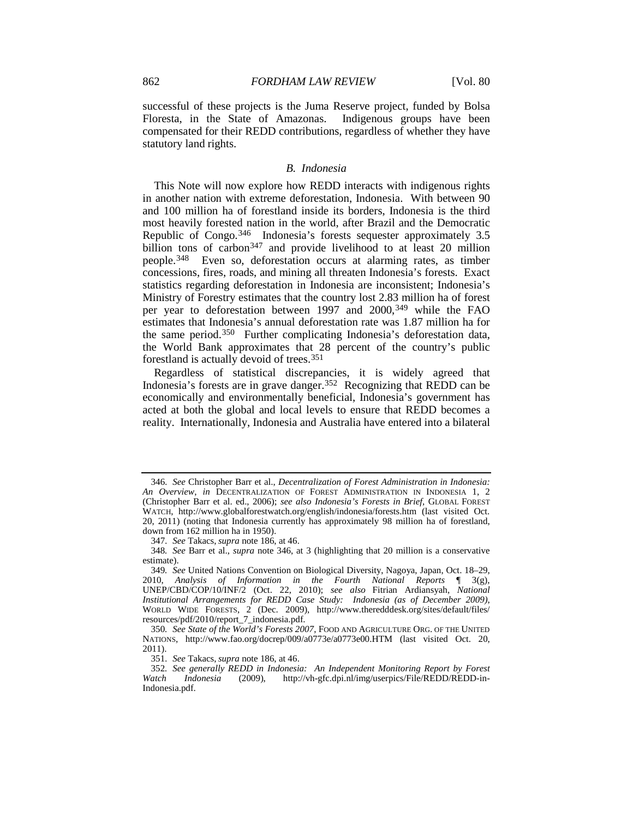successful of these projects is the Juma Reserve project, funded by Bolsa Floresta, in the State of Amazonas. Indigenous groups have been compensated for their REDD contributions, regardless of whether they have statutory land rights.

#### <span id="page-42-8"></span><span id="page-42-0"></span>*B. Indonesia*

This Note will now explore how REDD interacts with indigenous rights in another nation with extreme deforestation, Indonesia. With between 90 and 100 million ha of forestland inside its borders, Indonesia is the third most heavily forested nation in the world, after Brazil and the Democratic Republic of Congo.<sup>346</sup> Indonesia's forests sequester approximately 3.5 billion tons of carbon<sup>[347](#page-42-2)</sup> and provide livelihood to at least 20 million people.[348](#page-42-3) Even so, deforestation occurs at alarming rates, as timber concessions, fires, roads, and mining all threaten Indonesia's forests. Exact statistics regarding deforestation in Indonesia are inconsistent; Indonesia's Ministry of Forestry estimates that the country lost 2.83 million ha of forest per year to deforestation between 1997 and 2000,[349](#page-42-4) while the FAO estimates that Indonesia's annual deforestation rate was 1.87 million ha for the same period.[350](#page-42-5) Further complicating Indonesia's deforestation data, the World Bank approximates that 28 percent of the country's public forestland is actually devoid of trees.[351](#page-42-6)

Regardless of statistical discrepancies, it is widely agreed that Indonesia's forests are in grave danger.<sup>[352](#page-42-7)</sup> Recognizing that REDD can be economically and environmentally beneficial, Indonesia's government has acted at both the global and local levels to ensure that REDD becomes a reality. Internationally, Indonesia and Australia have entered into a bilateral

<span id="page-42-1"></span><sup>346</sup>*. See* Christopher Barr et al., *Decentralization of Forest Administration in Indonesia: An Overview*, *in* DECENTRALIZATION OF FOREST ADMINISTRATION IN INDONESIA 1, 2 (Christopher Barr et al. ed., 2006); *see also Indonesia's Forests in Brief*, GLOBAL FOREST WATCH, http://www.globalforestwatch.org/english/indonesia/forests.htm (last visited Oct. 20, 2011) (noting that Indonesia currently has approximately 98 million ha of forestland, down from 162 million ha in 1950).

<sup>347</sup>*. See* Takacs, *supra* not[e 186,](#page-24-11) at 46.

<span id="page-42-3"></span><span id="page-42-2"></span><sup>348</sup>*. See* Barr et al., *supra* note [346,](#page-42-0) at 3 (highlighting that 20 million is a conservative estimate).

<span id="page-42-4"></span><sup>349</sup>*. See* United Nations Convention on Biological Diversity, Nagoya, Japan, Oct. 18–29, 2010, *Analysis of Information in the Fourth National Reports* ¶ 3(g), UNEP/CBD/COP/10/INF/2 (Oct. 22, 2010); *see also* Fitrian Ardiansyah, *National Institutional Arrangements for REDD Case Study: Indonesia (as of December 2009)*, WORLD WIDE FORESTS, 2 (Dec. 2009), http://www.theredddesk.org/sites/default/files/ resources/pdf/2010/report\_7\_indonesia.pdf.

<span id="page-42-5"></span><sup>350</sup>*. See State of the World's Forests 2007*, FOOD AND AGRICULTURE ORG. OF THE UNITED NATIONS, http://www.fao.org/docrep/009/a0773e/a0773e00.HTM (last visited Oct. 20, 2011).

<sup>351</sup>*. See* Takacs, *supra* not[e 186,](#page-24-11) at 46.

<span id="page-42-7"></span><span id="page-42-6"></span><sup>352</sup>*. See generally REDD in Indonesia: An Independent Monitoring Report by Forest Watch Indonesia* (2009), http://vh-gfc.dpi.nl/img/userpics/File/REDD/REDD-in-Indonesia.pdf.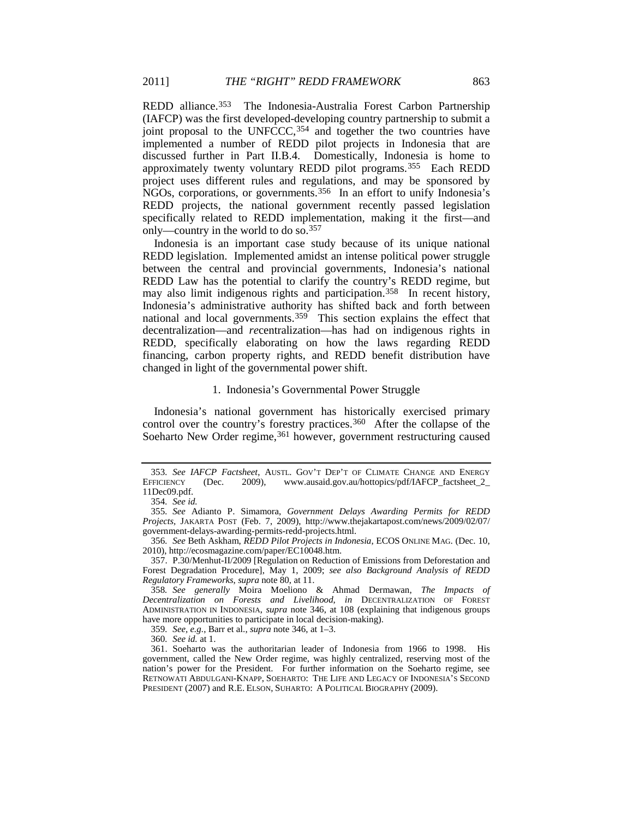<span id="page-43-9"></span>REDD alliance.<sup>353</sup> The Indonesia-Australia Forest Carbon Partnership (IAFCP) was the first developed-developing country partnership to submit a joint proposal to the UNFCCC,<sup>[354](#page-43-1)</sup> and together the two countries have implemented a number of REDD pilot projects in Indonesia that are discussed further in Part II.B.4. Domestically, Indonesia is home to approximately twenty voluntary REDD pilot programs.[355](#page-43-2) Each REDD project uses different rules and regulations, and may be sponsored by NGOs, corporations, or governments.[356](#page-43-3) In an effort to unify Indonesia's REDD projects, the national government recently passed legislation specifically related to REDD implementation, making it the first—and only—country in the world to do so.[357](#page-43-4)

Indonesia is an important case study because of its unique national REDD legislation. Implemented amidst an intense political power struggle between the central and provincial governments, Indonesia's national REDD Law has the potential to clarify the country's REDD regime, but may also limit indigenous rights and participation.<sup>[358](#page-43-5)</sup> In recent history, Indonesia's administrative authority has shifted back and forth between national and local governments.<sup>359</sup> This section explains the effect that decentralization—and *re*centralization—has had on indigenous rights in REDD, specifically elaborating on how the laws regarding REDD financing, carbon property rights, and REDD benefit distribution have changed in light of the governmental power shift.

#### <span id="page-43-10"></span>1. Indonesia's Governmental Power Struggle

Indonesia's national government has historically exercised primary control over the country's forestry practices.<sup>360</sup> After the collapse of the Soeharto New Order regime, [361](#page-43-8) however, government restructuring caused

<span id="page-43-0"></span><sup>353</sup>*. See IAFCP Factsheet*, AUSTL. GOV'T DEP'T OF CLIMATE CHANGE AND ENERGY (Dec. 2009), www.ausaid.gov.au/hottopics/pdf/IAFCP\_factsheet\_2\_ 11Dec09.pdf.

<sup>354</sup>*. See id.*

<span id="page-43-2"></span><span id="page-43-1"></span><sup>355</sup>*. See* Adianto P. Simamora, *Government Delays Awarding Permits for REDD Projects,* JAKARTA POST (Feb. 7, 2009), http://www.thejakartapost.com/news/2009/02/07/ government-delays-awarding-permits-redd-projects.html.

<span id="page-43-3"></span><sup>356</sup>*. See* Beth Askham, *REDD Pilot Projects in Indonesia*, ECOS ONLINE MAG. (Dec. 10, 2010), http://ecosmagazine.com/paper/EC10048.htm.

<span id="page-43-4"></span><sup>357.</sup> P.30/Menhut-II/2009 [Regulation on Reduction of Emissions from Deforestation and Forest Degradation Procedure], May 1, 2009; *see also Background Analysis of REDD Regulatory Frameworks*, *supra* not[e 80,](#page-13-10) at 11.

<span id="page-43-5"></span><sup>358</sup>*. See generally* Moira Moeliono & Ahmad Dermawan, *The Impacts of Decentralization on Forests and Livelihood*, *in* DECENTRALIZATION OF FOREST ADMINISTRATION IN INDONESIA, *supra* note [346,](#page-42-0) at 108 (explaining that indigenous groups have more opportunities to participate in local decision-making).

<sup>359</sup>*. See, e.g.*, Barr et al., *supra* not[e 346,](#page-42-0) at 1–3.

<sup>360</sup>*. See id.* at 1.

<span id="page-43-8"></span><span id="page-43-7"></span><span id="page-43-6"></span><sup>361.</sup> Soeharto was the authoritarian leader of Indonesia from 1966 to 1998. His government, called the New Order regime, was highly centralized, reserving most of the nation's power for the President. For further information on the Soeharto regime, see RETNOWATI ABDULGANI-KNAPP, SOEHARTO: THE LIFE AND LEGACY OF INDONESIA'S SECOND PRESIDENT (2007) and R.E. ELSON, SUHARTO: A POLITICAL BIOGRAPHY (2009).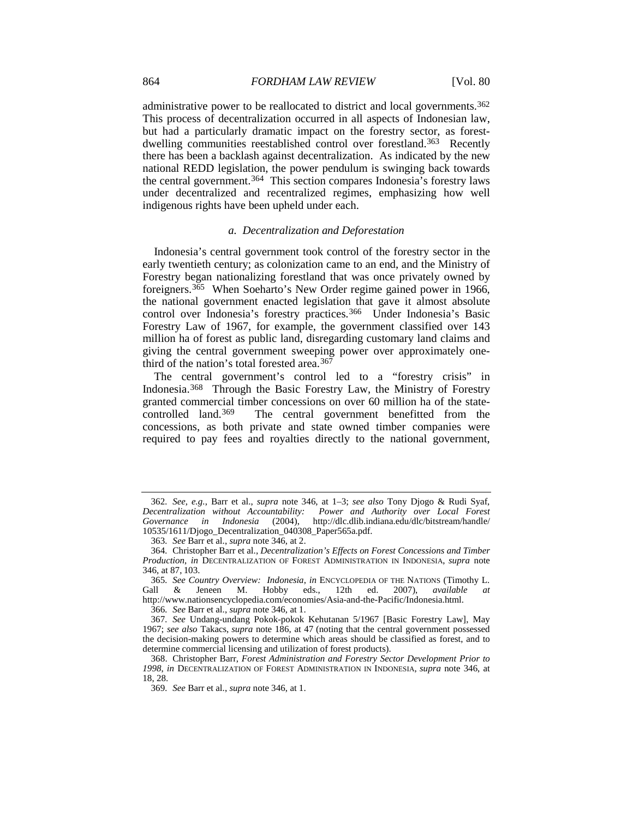administrative power to be reallocated to district and local governments.[362](#page-44-0) This process of decentralization occurred in all aspects of Indonesian law, but had a particularly dramatic impact on the forestry sector, as forestdwelling communities reestablished control over forestland.[363](#page-44-1) Recently there has been a backlash against decentralization. As indicated by the new national REDD legislation, the power pendulum is swinging back towards the central government.<sup>[364](#page-44-2)</sup> This section compares Indonesia's forestry laws under decentralized and recentralized regimes, emphasizing how well indigenous rights have been upheld under each.

#### <span id="page-44-10"></span>*a. Decentralization and Deforestation*

<span id="page-44-9"></span>Indonesia's central government took control of the forestry sector in the early twentieth century; as colonization came to an end, and the Ministry of Forestry began nationalizing forestland that was once privately owned by foreigners.[365](#page-44-3) When Soeharto's New Order regime gained power in 1966, the national government enacted legislation that gave it almost absolute control over Indonesia's forestry practices.<sup>366</sup> Under Indonesia's Basic Forestry Law of 1967, for example, the government classified over 143 million ha of forest as public land, disregarding customary land claims and giving the central government sweeping power over approximately one-third of the nation's total forested area.<sup>[367](#page-44-5)</sup>

<span id="page-44-8"></span>The central government's control led to a "forestry crisis" in Indonesia.[368](#page-44-6) Through the Basic Forestry Law, the Ministry of Forestry granted commercial timber concessions on over 60 million ha of the statecontrolled land.[369](#page-44-7) The central government benefitted from the concessions, as both private and state owned timber companies were required to pay fees and royalties directly to the national government,

366*. See* Barr et al., *supra* not[e 346,](#page-42-0) at 1.

<span id="page-44-0"></span><sup>362</sup>*. See, e.g.*, Barr et al., *supra* note [346,](#page-42-0) at 1–3; *see also* Tony Djogo & Rudi Syaf, *Decentralization without Accountability: Power and Authority over Local Forest Governance in Indonesia* (2004), http://dlc.dlib.indiana.edu/dlc/bitstream/handle/ 10535/1611/Djogo\_Decentralization\_040308\_Paper565a.pdf.

<sup>363</sup>*. See* Barr et al., *supra* not[e 346,](#page-42-0) at 2.

<span id="page-44-2"></span><span id="page-44-1"></span><sup>364</sup>*.* Christopher Barr et al., *Decentralization's Effects on Forest Concessions and Timber Production*, *in* DECENTRALIZATION OF FOREST ADMINISTRATION IN INDONESIA, *supra* note [346,](#page-42-0) at 87, 103.

<span id="page-44-3"></span><sup>365</sup>*. See Country Overview: Indonesia*, *in* ENCYCLOPEDIA OF THE NATIONS (Timothy L. Gall & Jeneen M. Hobby eds., 12th ed. 2007), *available at* http://www.nationsencyclopedia.com/economies/Asia-and-the-Pacific/Indonesia.html.

<span id="page-44-5"></span><span id="page-44-4"></span><sup>367</sup>*. See* Undang-undang Pokok-pokok Kehutanan 5/1967 [Basic Forestry Law], May 1967; *see also* Takacs, *supra* note [186,](#page-24-11) at 47 (noting that the central government possessed the decision-making powers to determine which areas should be classified as forest, and to determine commercial licensing and utilization of forest products).

<span id="page-44-7"></span><span id="page-44-6"></span><sup>368.</sup> Christopher Barr, *Forest Administration and Forestry Sector Development Prior to 1998*, *in* DECENTRALIZATION OF FOREST ADMINISTRATION IN INDONESIA, *supra* note [346,](#page-42-0) at 18, 28.

<sup>369</sup>*. See* Barr et al., *supra* not[e 346,](#page-42-0) at 1.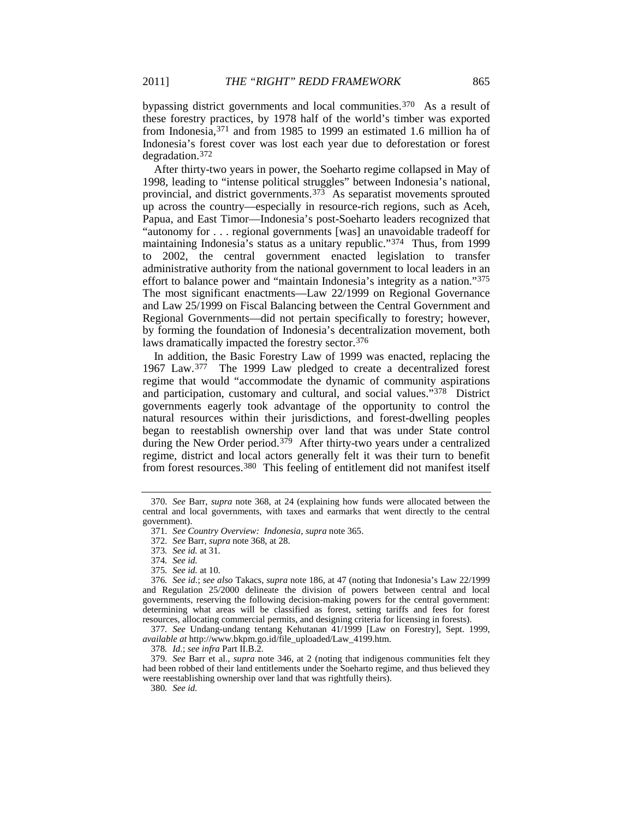bypassing district governments and local communities.[370](#page-45-0) As a result of these forestry practices, by 1978 half of the world's timber was exported from Indonesia,[371](#page-45-1) and from 1985 to 1999 an estimated 1.6 million ha of Indonesia's forest cover was lost each year due to deforestation or forest degradation.[372](#page-45-2)

After thirty-two years in power, the Soeharto regime collapsed in May of 1998, leading to "intense political struggles" between Indonesia's national, provincial, and district governments. $37\overline{3}$  As separatist movements sprouted up across the country—especially in resource-rich regions, such as Aceh, Papua, and East Timor—Indonesia's post-Soeharto leaders recognized that "autonomy for . . . regional governments [was] an unavoidable tradeoff for maintaining Indonesia's status as a unitary republic."[374](#page-45-4) Thus, from 1999 to 2002, the central government enacted legislation to transfer administrative authority from the national government to local leaders in an effort to balance power and "maintain Indonesia's integrity as a nation."[375](#page-45-5) The most significant enactments—Law 22/1999 on Regional Governance and Law 25/1999 on Fiscal Balancing between the Central Government and Regional Governments—did not pertain specifically to forestry; however, by forming the foundation of Indonesia's decentralization movement, both laws dramatically impacted the forestry sector[.376](#page-45-6)

<span id="page-45-11"></span>In addition, the Basic Forestry Law of 1999 was enacted, replacing the 1967 Law.[377](#page-45-7) The 1999 Law pledged to create a decentralized forest regime that would "accommodate the dynamic of community aspirations and participation, customary and cultural, and social values."[378](#page-45-8) District governments eagerly took advantage of the opportunity to control the natural resources within their jurisdictions, and forest-dwelling peoples began to reestablish ownership over land that was under State control during the New Order period.<sup>[379](#page-45-9)</sup> After thirty-two years under a centralized regime, district and local actors generally felt it was their turn to benefit from forest resources.<sup>[380](#page-45-10)</sup> This feeling of entitlement did not manifest itself

<span id="page-45-7"></span>377*. See* Undang-undang tentang Kehutanan 41/1999 [Law on Forestry], Sept. 1999, *available at* http://www.bkpm.go.id/file\_uploaded/Law\_4199.htm.

378*. Id.*; *see infra* Part II.B.2.

<span id="page-45-10"></span><span id="page-45-9"></span><span id="page-45-8"></span>379*. See* Barr et al., *supra* note [346,](#page-42-0) at 2 (noting that indigenous communities felt they had been robbed of their land entitlements under the Soeharto regime, and thus believed they were reestablishing ownership over land that was rightfully theirs).

380*. See id.*

<span id="page-45-12"></span><span id="page-45-2"></span><span id="page-45-1"></span><span id="page-45-0"></span><sup>370</sup>*. See* Barr, *supra* note [368,](#page-44-8) at 24 (explaining how funds were allocated between the central and local governments, with taxes and earmarks that went directly to the central government).

<sup>371</sup>*. See Country Overview: Indonesia*, *supra* note [365.](#page-44-9)

<sup>372</sup>*. See* Barr, *supra* not[e 368,](#page-44-8) at 28.

<sup>373</sup>*. See id.* at 31.

<sup>374</sup>*. See id.*

<sup>375</sup>*. See id.* at 10.

<span id="page-45-6"></span><span id="page-45-5"></span><span id="page-45-4"></span><span id="page-45-3"></span><sup>376</sup>*. See id.*; *see also* Takacs, *supra* note [186,](#page-24-11) at 47 (noting that Indonesia's Law 22/1999 and Regulation 25/2000 delineate the division of powers between central and local governments, reserving the following decision-making powers for the central government: determining what areas will be classified as forest, setting tariffs and fees for forest resources, allocating commercial permits, and designing criteria for licensing in forests).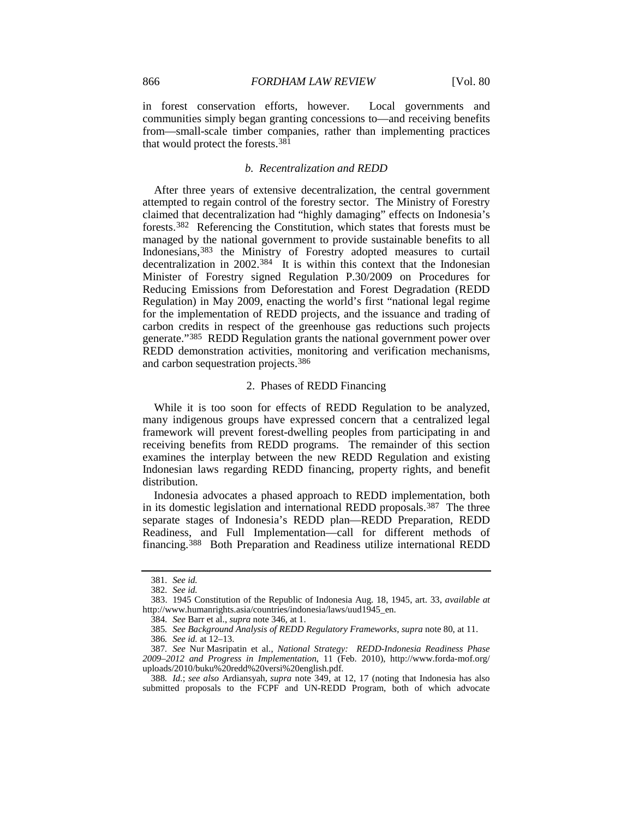in forest conservation efforts, however. Local governments and communities simply began granting concessions to—and receiving benefits from—small-scale timber companies, rather than implementing practices that would protect the forests.[381](#page-46-0)

#### *b. Recentralization and REDD*

After three years of extensive decentralization, the central government attempted to regain control of the forestry sector. The Ministry of Forestry claimed that decentralization had "highly damaging" effects on Indonesia's forests.[382](#page-46-1) Referencing the Constitution, which states that forests must be managed by the national government to provide sustainable benefits to all Indonesians,[383](#page-46-2) the Ministry of Forestry adopted measures to curtail decentralization in 2002.<sup>384</sup> It is within this context that the Indonesian Minister of Forestry signed Regulation P.30/2009 on Procedures for Reducing Emissions from Deforestation and Forest Degradation (REDD Regulation) in May 2009, enacting the world's first "national legal regime for the implementation of REDD projects, and the issuance and trading of carbon credits in respect of the greenhouse gas reductions such projects generate.["385](#page-46-4) REDD Regulation grants the national government power over REDD demonstration activities, monitoring and verification mechanisms, and carbon sequestration projects.[386](#page-46-5)

#### <span id="page-46-8"></span>2. Phases of REDD Financing

While it is too soon for effects of REDD Regulation to be analyzed, many indigenous groups have expressed concern that a centralized legal framework will prevent forest-dwelling peoples from participating in and receiving benefits from REDD programs. The remainder of this section examines the interplay between the new REDD Regulation and existing Indonesian laws regarding REDD financing, property rights, and benefit distribution.

Indonesia advocates a phased approach to REDD implementation, both in its domestic legislation and international REDD proposals.[387](#page-46-6) The three separate stages of Indonesia's REDD plan—REDD Preparation, REDD Readiness, and Full Implementation—call for different methods of financing.[388](#page-46-7) Both Preparation and Readiness utilize international REDD

<sup>381</sup>*. See id.*

<sup>382</sup>*. See id.*

<span id="page-46-3"></span><span id="page-46-2"></span><span id="page-46-1"></span><span id="page-46-0"></span><sup>383.</sup> 1945 Constitution of the Republic of Indonesia Aug. 18, 1945, art. 33, *available at* http://www.humanrights.asia/countries/indonesia/laws/uud1945\_en.

<sup>384</sup>*. See* Barr et al., *supra* not[e 346,](#page-42-0) at 1.

<sup>385</sup>*. See Background Analysis of REDD Regulatory Frameworks*, *supra* note [80,](#page-13-10) at 11.

<sup>386</sup>*. See id.* at 12–13.

<span id="page-46-6"></span><span id="page-46-5"></span><span id="page-46-4"></span><sup>387</sup>*. See* Nur Masripatin et al., *National Strategy: REDD-Indonesia Readiness Phase 2009–2012 and Progress in Implementation*, 11 (Feb. 2010), http://www.forda-mof.org/ uploads/2010/buku%20redd%20versi%20english.pdf.

<span id="page-46-7"></span><sup>388</sup>*. Id.*; *see also* Ardiansyah, *supra* note [349,](#page-42-8) at 12, 17 (noting that Indonesia has also submitted proposals to the FCPF and UN-REDD Program, both of which advocate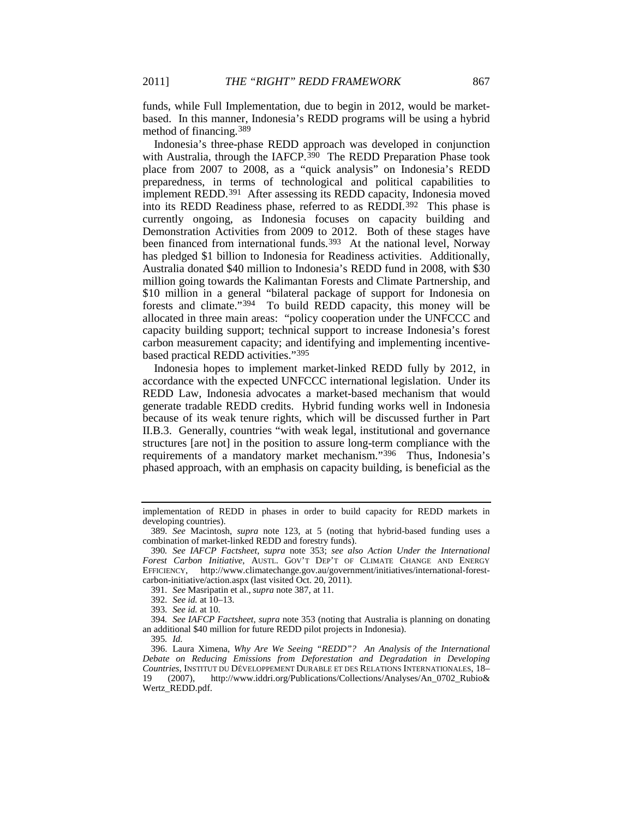funds, while Full Implementation, due to begin in 2012, would be marketbased. In this manner, Indonesia's REDD programs will be using a hybrid method of financing.[389](#page-47-0)

Indonesia's three-phase REDD approach was developed in conjunction with Australia, through the IAFCP.<sup>[390](#page-47-1)</sup> The REDD Preparation Phase took place from 2007 to 2008, as a "quick analysis" on Indonesia's REDD preparedness, in terms of technological and political capabilities to implement REDD.[391](#page-47-2) After assessing its REDD capacity, Indonesia moved into its REDD Readiness phase, referred to as REDDI.[392](#page-47-3) This phase is currently ongoing, as Indonesia focuses on capacity building and Demonstration Activities from 2009 to 2012. Both of these stages have been financed from international funds.<sup>[393](#page-47-4)</sup> At the national level, Norway has pledged \$1 billion to Indonesia for Readiness activities. Additionally, Australia donated \$40 million to Indonesia's REDD fund in 2008, with \$30 million going towards the Kalimantan Forests and Climate Partnership, and \$10 million in a general "bilateral package of support for Indonesia on forests and climate."[394](#page-47-5) To build REDD capacity, this money will be allocated in three main areas: "policy cooperation under the UNFCCC and capacity building support; technical support to increase Indonesia's forest carbon measurement capacity; and identifying and implementing incentivebased practical REDD activities."[395](#page-47-6)

Indonesia hopes to implement market-linked REDD fully by 2012, in accordance with the expected UNFCCC international legislation. Under its REDD Law, Indonesia advocates a market-based mechanism that would generate tradable REDD credits. Hybrid funding works well in Indonesia because of its weak tenure rights, which will be discussed further in Part II.B.3. Generally, countries "with weak legal, institutional and governance structures [are not] in the position to assure long-term compliance with the requirements of a mandatory market mechanism."<sup>[396](#page-47-7)</sup> Thus, Indonesia's phased approach, with an emphasis on capacity building, is beneficial as the

391*. See* Masripatin et al., *supra* note [387,](#page-46-8) at 11.

implementation of REDD in phases in order to build capacity for REDD markets in developing countries).

<span id="page-47-0"></span><sup>389</sup>*. See* Macintosh, *supra* note [123,](#page-17-11) at 5 (noting that hybrid-based funding uses a combination of market-linked REDD and forestry funds).

<span id="page-47-1"></span><sup>390</sup>*. See IAFCP Factsheet*, *supra* note [353;](#page-43-9) *see also Action Under the International Forest Carbon Initiative*, AUSTL. GOV'T DEP'T OF CLIMATE CHANGE AND ENERGY EFFICIENCY, http://www.climatechange.gov.au/government/initiatives/international-forestcarbon-initiative/action.aspx (last visited Oct. 20, 2011).

<sup>392</sup>*. See id.* at 10–13.

<sup>393</sup>*. See id.* at 10.

<span id="page-47-5"></span><span id="page-47-4"></span><span id="page-47-3"></span><span id="page-47-2"></span><sup>394</sup>*. See IAFCP Factsheet*, *supra* note [353](#page-43-9) (noting that Australia is planning on donating an additional \$40 million for future REDD pilot projects in Indonesia).

<sup>395</sup>*. Id.*

<span id="page-47-7"></span><span id="page-47-6"></span><sup>396.</sup> Laura Ximena, *Why Are We Seeing "REDD"? An Analysis of the International Debate on Reducing Emissions from Deforestation and Degradation in Developing Countries*, INSTITUT DU DÉVELOPPEMENT DURABLE ET DES RELATIONS INTERNATIONALES, 18– 19 (2007), http://www.iddri.org/Publications/Collections/Analyses/An\_0702\_Rubio& Wertz\_REDD.pdf.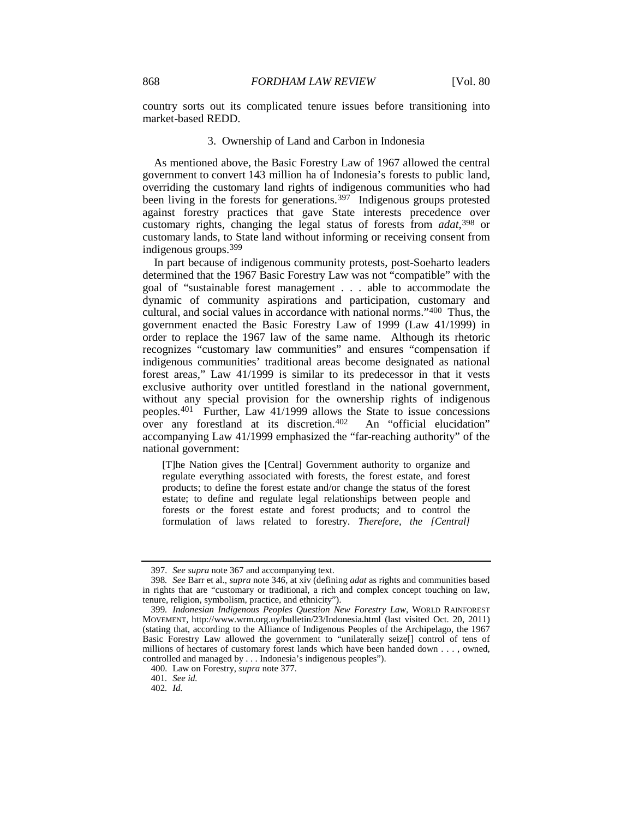country sorts out its complicated tenure issues before transitioning into market-based REDD.

#### 3. Ownership of Land and Carbon in Indonesia

As mentioned above, the Basic Forestry Law of 1967 allowed the central government to convert 143 million ha of Indonesia's forests to public land, overriding the customary land rights of indigenous communities who had been living in the forests for generations.<sup>[397](#page-48-0)</sup> Indigenous groups protested against forestry practices that gave State interests precedence over customary rights, changing the legal status of forests from *adat*,[398](#page-48-1) or customary lands, to State land without informing or receiving consent from indigenous groups.[399](#page-48-2)

<span id="page-48-6"></span>In part because of indigenous community protests, post-Soeharto leaders determined that the 1967 Basic Forestry Law was not "compatible" with the goal of "sustainable forest management . . . able to accommodate the dynamic of community aspirations and participation, customary and cultural, and social values in accordance with national norms."[400](#page-48-3) Thus, the government enacted the Basic Forestry Law of 1999 (Law 41/1999) in order to replace the 1967 law of the same name. Although its rhetoric recognizes "customary law communities" and ensures "compensation if indigenous communities' traditional areas become designated as national forest areas," Law 41/1999 is similar to its predecessor in that it vests exclusive authority over untitled forestland in the national government, without any special provision for the ownership rights of indigenous peoples.<sup>[401](#page-48-4)</sup> Further, Law  $41/1999$  allows the State to issue concessions over any forestland at its discretion[.402](#page-48-5) An "official elucidation" accompanying Law 41/1999 emphasized the "far-reaching authority" of the national government:

[T]he Nation gives the [Central] Government authority to organize and regulate everything associated with forests, the forest estate, and forest products; to define the forest estate and/or change the status of the forest estate; to define and regulate legal relationships between people and forests or the forest estate and forest products; and to control the formulation of laws related to forestry. *Therefore, the [Central]* 

<sup>397</sup>*. See supra* not[e 367](#page-44-10) and accompanying text.

<span id="page-48-1"></span><span id="page-48-0"></span><sup>398</sup>*. See* Barr et al., *supra* not[e 346,](#page-42-0) at xiv (defining *adat* as rights and communities based in rights that are "customary or traditional, a rich and complex concept touching on law, tenure, religion, symbolism, practice, and ethnicity").

<span id="page-48-2"></span><sup>399</sup>*. Indonesian Indigenous Peoples Question New Forestry Law*, WORLD RAINFOREST MOVEMENT, http://www.wrm.org.uy/bulletin/23/Indonesia.html (last visited Oct. 20, 2011) (stating that, according to the Alliance of Indigenous Peoples of the Archipelago, the 1967 Basic Forestry Law allowed the government to "unilaterally seize[] control of tens of millions of hectares of customary forest lands which have been handed down . . . , owned, controlled and managed by . . . Indonesia's indigenous peoples").

<span id="page-48-3"></span><sup>400</sup>*.* Law on Forestry, *supra* not[e 377.](#page-45-11)

<span id="page-48-4"></span><sup>401</sup>*. See id.*

<span id="page-48-5"></span><sup>402</sup>*. Id.*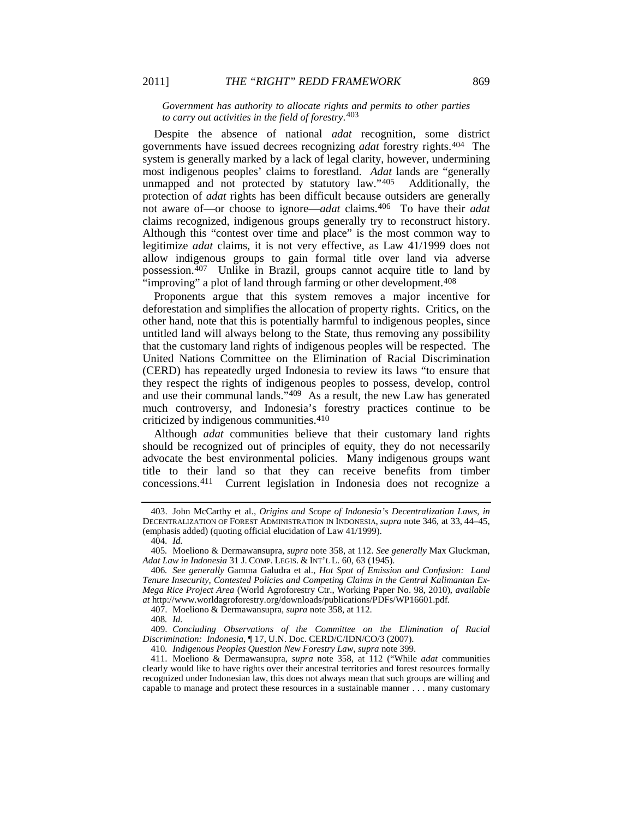#### *Government has authority to allocate rights and permits to other parties to carry out activities in the field of forestry*.[403](#page-49-0)

Despite the absence of national *adat* recognition, some district governments have issued decrees recognizing *adat* forestry rights.[404](#page-49-1) The system is generally marked by a lack of legal clarity, however, undermining most indigenous peoples' claims to forestland. *Adat* lands are "generally unmapped and not protected by statutory law."[405](#page-49-2) Additionally, the protection of *adat* rights has been difficult because outsiders are generally not aware of—or choose to ignore—*adat* claims.[406](#page-49-3) To have their *adat* claims recognized, indigenous groups generally try to reconstruct history. Although this "contest over time and place" is the most common way to legitimize *adat* claims, it is not very effective, as Law 41/1999 does not allow indigenous groups to gain formal title over land via adverse possession.[407](#page-49-4) Unlike in Brazil, groups cannot acquire title to land by "improving" a plot of land through farming or other development.<sup>[408](#page-49-5)</sup>

Proponents argue that this system removes a major incentive for deforestation and simplifies the allocation of property rights. Critics, on the other hand, note that this is potentially harmful to indigenous peoples, since untitled land will always belong to the State, thus removing any possibility that the customary land rights of indigenous peoples will be respected. The United Nations Committee on the Elimination of Racial Discrimination (CERD) has repeatedly urged Indonesia to review its laws "to ensure that they respect the rights of indigenous peoples to possess, develop, control and use their communal lands."[409](#page-49-6) As a result, the new Law has generated much controversy, and Indonesia's forestry practices continue to be criticized by indigenous communities[.410](#page-49-7)

Although *adat* communities believe that their customary land rights should be recognized out of principles of equity, they do not necessarily advocate the best environmental policies. Many indigenous groups want title to their land so that they can receive benefits from timber concessions.[411](#page-49-8) Current legislation in Indonesia does not recognize a

407. Moeliono & Dermawansupra, *supra* not[e 358,](#page-43-10) at 112.

<span id="page-49-0"></span><sup>403.</sup> John McCarthy et al., *Origins and Scope of Indonesia's Decentralization Laws*, *in*  DECENTRALIZATION OF FOREST ADMINISTRATION IN INDONESIA, *supra* note [346,](#page-42-0) at 33, 44–45, (emphasis added) (quoting official elucidation of Law 41/1999).

<sup>404</sup>*. Id.*

<span id="page-49-2"></span><span id="page-49-1"></span><sup>405</sup>*.* Moeliono & Dermawansupra, *supra* not[e 358,](#page-43-10) at 112. *See generally* Max Gluckman, *Adat Law in Indonesia* 31 J. COMP. LEGIS. & INT'L L. 60, 63 (1945).

<span id="page-49-3"></span><sup>406</sup>*. See generally* Gamma Galudra et al., *Hot Spot of Emission and Confusion: Land Tenure Insecurity, Contested Policies and Competing Claims in the Central Kalimantan Ex-Mega Rice Project Area* (World Agroforestry Ctr., Working Paper No. 98, 2010), *available at* http://www.worldagroforestry.org/downloads/publications/PDFs/WP16601.pdf.

<sup>408</sup>*. Id.*

<span id="page-49-6"></span><span id="page-49-5"></span><span id="page-49-4"></span><sup>409.</sup> *Concluding Observations of the Committee on the Elimination of Racial Discrimination: Indonesia*, ¶ 17, U.N. Doc. CERD/C/IDN/CO/3 (2007).

<sup>410</sup>*. Indigenous Peoples Question New Forestry Law*, *supra* not[e 399.](#page-48-6)

<span id="page-49-8"></span><span id="page-49-7"></span><sup>411.</sup> Moeliono & Dermawansupra, *supra* note [358,](#page-43-10) at 112 ("While *adat* communities clearly would like to have rights over their ancestral territories and forest resources formally recognized under Indonesian law, this does not always mean that such groups are willing and capable to manage and protect these resources in a sustainable manner . . . many customary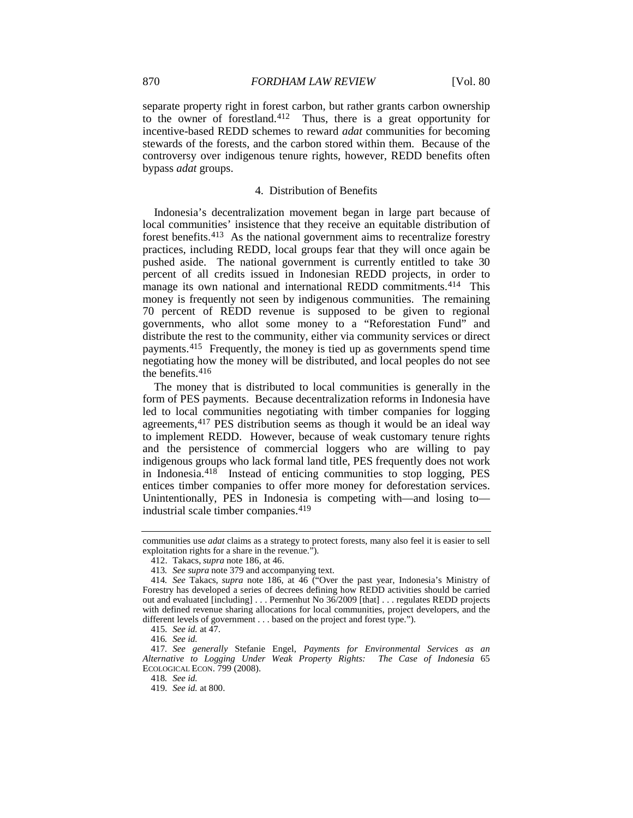separate property right in forest carbon, but rather grants carbon ownership to the owner of forestland.[412](#page-50-0) Thus, there is a great opportunity for incentive-based REDD schemes to reward *adat* communities for becoming stewards of the forests, and the carbon stored within them. Because of the controversy over indigenous tenure rights, however, REDD benefits often bypass *adat* groups.

#### 4. Distribution of Benefits

Indonesia's decentralization movement began in large part because of local communities' insistence that they receive an equitable distribution of forest benefits[.413](#page-50-1) As the national government aims to recentralize forestry practices, including REDD, local groups fear that they will once again be pushed aside. The national government is currently entitled to take 30 percent of all credits issued in Indonesian REDD projects, in order to manage its own national and international REDD commitments[.414](#page-50-2) This money is frequently not seen by indigenous communities. The remaining 70 percent of REDD revenue is supposed to be given to regional governments, who allot some money to a "Reforestation Fund" and distribute the rest to the community, either via community services or direct payments[.415](#page-50-3) Frequently, the money is tied up as governments spend time negotiating how the money will be distributed, and local peoples do not see the benefits.[416](#page-50-4)

The money that is distributed to local communities is generally in the form of PES payments. Because decentralization reforms in Indonesia have led to local communities negotiating with timber companies for logging agreements,[417](#page-50-5) PES distribution seems as though it would be an ideal way to implement REDD. However, because of weak customary tenure rights and the persistence of commercial loggers who are willing to pay indigenous groups who lack formal land title, PES frequently does not work in Indonesia.[418](#page-50-6) Instead of enticing communities to stop logging, PES entices timber companies to offer more money for deforestation services. Unintentionally, PES in Indonesia is competing with—and losing to— industrial scale timber companies.<sup>[419](#page-50-7)</sup>

418*. See id.*

communities use *adat* claims as a strategy to protect forests, many also feel it is easier to sell exploitation rights for a share in the revenue.").

<sup>412.</sup> Takacs, *supra* note [186,](#page-24-11) at 46.

<sup>413</sup>*. See supra* not[e 379](#page-45-12) and accompanying text.

<span id="page-50-2"></span><span id="page-50-1"></span><span id="page-50-0"></span><sup>414</sup>*. See* Takacs, *supra* note [186,](#page-24-11) at 46 ("Over the past year, Indonesia's Ministry of Forestry has developed a series of decrees defining how REDD activities should be carried out and evaluated [including] . . . Permenhut No 36/2009 [that] . . . regulates REDD projects with defined revenue sharing allocations for local communities, project developers, and the different levels of government . . . based on the project and forest type.").

<sup>415</sup>*. See id.* at 47.

<sup>416</sup>*. See id.*

<span id="page-50-7"></span><span id="page-50-6"></span><span id="page-50-5"></span><span id="page-50-4"></span><span id="page-50-3"></span><sup>417</sup>*. See generally* Stefanie Engel, *Payments for Environmental Services as an Alternative to Logging Under Weak Property Rights: The Case of Indonesia* 65 ECOLOGICAL ECON. 799 (2008).

<sup>419</sup>*. See id.* at 800.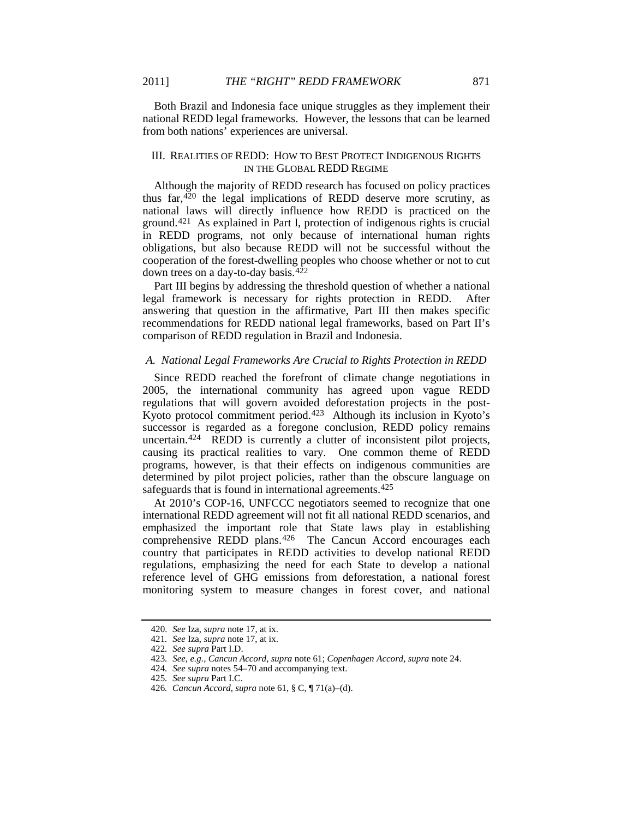Both Brazil and Indonesia face unique struggles as they implement their national REDD legal frameworks. However, the lessons that can be learned from both nations' experiences are universal.

# III. REALITIES OF REDD: HOW TO BEST PROTECT INDIGENOUS RIGHTS IN THE GLOBAL REDD REGIME

Although the majority of REDD research has focused on policy practices thus far,  $420$  the legal implications of REDD deserve more scrutiny, as national laws will directly influence how REDD is practiced on the ground.[421](#page-51-1) As explained in Part I, protection of indigenous rights is crucial in REDD programs, not only because of international human rights obligations, but also because REDD will not be successful without the cooperation of the forest-dwelling peoples who choose whether or not to cut down trees on a day-to-day basis.[422](#page-51-2)

Part III begins by addressing the threshold question of whether a national legal framework is necessary for rights protection in REDD. After answering that question in the affirmative, Part III then makes specific recommendations for REDD national legal frameworks, based on Part II's comparison of REDD regulation in Brazil and Indonesia.

# *A. National Legal Frameworks Are Crucial to Rights Protection in REDD*

Since REDD reached the forefront of climate change negotiations in 2005, the international community has agreed upon vague REDD regulations that will govern avoided deforestation projects in the post-Kyoto protocol commitment period.<sup>423</sup> Although its inclusion in Kyoto's successor is regarded as a foregone conclusion, REDD policy remains uncertain.[424](#page-51-4) REDD is currently a clutter of inconsistent pilot projects, causing its practical realities to vary. One common theme of REDD programs, however, is that their effects on indigenous communities are determined by pilot project policies, rather than the obscure language on safeguards that is found in international agreements.<sup>[425](#page-51-5)</sup>

At 2010's COP-16, UNFCCC negotiators seemed to recognize that one international REDD agreement will not fit all national REDD scenarios, and emphasized the important role that State laws play in establishing comprehensive REDD plans.<sup>[426](#page-51-6)</sup> The Cancun Accord encourages each country that participates in REDD activities to develop national REDD regulations, emphasizing the need for each State to develop a national reference level of GHG emissions from deforestation, a national forest monitoring system to measure changes in forest cover, and national

<sup>420</sup>*. See* Iza, *supra* note [17,](#page-4-9) at ix.

<span id="page-51-0"></span><sup>421</sup>*. See* Iza, *supra* not[e 17,](#page-4-9) at ix.

<span id="page-51-3"></span><span id="page-51-2"></span><span id="page-51-1"></span><sup>422</sup>*. See supra* Part I.D.

<sup>423</sup>*. See, e.g.*, *Cancun Accord*, *supra* not[e 61;](#page-10-7) *Copenhagen Accord*, *supra* not[e 24.](#page-6-10)

<span id="page-51-4"></span><sup>424</sup>*. See supra* note[s 54](#page-9-9)[–70](#page-11-11) and accompanying text.

<sup>425</sup>*. See supra* Part I.C.

<span id="page-51-6"></span><span id="page-51-5"></span><sup>426</sup>*. Cancun Accord*, *supra* not[e 61,](#page-10-7) § C, ¶ 71(a)–(d).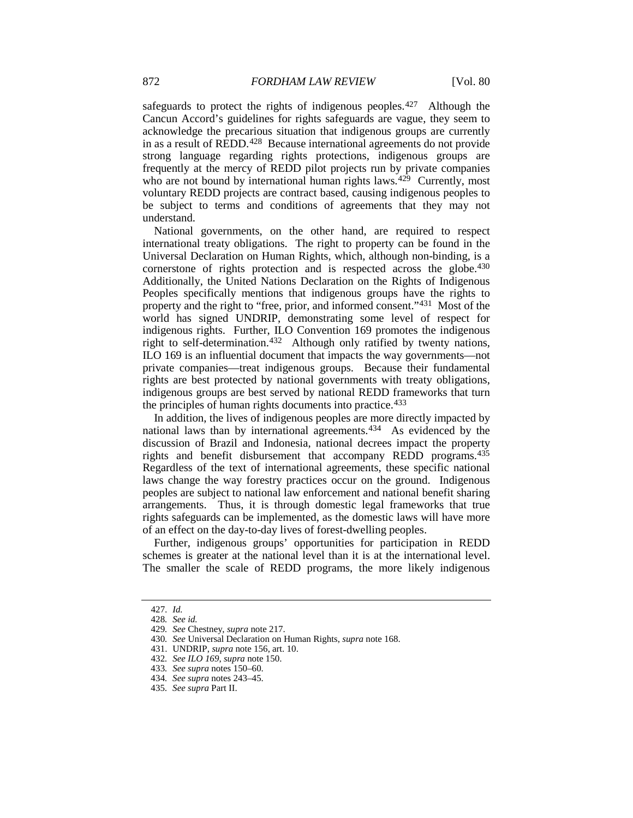safeguards to protect the rights of indigenous peoples.<sup>[427](#page-52-0)</sup> Although the Cancun Accord's guidelines for rights safeguards are vague, they seem to acknowledge the precarious situation that indigenous groups are currently in as a result of REDD.[428](#page-52-1) Because international agreements do not provide strong language regarding rights protections, indigenous groups are frequently at the mercy of REDD pilot projects run by private companies who are not bound by international human rights laws.<sup>[429](#page-52-2)</sup> Currently, most voluntary REDD projects are contract based, causing indigenous peoples to be subject to terms and conditions of agreements that they may not understand.

National governments, on the other hand, are required to respect international treaty obligations. The right to property can be found in the Universal Declaration on Human Rights, which, although non-binding, is a cornerstone of rights protection and is respected across the globe. [430](#page-52-3) Additionally, the United Nations Declaration on the Rights of Indigenous Peoples specifically mentions that indigenous groups have the rights to property and the right to "free, prior, and informed consent."[431](#page-52-4) Most of the world has signed UNDRIP, demonstrating some level of respect for indigenous rights. Further, ILO Convention 169 promotes the indigenous right to self-determination.<sup>432</sup> Although only ratified by twenty nations, ILO 169 is an influential document that impacts the way governments—not private companies—treat indigenous groups. Because their fundamental rights are best protected by national governments with treaty obligations, indigenous groups are best served by national REDD frameworks that turn the principles of human rights documents into practice.[433](#page-52-6)

In addition, the lives of indigenous peoples are more directly impacted by national laws than by international agreements.[434](#page-52-7) As evidenced by the discussion of Brazil and Indonesia, national decrees impact the property rights and benefit disbursement that accompany REDD programs.<sup>[435](#page-52-8)</sup> Regardless of the text of international agreements, these specific national laws change the way forestry practices occur on the ground. Indigenous peoples are subject to national law enforcement and national benefit sharing arrangements. Thus, it is through domestic legal frameworks that true rights safeguards can be implemented, as the domestic laws will have more of an effect on the day-to-day lives of forest-dwelling peoples.

Further, indigenous groups' opportunities for participation in REDD schemes is greater at the national level than it is at the international level. The smaller the scale of REDD programs, the more likely indigenous

<span id="page-52-1"></span><span id="page-52-0"></span><sup>427</sup>*. Id.*

<sup>428</sup>*. See id.*

<span id="page-52-2"></span><sup>429</sup>*. See* Chestney, *supra* not[e 217.](#page-28-8)

<sup>430</sup>*. See* Universal Declaration on Human Rights, *supra* not[e 168.](#page-23-11)

<span id="page-52-5"></span><span id="page-52-4"></span><span id="page-52-3"></span><sup>431.</sup> UNDRIP, *supra* not[e 156,](#page-21-1) art. 10.

<sup>432</sup>*. See ILO 169*, *supra* note [150.](#page-21-0)

<span id="page-52-7"></span><span id="page-52-6"></span><sup>433</sup>*. See supra* notes 150–60.

<sup>434</sup>*. See supra* note[s 243–](#page-31-8)45.

<span id="page-52-8"></span><sup>435</sup>*. See supra* Part II.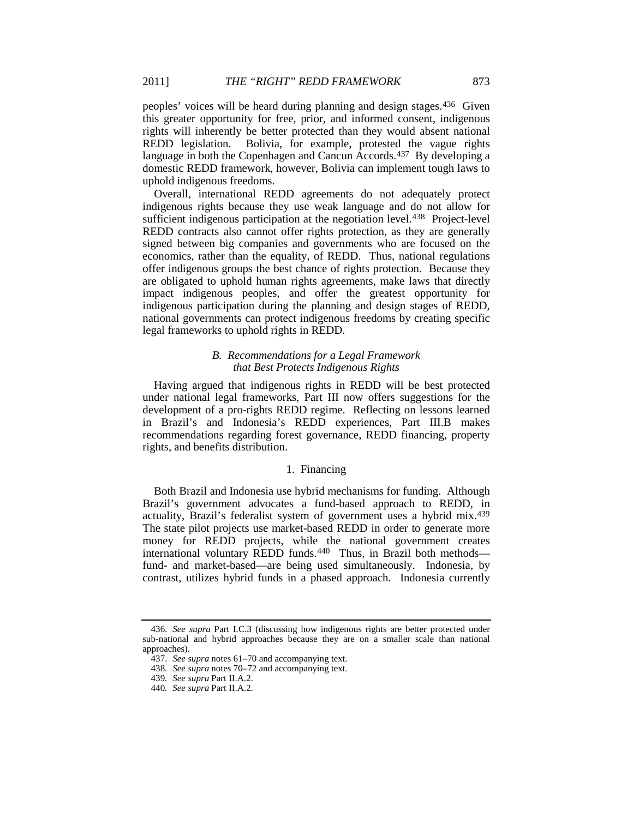peoples' voices will be heard during planning and design stages.[436](#page-53-0) Given this greater opportunity for free, prior, and informed consent, indigenous rights will inherently be better protected than they would absent national REDD legislation. Bolivia, for example, protested the vague rights language in both the Copenhagen and Cancun Accords.<sup>[437](#page-53-1)</sup> By developing a domestic REDD framework, however, Bolivia can implement tough laws to uphold indigenous freedoms.

Overall, international REDD agreements do not adequately protect indigenous rights because they use weak language and do not allow for sufficient indigenous participation at the negotiation level.<sup>[438](#page-53-2)</sup> Project-level REDD contracts also cannot offer rights protection, as they are generally signed between big companies and governments who are focused on the economics, rather than the equality, of REDD. Thus, national regulations offer indigenous groups the best chance of rights protection. Because they are obligated to uphold human rights agreements, make laws that directly impact indigenous peoples, and offer the greatest opportunity for indigenous participation during the planning and design stages of REDD, national governments can protect indigenous freedoms by creating specific legal frameworks to uphold rights in REDD.

#### *B. Recommendations for a Legal Framework that Best Protects Indigenous Rights*

Having argued that indigenous rights in REDD will be best protected under national legal frameworks, Part III now offers suggestions for the development of a pro-rights REDD regime. Reflecting on lessons learned in Brazil's and Indonesia's REDD experiences, Part III.B makes recommendations regarding forest governance, REDD financing, property rights, and benefits distribution.

# 1. Financing

Both Brazil and Indonesia use hybrid mechanisms for funding. Although Brazil's government advocates a fund-based approach to REDD, in actuality, Brazil's federalist system of government uses a hybrid mix.[439](#page-53-3) The state pilot projects use market-based REDD in order to generate more money for REDD projects, while the national government creates international voluntary REDD funds.<sup>[440](#page-53-4)</sup> Thus, in Brazil both methodsfund- and market-based—are being used simultaneously. Indonesia, by contrast, utilizes hybrid funds in a phased approach. Indonesia currently

<span id="page-53-2"></span><span id="page-53-1"></span><span id="page-53-0"></span><sup>436</sup>*. See supra* Part I.C.3 (discussing how indigenous rights are better protected under sub-national and hybrid approaches because they are on a smaller scale than national approaches).

<sup>437</sup>*. See supra* note[s 61–](#page-10-7)70 and accompanying text.

<sup>438</sup>*. See supra* notes 70–72 and accompanying text.

<span id="page-53-3"></span><sup>439</sup>*. See supra* Part II.A.2.

<span id="page-53-4"></span><sup>440</sup>*. See supra* Part II.A.2*.*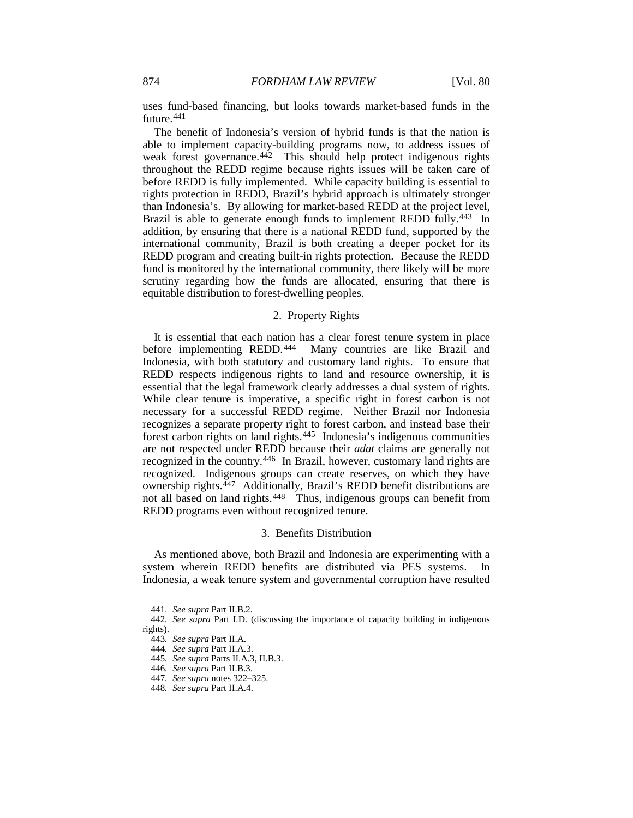uses fund-based financing, but looks towards market-based funds in the future.[441](#page-54-0)

The benefit of Indonesia's version of hybrid funds is that the nation is able to implement capacity-building programs now, to address issues of weak forest governance.<sup>442</sup> This should help protect indigenous rights throughout the REDD regime because rights issues will be taken care of before REDD is fully implemented. While capacity building is essential to rights protection in REDD, Brazil's hybrid approach is ultimately stronger than Indonesia's. By allowing for market-based REDD at the project level, Brazil is able to generate enough funds to implement REDD fully.<sup>[443](#page-54-2)</sup> In addition, by ensuring that there is a national REDD fund, supported by the international community, Brazil is both creating a deeper pocket for its REDD program and creating built-in rights protection. Because the REDD fund is monitored by the international community, there likely will be more scrutiny regarding how the funds are allocated, ensuring that there is equitable distribution to forest-dwelling peoples.

# 2. Property Rights

It is essential that each nation has a clear forest tenure system in place before implementing REDD.<sup>444</sup> Many countries are like Brazil and Indonesia, with both statutory and customary land rights. To ensure that REDD respects indigenous rights to land and resource ownership, it is essential that the legal framework clearly addresses a dual system of rights. While clear tenure is imperative, a specific right in forest carbon is not necessary for a successful REDD regime. Neither Brazil nor Indonesia recognizes a separate property right to forest carbon, and instead base their forest carbon rights on land rights.[445](#page-54-4) Indonesia's indigenous communities are not respected under REDD because their *adat* claims are generally not recognized in the country.[446](#page-54-5) In Brazil, however, customary land rights are recognized. Indigenous groups can create reserves, on which they have ownership rights.<sup>447</sup> Additionally, Brazil's REDD benefit distributions are not all based on land rights.<sup>[448](#page-54-7)</sup> Thus, indigenous groups can benefit from REDD programs even without recognized tenure.

#### 3. Benefits Distribution

As mentioned above, both Brazil and Indonesia are experimenting with a system wherein REDD benefits are distributed via PES systems. In Indonesia, a weak tenure system and governmental corruption have resulted

<sup>441</sup>*. See supra* Part II.B.2*.*

<span id="page-54-5"></span><span id="page-54-4"></span><span id="page-54-3"></span><span id="page-54-2"></span><span id="page-54-1"></span><span id="page-54-0"></span><sup>442</sup>*. See supra* Part I.D. (discussing the importance of capacity building in indigenous rights).

<sup>443</sup>*. See supra* Part II.A.

<sup>444</sup>*. See supra* Part II.A.3.

<sup>445</sup>*. See supra* Parts II.A.3, II.B.3.

<sup>446</sup>*. See supra* Part II.B.3.

<sup>447</sup>*. See supra* note[s 322](#page-39-11)[–325.](#page-39-12)

<span id="page-54-7"></span><span id="page-54-6"></span><sup>448</sup>*. See supra* Part II.A.4.